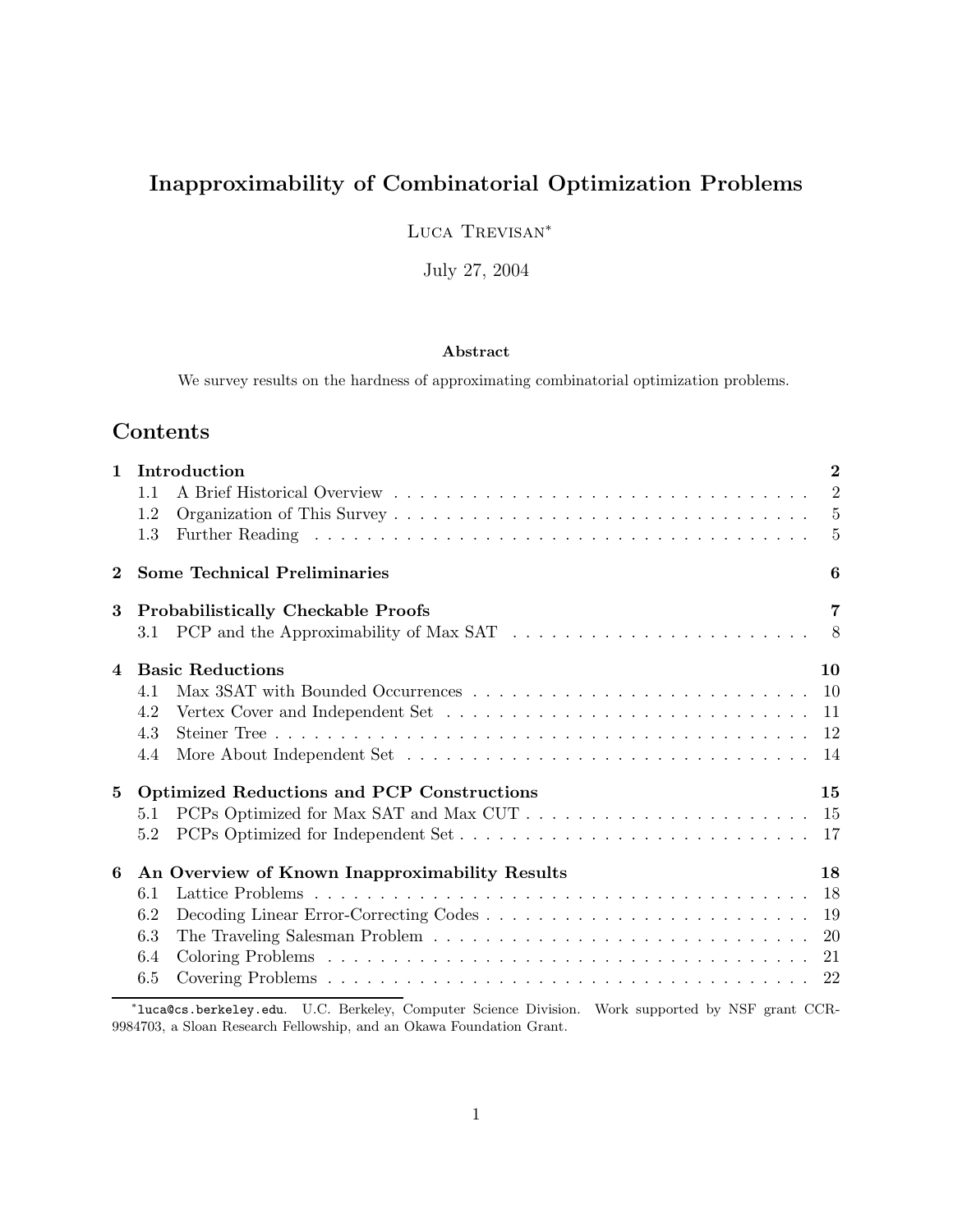# Inapproximability of Combinatorial Optimization Problems

Luca Trevisan<sup>∗</sup>

July 27, 2004

## Abstract

We survey results on the hardness of approximating combinatorial optimization problems.

## Contents

| $\mathbf{1}$   | Introduction                                                                                              | $\overline{2}$ |
|----------------|-----------------------------------------------------------------------------------------------------------|----------------|
|                | 1.1                                                                                                       | $\overline{2}$ |
|                | 1.2                                                                                                       | 5              |
|                | 1.3                                                                                                       | 5              |
| $\bf{2}$       | <b>Some Technical Preliminaries</b>                                                                       | 6              |
| 3              | <b>Probabilistically Checkable Proofs</b>                                                                 | $\overline{7}$ |
|                | PCP and the Approximability of Max SAT $\ldots \ldots \ldots \ldots \ldots \ldots \ldots \ldots 8$<br>3.1 |                |
| $\overline{4}$ | <b>Basic Reductions</b>                                                                                   | 10             |
|                | 4.1                                                                                                       |                |
|                | 4.2                                                                                                       |                |
|                | 4.3                                                                                                       |                |
|                | 4.4                                                                                                       |                |
| 5              | <b>Optimized Reductions and PCP Constructions</b>                                                         | 15             |
|                | 5.1                                                                                                       |                |
|                | 5.2                                                                                                       |                |
| 6              | An Overview of Known Inapproximability Results                                                            | 18             |
|                | 6.1                                                                                                       |                |
|                | 6.2                                                                                                       | 19             |
|                | 6.3                                                                                                       |                |
|                | 6.4                                                                                                       |                |
|                | 6.5                                                                                                       |                |
|                |                                                                                                           |                |

<sup>∗</sup> luca@cs.berkeley.edu. U.C. Berkeley, Computer Science Division. Work supported by NSF grant CCR-9984703, a Sloan Research Fellowship, and an Okawa Foundation Grant.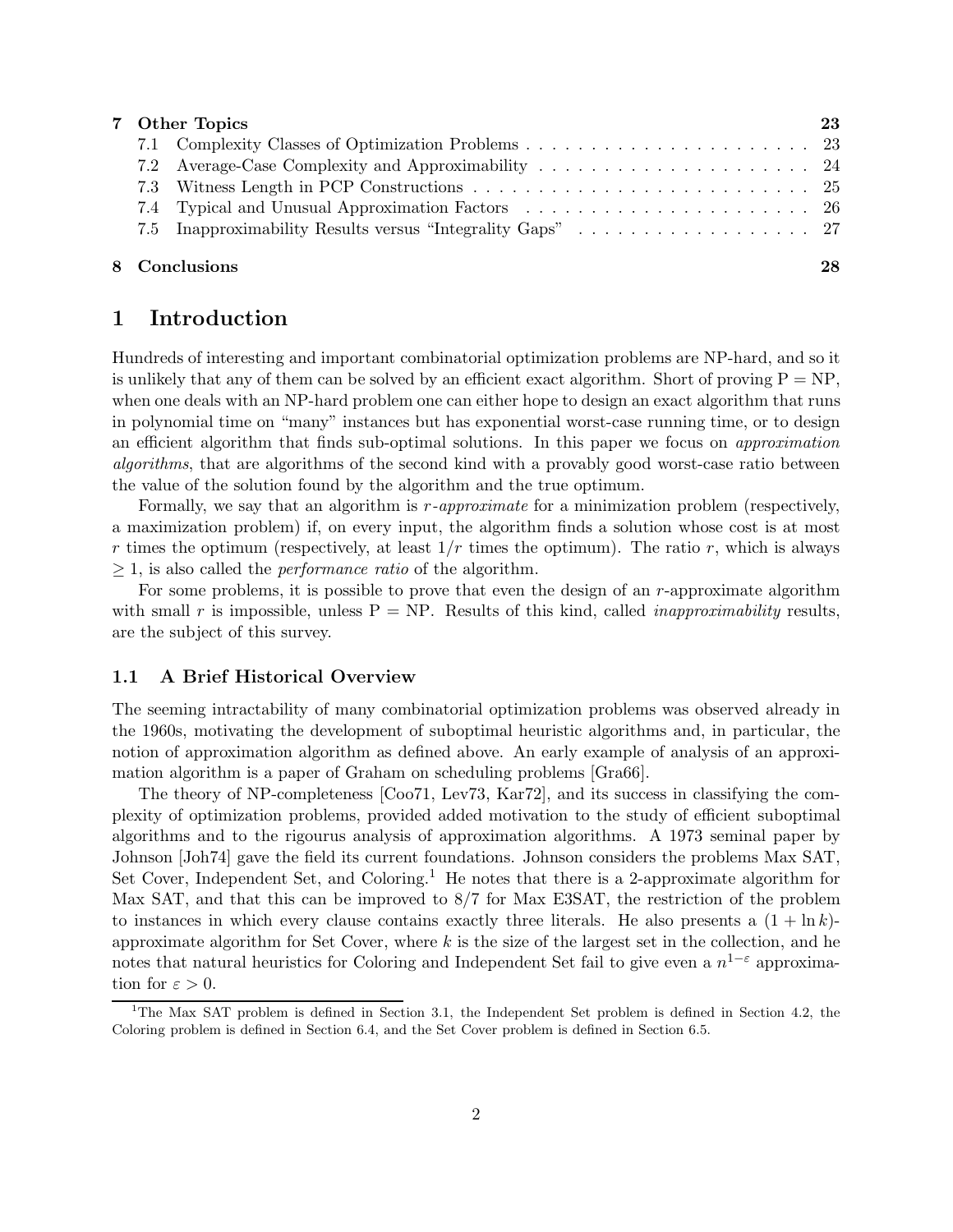| 7 Other Topics |  | 23 |
|----------------|--|----|
|                |  |    |
|                |  |    |
|                |  |    |
|                |  |    |
|                |  |    |
|                |  |    |

## 8 Conclusions 28

## 1 Introduction

Hundreds of interesting and important combinatorial optimization problems are NP-hard, and so it is unlikely that any of them can be solved by an efficient exact algorithm. Short of proving  $P = NP$ , when one deals with an NP-hard problem one can either hope to design an exact algorithm that runs in polynomial time on "many" instances but has exponential worst-case running time, or to design an efficient algorithm that finds sub-optimal solutions. In this paper we focus on approximation algorithms, that are algorithms of the second kind with a provably good worst-case ratio between the value of the solution found by the algorithm and the true optimum.

Formally, we say that an algorithm is r-approximate for a minimization problem (respectively, a maximization problem) if, on every input, the algorithm finds a solution whose cost is at most r times the optimum (respectively, at least  $1/r$  times the optimum). The ratio r, which is always  $\geq$  1, is also called the *performance ratio* of the algorithm.

For some problems, it is possible to prove that even the design of an  $r$ -approximate algorithm with small r is impossible, unless  $P = NP$ . Results of this kind, called *inapproximability* results, are the subject of this survey.

### 1.1 A Brief Historical Overview

The seeming intractability of many combinatorial optimization problems was observed already in the 1960s, motivating the development of suboptimal heuristic algorithms and, in particular, the notion of approximation algorithm as defined above. An early example of analysis of an approximation algorithm is a paper of Graham on scheduling problems [Gra66].

The theory of NP-completeness [Coo71, Lev73, Kar72], and its success in classifying the complexity of optimization problems, provided added motivation to the study of efficient suboptimal algorithms and to the rigourus analysis of approximation algorithms. A 1973 seminal paper by Johnson [Joh74] gave the field its current foundations. Johnson considers the problems Max SAT, Set Cover, Independent Set, and Coloring.<sup>1</sup> He notes that there is a 2-approximate algorithm for Max SAT, and that this can be improved to 8/7 for Max E3SAT, the restriction of the problem to instances in which every clause contains exactly three literals. He also presents a  $(1 + \ln k)$ approximate algorithm for Set Cover, where  $k$  is the size of the largest set in the collection, and he notes that natural heuristics for Coloring and Independent Set fail to give even a  $n^{1-\varepsilon}$  approximation for  $\varepsilon > 0$ .

<sup>&</sup>lt;sup>1</sup>The Max SAT problem is defined in Section 3.1, the Independent Set problem is defined in Section 4.2, the Coloring problem is defined in Section 6.4, and the Set Cover problem is defined in Section 6.5.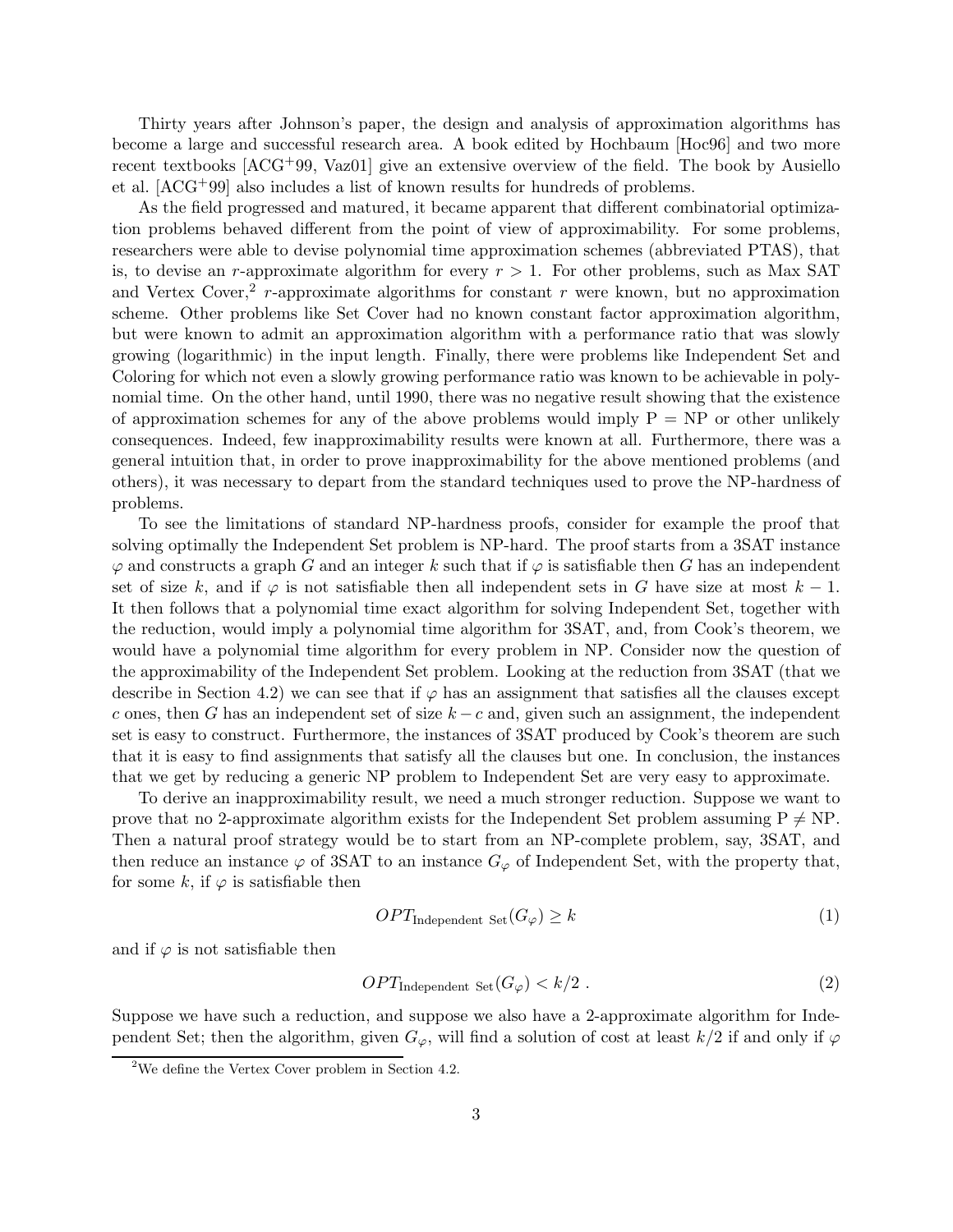Thirty years after Johnson's paper, the design and analysis of approximation algorithms has become a large and successful research area. A book edited by Hochbaum [Hoc96] and two more recent textbooks [ACG+99, Vaz01] give an extensive overview of the field. The book by Ausiello et al. [ACG+99] also includes a list of known results for hundreds of problems.

As the field progressed and matured, it became apparent that different combinatorial optimization problems behaved different from the point of view of approximability. For some problems, researchers were able to devise polynomial time approximation schemes (abbreviated PTAS), that is, to devise an r-approximate algorithm for every  $r > 1$ . For other problems, such as Max SAT and Vertex Cover,<sup>2</sup> r-approximate algorithms for constant r were known, but no approximation scheme. Other problems like Set Cover had no known constant factor approximation algorithm, but were known to admit an approximation algorithm with a performance ratio that was slowly growing (logarithmic) in the input length. Finally, there were problems like Independent Set and Coloring for which not even a slowly growing performance ratio was known to be achievable in polynomial time. On the other hand, until 1990, there was no negative result showing that the existence of approximation schemes for any of the above problems would imply  $P = NP$  or other unlikely consequences. Indeed, few inapproximability results were known at all. Furthermore, there was a general intuition that, in order to prove inapproximability for the above mentioned problems (and others), it was necessary to depart from the standard techniques used to prove the NP-hardness of problems.

To see the limitations of standard NP-hardness proofs, consider for example the proof that solving optimally the Independent Set problem is NP-hard. The proof starts from a 3SAT instance  $\varphi$  and constructs a graph G and an integer k such that if  $\varphi$  is satisfiable then G has an independent set of size k, and if  $\varphi$  is not satisfiable then all independent sets in G have size at most  $k-1$ . It then follows that a polynomial time exact algorithm for solving Independent Set, together with the reduction, would imply a polynomial time algorithm for 3SAT, and, from Cook's theorem, we would have a polynomial time algorithm for every problem in NP. Consider now the question of the approximability of the Independent Set problem. Looking at the reduction from 3SAT (that we describe in Section 4.2) we can see that if  $\varphi$  has an assignment that satisfies all the clauses except c ones, then G has an independent set of size  $k - c$  and, given such an assignment, the independent set is easy to construct. Furthermore, the instances of 3SAT produced by Cook's theorem are such that it is easy to find assignments that satisfy all the clauses but one. In conclusion, the instances that we get by reducing a generic NP problem to Independent Set are very easy to approximate.

To derive an inapproximability result, we need a much stronger reduction. Suppose we want to prove that no 2-approximate algorithm exists for the Independent Set problem assuming  $P \neq NP$ . Then a natural proof strategy would be to start from an NP-complete problem, say, 3SAT, and then reduce an instance  $\varphi$  of 3SAT to an instance  $G_{\varphi}$  of Independent Set, with the property that, for some k, if  $\varphi$  is satisfiable then

$$
OPT_{\text{Independent Set}}(G_{\varphi}) \ge k \tag{1}
$$

and if  $\varphi$  is not satisfiable then

$$
OPT_{\text{Independent Set}}(G_{\varphi}) < k/2 \tag{2}
$$

Suppose we have such a reduction, and suppose we also have a 2-approximate algorithm for Independent Set; then the algorithm, given  $G_{\varphi}$ , will find a solution of cost at least  $k/2$  if and only if  $\varphi$ 

<sup>&</sup>lt;sup>2</sup>We define the Vertex Cover problem in Section 4.2.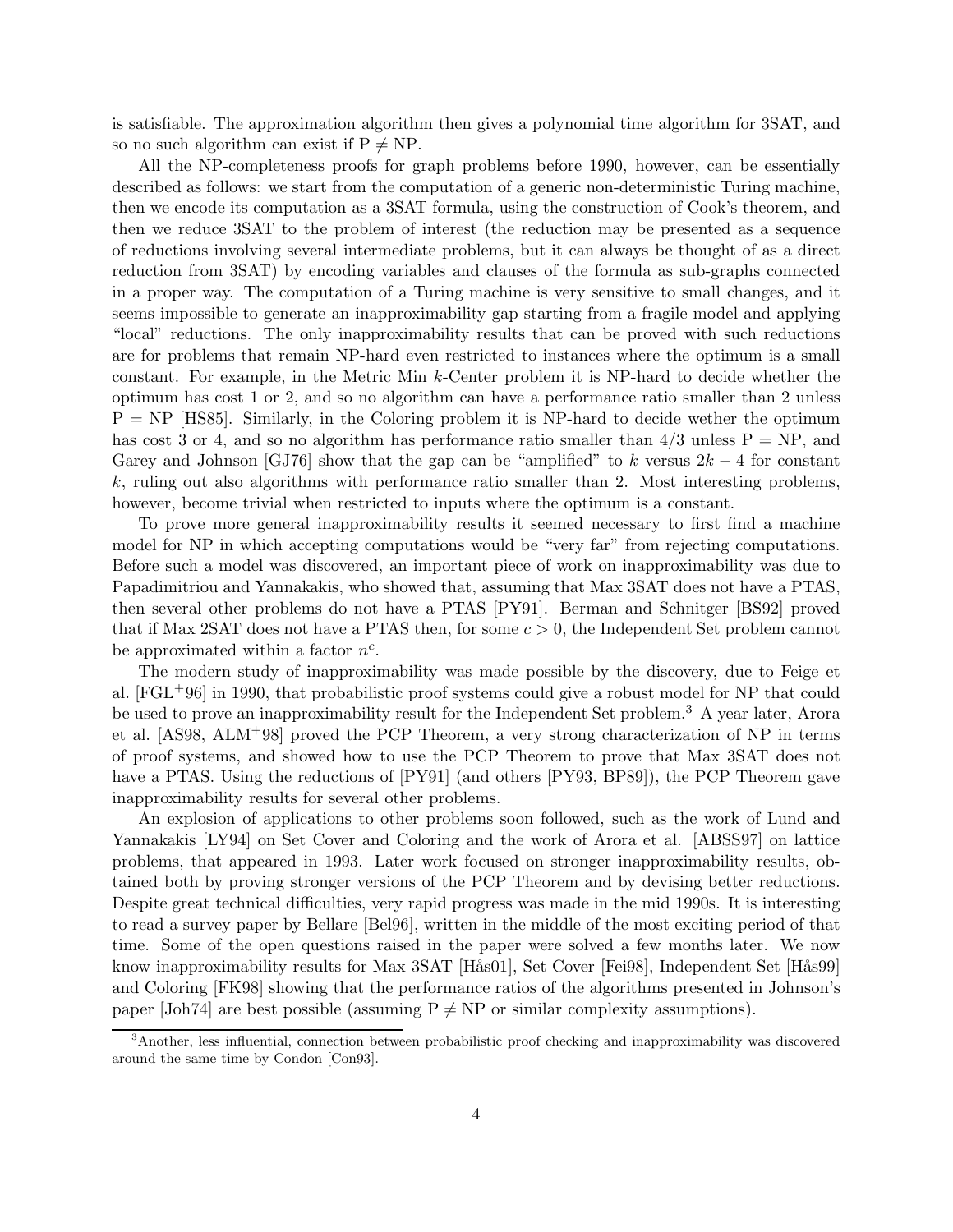is satisfiable. The approximation algorithm then gives a polynomial time algorithm for 3SAT, and so no such algorithm can exist if  $P \neq NP$ .

All the NP-completeness proofs for graph problems before 1990, however, can be essentially described as follows: we start from the computation of a generic non-deterministic Turing machine, then we encode its computation as a 3SAT formula, using the construction of Cook's theorem, and then we reduce 3SAT to the problem of interest (the reduction may be presented as a sequence of reductions involving several intermediate problems, but it can always be thought of as a direct reduction from 3SAT) by encoding variables and clauses of the formula as sub-graphs connected in a proper way. The computation of a Turing machine is very sensitive to small changes, and it seems impossible to generate an inapproximability gap starting from a fragile model and applying "local" reductions. The only inapproximability results that can be proved with such reductions are for problems that remain NP-hard even restricted to instances where the optimum is a small constant. For example, in the Metric Min k-Center problem it is NP-hard to decide whether the optimum has cost 1 or 2, and so no algorithm can have a performance ratio smaller than 2 unless  $P = NP$  [HS85]. Similarly, in the Coloring problem it is NP-hard to decide wether the optimum has cost 3 or 4, and so no algorithm has performance ratio smaller than  $4/3$  unless  $P = NP$ , and Garey and Johnson [GJ76] show that the gap can be "amplified" to k versus  $2k - 4$  for constant  $k$ , ruling out also algorithms with performance ratio smaller than 2. Most interesting problems, however, become trivial when restricted to inputs where the optimum is a constant.

To prove more general inapproximability results it seemed necessary to first find a machine model for NP in which accepting computations would be "very far" from rejecting computations. Before such a model was discovered, an important piece of work on inapproximability was due to Papadimitriou and Yannakakis, who showed that, assuming that Max 3SAT does not have a PTAS, then several other problems do not have a PTAS [PY91]. Berman and Schnitger [BS92] proved that if Max 2SAT does not have a PTAS then, for some  $c > 0$ , the Independent Set problem cannot be approximated within a factor  $n^c$ .

The modern study of inapproximability was made possible by the discovery, due to Feige et al. [FGL+96] in 1990, that probabilistic proof systems could give a robust model for NP that could be used to prove an inapproximability result for the Independent Set problem.<sup>3</sup> A year later, Arora et al. [AS98, ALM+98] proved the PCP Theorem, a very strong characterization of NP in terms of proof systems, and showed how to use the PCP Theorem to prove that Max 3SAT does not have a PTAS. Using the reductions of  $[PY91]$  (and others  $[PY93, BPS9]$ ), the PCP Theorem gave inapproximability results for several other problems.

An explosion of applications to other problems soon followed, such as the work of Lund and Yannakakis [LY94] on Set Cover and Coloring and the work of Arora et al. [ABSS97] on lattice problems, that appeared in 1993. Later work focused on stronger inapproximability results, obtained both by proving stronger versions of the PCP Theorem and by devising better reductions. Despite great technical difficulties, very rapid progress was made in the mid 1990s. It is interesting to read a survey paper by Bellare [Bel96], written in the middle of the most exciting period of that time. Some of the open questions raised in the paper were solved a few months later. We now know inapproximability results for Max 3SAT [Hås01], Set Cover [Fei98], Independent Set [Hås99] and Coloring [FK98] showing that the performance ratios of the algorithms presented in Johnson's paper [Joh74] are best possible (assuming  $P \neq NP$  or similar complexity assumptions).

<sup>3</sup>Another, less influential, connection between probabilistic proof checking and inapproximability was discovered around the same time by Condon [Con93].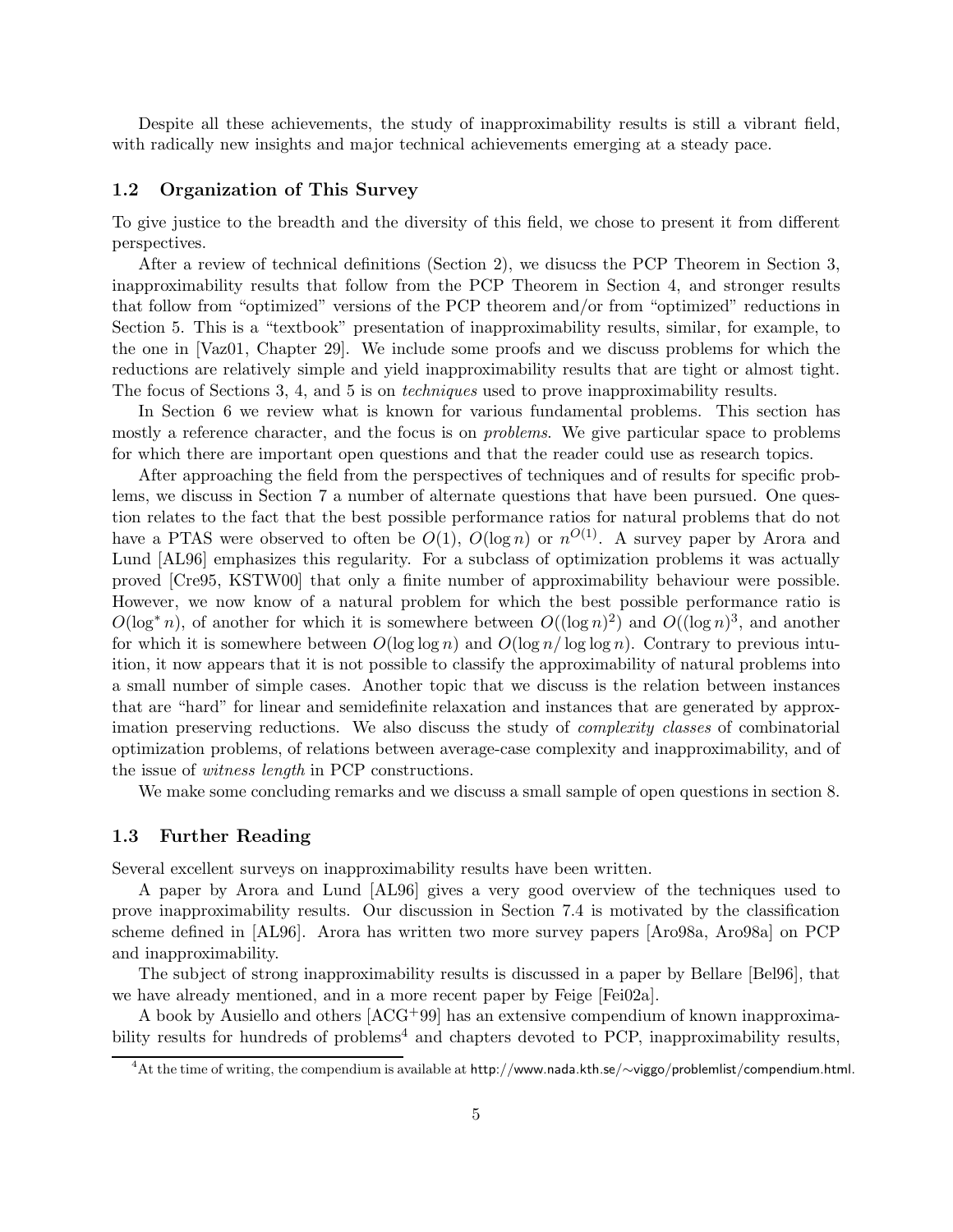Despite all these achievements, the study of inapproximability results is still a vibrant field, with radically new insights and major technical achievements emerging at a steady pace.

### 1.2 Organization of This Survey

To give justice to the breadth and the diversity of this field, we chose to present it from different perspectives.

After a review of technical definitions (Section 2), we disucss the PCP Theorem in Section 3, inapproximability results that follow from the PCP Theorem in Section 4, and stronger results that follow from "optimized" versions of the PCP theorem and/or from "optimized" reductions in Section 5. This is a "textbook" presentation of inapproximability results, similar, for example, to the one in [Vaz01, Chapter 29]. We include some proofs and we discuss problems for which the reductions are relatively simple and yield inapproximability results that are tight or almost tight. The focus of Sections 3, 4, and 5 is on techniques used to prove inapproximability results.

In Section 6 we review what is known for various fundamental problems. This section has mostly a reference character, and the focus is on *problems*. We give particular space to problems for which there are important open questions and that the reader could use as research topics.

After approaching the field from the perspectives of techniques and of results for specific problems, we discuss in Section 7 a number of alternate questions that have been pursued. One question relates to the fact that the best possible performance ratios for natural problems that do not have a PTAS were observed to often be  $O(1)$ ,  $O(\log n)$  or  $n^{O(1)}$ . A survey paper by Arora and Lund [AL96] emphasizes this regularity. For a subclass of optimization problems it was actually proved [Cre95, KSTW00] that only a finite number of approximability behaviour were possible. However, we now know of a natural problem for which the best possible performance ratio is  $O(\log^* n)$ , of another for which it is somewhere between  $O((\log n)^2)$  and  $O((\log n)^3)$ , and another for which it is somewhere between  $O(\log \log n)$  and  $O(\log n / \log \log n)$ . Contrary to previous intuition, it now appears that it is not possible to classify the approximability of natural problems into a small number of simple cases. Another topic that we discuss is the relation between instances that are "hard" for linear and semidefinite relaxation and instances that are generated by approximation preserving reductions. We also discuss the study of complexity classes of combinatorial optimization problems, of relations between average-case complexity and inapproximability, and of the issue of witness length in PCP constructions.

We make some concluding remarks and we discuss a small sample of open questions in section 8.

### 1.3 Further Reading

Several excellent surveys on inapproximability results have been written.

A paper by Arora and Lund [AL96] gives a very good overview of the techniques used to prove inapproximability results. Our discussion in Section 7.4 is motivated by the classification scheme defined in [AL96]. Arora has written two more survey papers [Aro98a, Aro98a] on PCP and inapproximability.

The subject of strong inapproximability results is discussed in a paper by Bellare [Bel96], that we have already mentioned, and in a more recent paper by Feige [Fei02a].

A book by Ausiello and others [ACG+99] has an extensive compendium of known inapproximability results for hundreds of problems<sup>4</sup> and chapters devoted to PCP, inapproximability results,

<sup>4</sup>At the time of writing, the compendium is available at http://www.nada.kth.se/∼viggo/problemlist/compendium.html.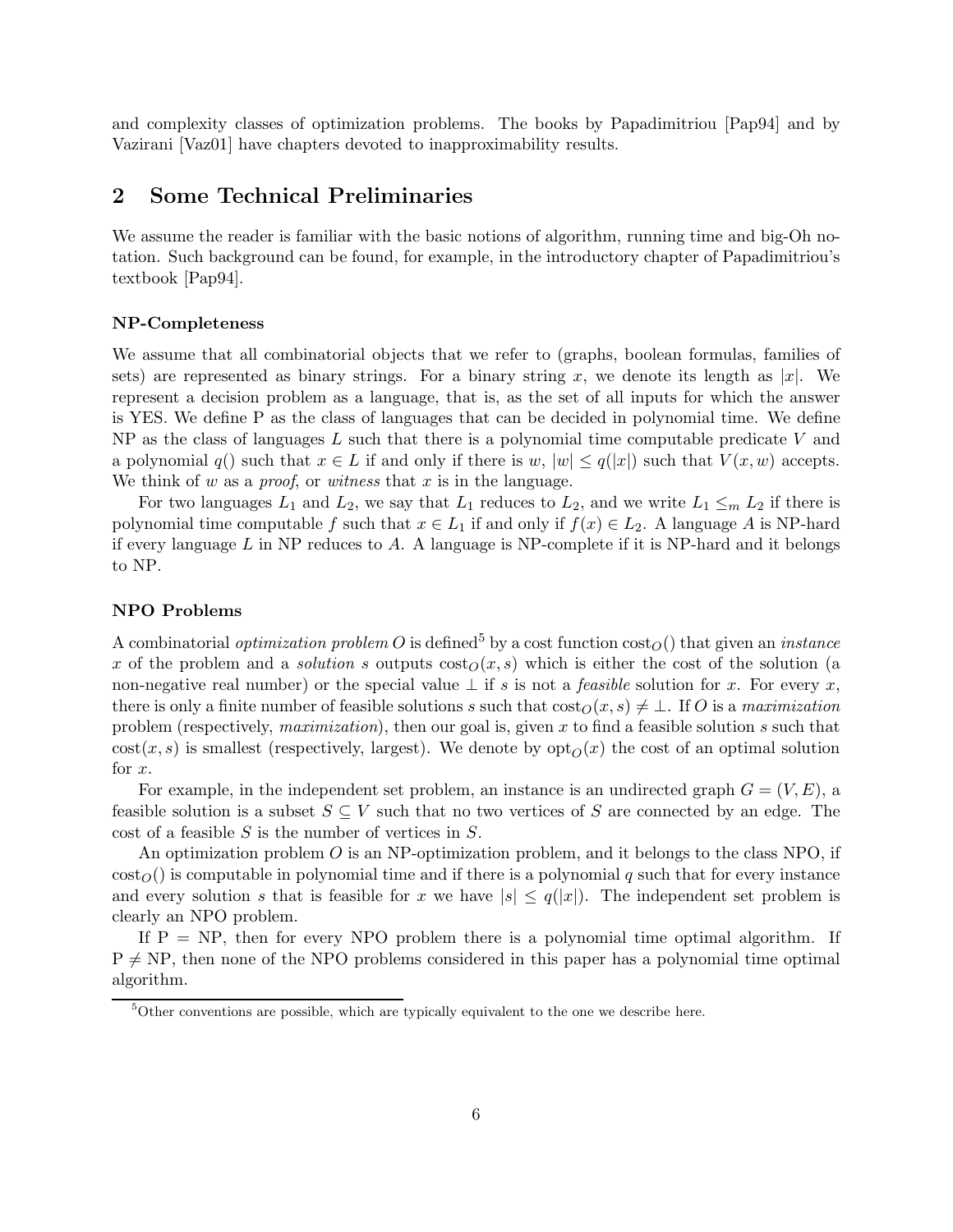and complexity classes of optimization problems. The books by Papadimitriou [Pap94] and by Vazirani [Vaz01] have chapters devoted to inapproximability results.

## 2 Some Technical Preliminaries

We assume the reader is familiar with the basic notions of algorithm, running time and big-Oh notation. Such background can be found, for example, in the introductory chapter of Papadimitriou's textbook [Pap94].

#### NP-Completeness

We assume that all combinatorial objects that we refer to (graphs, boolean formulas, families of sets) are represented as binary strings. For a binary string x, we denote its length as  $|x|$ . We represent a decision problem as a language, that is, as the set of all inputs for which the answer is YES. We define P as the class of languages that can be decided in polynomial time. We define NP as the class of languages  $L$  such that there is a polynomial time computable predicate  $V$  and a polynomial  $q()$  such that  $x \in L$  if and only if there is  $w, |w| \leq q(|x|)$  such that  $V(x, w)$  accepts. We think of w as a *proof*, or witness that x is in the language.

For two languages  $L_1$  and  $L_2$ , we say that  $L_1$  reduces to  $L_2$ , and we write  $L_1 \leq_m L_2$  if there is polynomial time computable f such that  $x \in L_1$  if and only if  $f(x) \in L_2$ . A language A is NP-hard if every language  $L$  in NP reduces to  $A$ . A language is NP-complete if it is NP-hard and it belongs to NP.

#### NPO Problems

A combinatorial *optimization problem O* is defined<sup>5</sup> by a cost function  $\cos\omega$  that given an *instance* x of the problem and a *solution s* outputs  $\cos\omega(x, s)$  which is either the cost of the solution (a non-negative real number) or the special value  $\perp$  if s is not a *feasible* solution for x. For every x, there is only a finite number of feasible solutions s such that  $\cos\left(\frac{\partial(x,s)}{\partial(x)}\right) \neq \bot$ . If O is a maximization problem (respectively, *maximization*), then our goal is, given x to find a feasible solution s such that  $cost(x, s)$  is smallest (respectively, largest). We denote by  $opt<sub>O</sub>(x)$  the cost of an optimal solution for x.

For example, in the independent set problem, an instance is an undirected graph  $G = (V, E)$ , a feasible solution is a subset  $S \subseteq V$  such that no two vertices of S are connected by an edge. The cost of a feasible S is the number of vertices in S.

An optimization problem  $O$  is an NP-optimization problem, and it belongs to the class NPO, if  $\cot_0$ ) is computable in polynomial time and if there is a polynomial q such that for every instance and every solution s that is feasible for x we have  $|s| \leq q(|x|)$ . The independent set problem is clearly an NPO problem.

If  $P = NP$ , then for every NPO problem there is a polynomial time optimal algorithm. If  $P \neq NP$ , then none of the NPO problems considered in this paper has a polynomial time optimal algorithm.

 $5$ Other conventions are possible, which are typically equivalent to the one we describe here.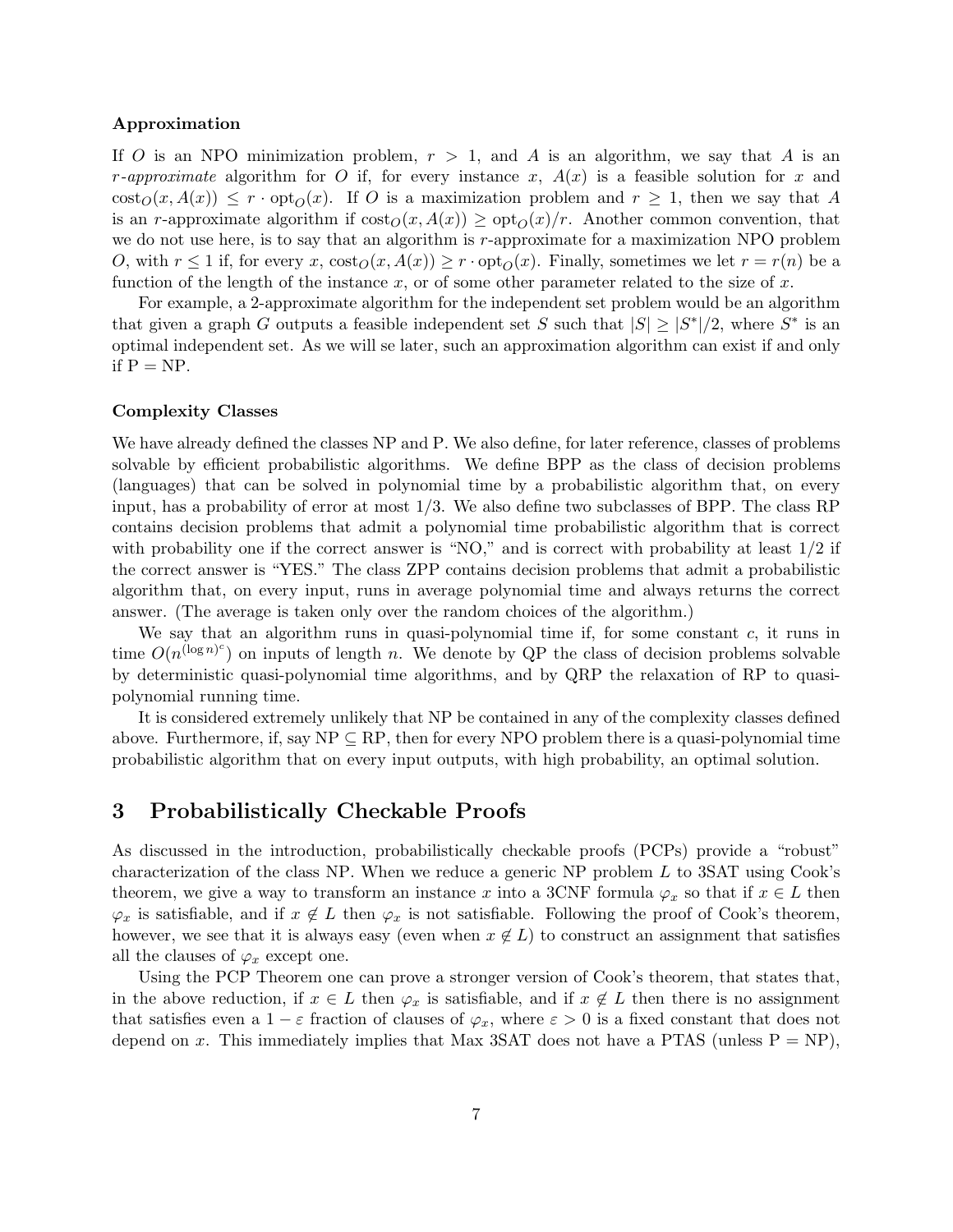#### Approximation

If O is an NPO minimization problem,  $r > 1$ , and A is an algorithm, we say that A is an r-approximate algorithm for O if, for every instance x,  $A(x)$  is a feasible solution for x and  $\cot_0(x, A(x)) \leq r \cdot \text{opt}_O(x)$ . If O is a maximization problem and  $r \geq 1$ , then we say that A is an r-approximate algorithm if  $\cos \omega(x, A(x)) \geq \cot_{\Omega}(x)/r$ . Another common convention, that we do not use here, is to say that an algorithm is r-approximate for a maximization NPO problem O, with  $r \leq 1$  if, for every x,  $\text{cost}_O(x, A(x)) \geq r \cdot \text{opt}_O(x)$ . Finally, sometimes we let  $r = r(n)$  be a function of the length of the instance  $x$ , or of some other parameter related to the size of  $x$ .

For example, a 2-approximate algorithm for the independent set problem would be an algorithm that given a graph G outputs a feasible independent set S such that  $|S| \geq |S^*|/2$ , where  $S^*$  is an optimal independent set. As we will se later, such an approximation algorithm can exist if and only if  $P = NP$ .

#### Complexity Classes

We have already defined the classes NP and P. We also define, for later reference, classes of problems solvable by efficient probabilistic algorithms. We define BPP as the class of decision problems (languages) that can be solved in polynomial time by a probabilistic algorithm that, on every input, has a probability of error at most  $1/3$ . We also define two subclasses of BPP. The class RP contains decision problems that admit a polynomial time probabilistic algorithm that is correct with probability one if the correct answer is "NO," and is correct with probability at least  $1/2$  if the correct answer is "YES." The class ZPP contains decision problems that admit a probabilistic algorithm that, on every input, runs in average polynomial time and always returns the correct answer. (The average is taken only over the random choices of the algorithm.)

We say that an algorithm runs in quasi-polynomial time if, for some constant  $c$ , it runs in time  $O(n^{(\log n)^c})$  on inputs of length n. We denote by QP the class of decision problems solvable by deterministic quasi-polynomial time algorithms, and by QRP the relaxation of RP to quasipolynomial running time.

It is considered extremely unlikely that NP be contained in any of the complexity classes defined above. Furthermore, if, say  $NP \subseteq RP$ , then for every NPO problem there is a quasi-polynomial time probabilistic algorithm that on every input outputs, with high probability, an optimal solution.

## 3 Probabilistically Checkable Proofs

As discussed in the introduction, probabilistically checkable proofs (PCPs) provide a "robust" characterization of the class NP. When we reduce a generic NP problem L to 3SAT using Cook's theorem, we give a way to transform an instance x into a 3CNF formula  $\varphi_x$  so that if  $x \in L$  then  $\varphi_x$  is satisfiable, and if  $x \notin L$  then  $\varphi_x$  is not satisfiable. Following the proof of Cook's theorem, however, we see that it is always easy (even when  $x \notin L$ ) to construct an assignment that satisfies all the clauses of  $\varphi_x$  except one.

Using the PCP Theorem one can prove a stronger version of Cook's theorem, that states that, in the above reduction, if  $x \in L$  then  $\varphi_x$  is satisfiable, and if  $x \notin L$  then there is no assignment that satisfies even a  $1 - \varepsilon$  fraction of clauses of  $\varphi_x$ , where  $\varepsilon > 0$  is a fixed constant that does not depend on x. This immediately implies that Max 3SAT does not have a PTAS (unless  $P = NP$ ),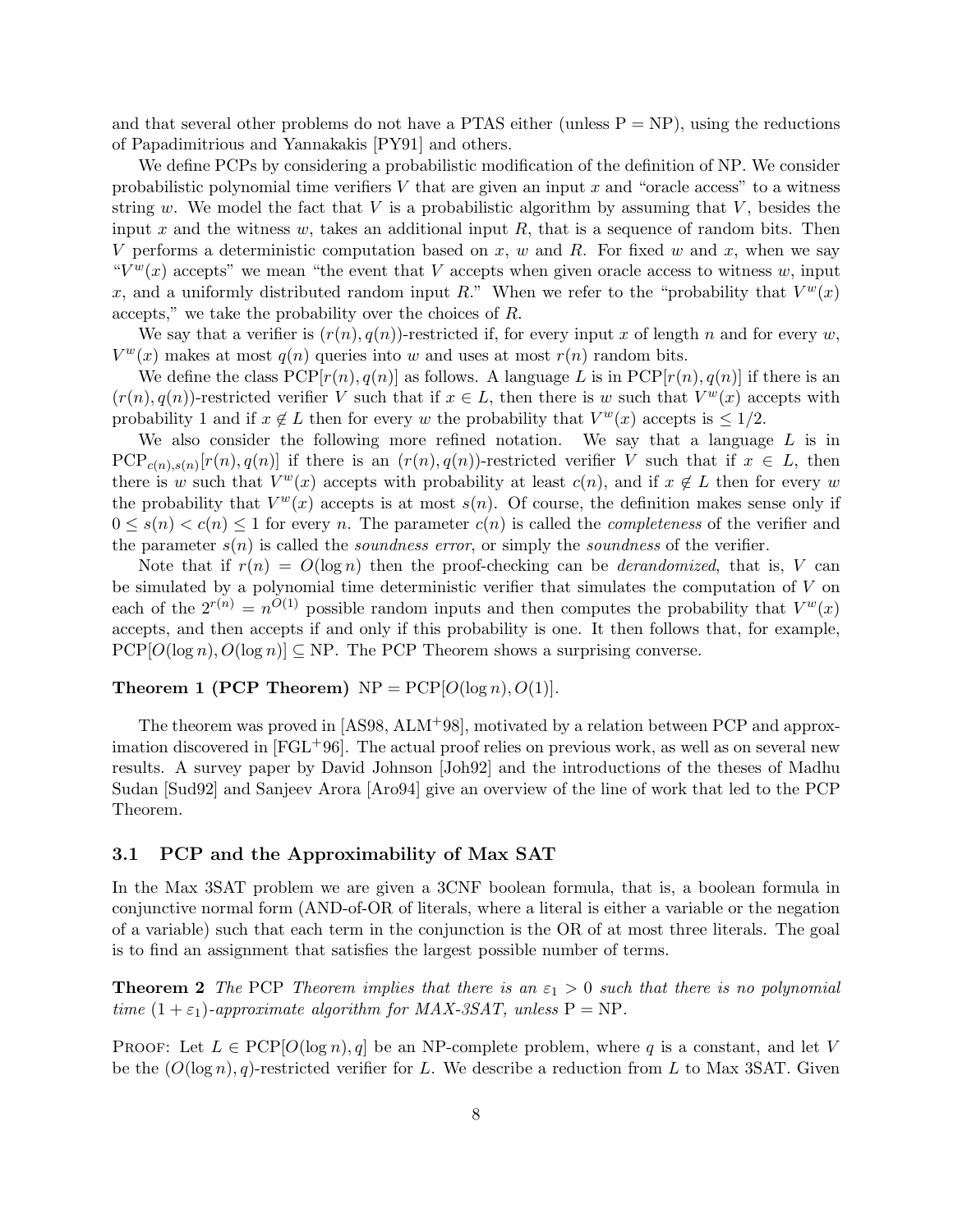and that several other problems do not have a PTAS either (unless  $P = NP$ ), using the reductions of Papadimitrious and Yannakakis [PY91] and others.

We define PCPs by considering a probabilistic modification of the definition of NP. We consider probabilistic polynomial time verifiers  $V$  that are given an input  $x$  and "oracle access" to a witness string w. We model the fact that V is a probabilistic algorithm by assuming that V, besides the input  $x$  and the witness  $w$ , takes an additional input  $R$ , that is a sequence of random bits. Then V performs a deterministic computation based on x, w and R. For fixed w and x, when we say " $V^w(x)$  accepts" we mean "the event that V accepts when given oracle access to witness w, input x, and a uniformly distributed random input R." When we refer to the "probability that  $V^w(x)$ accepts," we take the probability over the choices of R.

We say that a verifier is  $(r(n),q(n))$ -restricted if, for every input x of length n and for every w,  $V^w(x)$  makes at most  $q(n)$  queries into w and uses at most  $r(n)$  random bits.

We define the class  $PCP[r(n),q(n)]$  as follows. A language L is in  $PCP[r(n),q(n)]$  if there is an  $(r(n), q(n))$ -restricted verifier V such that if  $x \in L$ , then there is w such that  $V^w(x)$  accepts with probability 1 and if  $x \notin L$  then for every w the probability that  $V^w(x)$  accepts is  $\leq 1/2$ .

We also consider the following more refined notation. We say that a language  $L$  is in  $PCP_{c(n),s(n)}[r(n),q(n)]$  if there is an  $(r(n),q(n))$ -restricted verifier V such that if  $x \in L$ , then there is w such that  $V^w(x)$  accepts with probability at least  $c(n)$ , and if  $x \notin L$  then for every w the probability that  $V^w(x)$  accepts is at most  $s(n)$ . Of course, the definition makes sense only if  $0 \leq s(n) \leq c(n) \leq 1$  for every n. The parameter  $c(n)$  is called the *completeness* of the verifier and the parameter  $s(n)$  is called the *soundness error*, or simply the *soundness* of the verifier.

Note that if  $r(n) = O(\log n)$  then the proof-checking can be *derandomized*, that is, V can be simulated by a polynomial time deterministic verifier that simulates the computation of  $V$  on each of the  $2^{r(n)} = n^{O(1)}$  possible random inputs and then computes the probability that  $V^w(x)$ accepts, and then accepts if and only if this probability is one. It then follows that, for example,  $PCP[O(\log n), O(\log n)] \subseteq NP$ . The PCP Theorem shows a surprising converse.

#### **Theorem 1 (PCP Theorem)**  $NP = PCP[O(\log n), O(1)].$

The theorem was proved in [AS98, ALM<sup>+</sup>98], motivated by a relation between PCP and approximation discovered in  $[FGL+96]$ . The actual proof relies on previous work, as well as on several new results. A survey paper by David Johnson [Joh92] and the introductions of the theses of Madhu Sudan [Sud92] and Sanjeev Arora [Aro94] give an overview of the line of work that led to the PCP Theorem.

### 3.1 PCP and the Approximability of Max SAT

In the Max 3SAT problem we are given a 3CNF boolean formula, that is, a boolean formula in conjunctive normal form (AND-of-OR of literals, where a literal is either a variable or the negation of a variable) such that each term in the conjunction is the OR of at most three literals. The goal is to find an assignment that satisfies the largest possible number of terms.

**Theorem 2** The PCP Theorem implies that there is an  $\varepsilon_1 > 0$  such that there is no polynomial time  $(1 + \varepsilon_1)$ -approximate algorithm for MAX-3SAT, unless  $P = NP$ .

PROOF: Let  $L \in \text{PCP}[O(\log n), q]$  be an NP-complete problem, where q is a constant, and let V be the  $(O(\log n), q)$ -restricted verifier for L. We describe a reduction from L to Max 3SAT. Given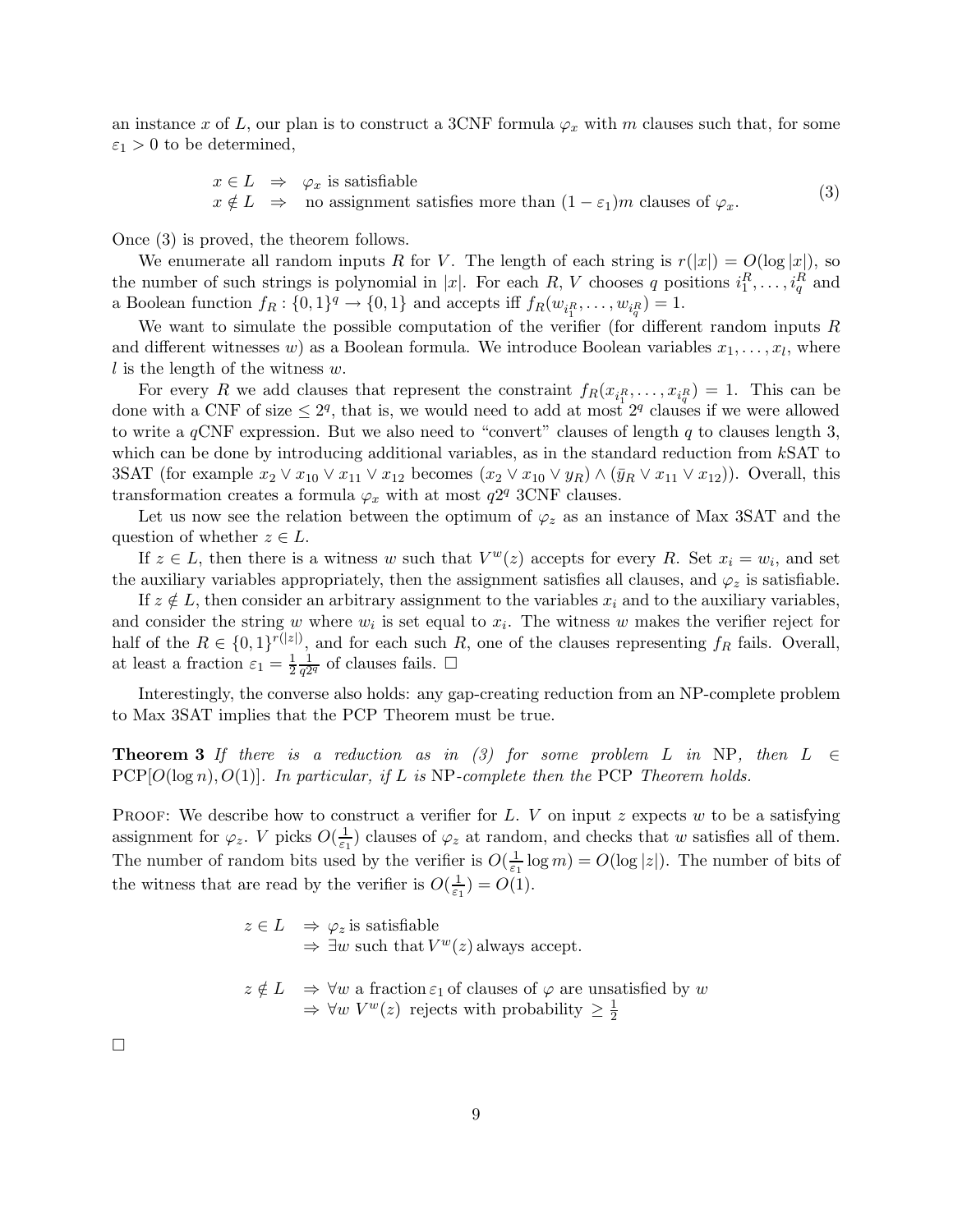an instance x of L, our plan is to construct a 3CNF formula  $\varphi_x$  with m clauses such that, for some  $\varepsilon_1 > 0$  to be determined,

$$
x \in L \Rightarrow \varphi_x \text{ is satisfiable}
$$
  

$$
x \notin L \Rightarrow \text{ no assignment satisfies more than } (1 - \varepsilon_1)m \text{ clauses of } \varphi_x.
$$
 (3)

Once (3) is proved, the theorem follows.

We enumerate all random inputs R for V. The length of each string is  $r(|x|) = O(\log |x|)$ , so the number of such strings is polynomial in |x|. For each R, V chooses q positions  $i_1^R, \ldots, i_q^R$  and a Boolean function  $f_R: \{0,1\}^q \to \{0,1\}$  and accepts iff  $f_R(w_{i_1^R}, \ldots, w_{i_q^R}) = 1$ .

We want to simulate the possible computation of the verifier (for different random inputs R and different witnesses w) as a Boolean formula. We introduce Boolean variables  $x_1, \ldots, x_l$ , where l is the length of the witness  $w$ .

For every R we add clauses that represent the constraint  $f_R(x_{i_1^R},...,x_{i_q^R}) = 1$ . This can be done with a CNF of size  $\leq 2^q$ , that is, we would need to add at most  $2^q$  clauses if we were allowed to write a  $q$ CNF expression. But we also need to "convert" clauses of length q to clauses length 3, which can be done by introducing additional variables, as in the standard reduction from kSAT to 3SAT (for example  $x_2 \vee x_{10} \vee x_{11} \vee x_{12}$  becomes  $(x_2 \vee x_{10} \vee y_R) \wedge (\bar{y}_R \vee x_{11} \vee x_{12})$ ). Overall, this transformation creates a formula  $\varphi_x$  with at most  $q2^q$  3CNF clauses.

Let us now see the relation between the optimum of  $\varphi_z$  as an instance of Max 3SAT and the question of whether  $z \in L$ .

If  $z \in L$ , then there is a witness w such that  $V^w(z)$  accepts for every R. Set  $x_i = w_i$ , and set the auxiliary variables appropriately, then the assignment satisfies all clauses, and  $\varphi_z$  is satisfiable.

If  $z \notin L$ , then consider an arbitrary assignment to the variables  $x_i$  and to the auxiliary variables. and consider the string w where  $w_i$  is set equal to  $x_i$ . The witness w makes the verifier reject for half of the  $R \in \{0,1\}^{r(|z|)}$ , and for each such R, one of the clauses representing  $f_R$  fails. Overall, at least a fraction  $\varepsilon_1 = \frac{1}{2}$ 2 1  $\frac{1}{q^{2q}}$  of clauses fails.  $\Box$ 

Interestingly, the converse also holds: any gap-creating reduction from an NP-complete problem to Max 3SAT implies that the PCP Theorem must be true.

**Theorem 3** If there is a reduction as in (3) for some problem L in NP, then  $L \in$  $PCP[O(\log n), O(1)]$ . In particular, if L is NP-complete then the PCP Theorem holds.

**PROOF:** We describe how to construct a verifier for L. V on input z expects w to be a satisfying assignment for  $\varphi_z$ . V picks  $O(\frac{1}{\varepsilon_1})$  $(\frac{1}{\epsilon_1})$  clauses of  $\varphi_z$  at random, and checks that w satisfies all of them. The number of random bits used by the verifier is  $O(\frac{1}{\epsilon})$  $\frac{1}{\varepsilon_1} \log m$ ) =  $O(\log |z|)$ . The number of bits of the witness that are read by the verifier is  $O(\frac{1}{\epsilon})$  $(\frac{1}{\varepsilon_1})=O(1).$ 

> $z \in L \Rightarrow \varphi_z$  is satisfiable  $\Rightarrow \exists w$  such that  $V^w(z)$  always accept.

$$
z \notin L \Rightarrow \forall w \text{ a fraction } \varepsilon_1 \text{ of clauses of } \varphi \text{ are unsatisfied by } w
$$
  
 $\Rightarrow \forall w \ V^w(z) \text{ rejects with probability } \ge \frac{1}{2}$ 

 $\Box$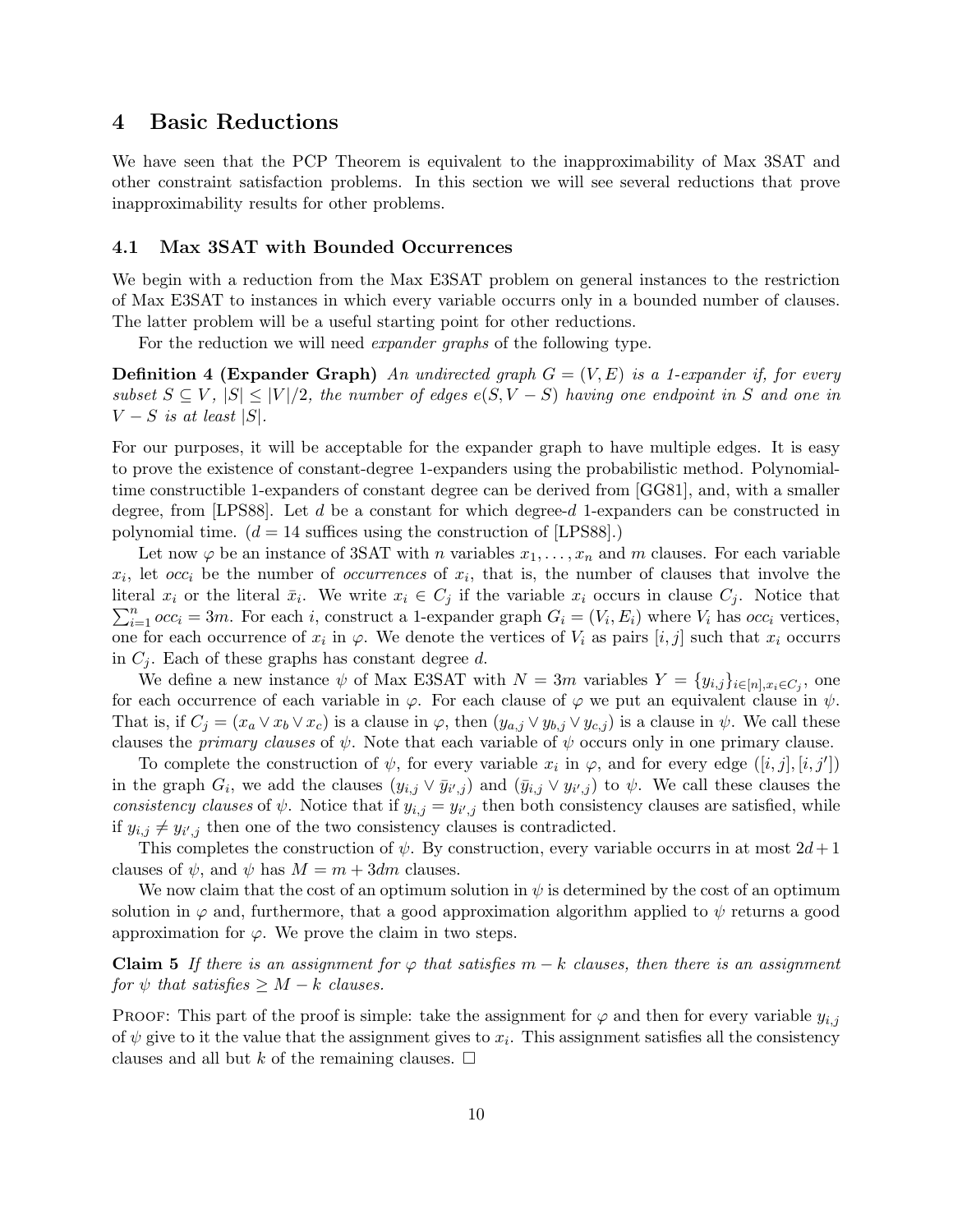## 4 Basic Reductions

We have seen that the PCP Theorem is equivalent to the inapproximability of Max 3SAT and other constraint satisfaction problems. In this section we will see several reductions that prove inapproximability results for other problems.

## 4.1 Max 3SAT with Bounded Occurrences

We begin with a reduction from the Max E3SAT problem on general instances to the restriction of Max E3SAT to instances in which every variable occurrs only in a bounded number of clauses. The latter problem will be a useful starting point for other reductions.

For the reduction we will need *expander graphs* of the following type.

**Definition 4 (Expander Graph)** An undirected graph  $G = (V, E)$  is a 1-expander if, for every subset  $S \subseteq V$ ,  $|S| \leq |V|/2$ , the number of edges  $e(S, V - S)$  having one endpoint in S and one in  $V-S$  is at least  $|S|$ .

For our purposes, it will be acceptable for the expander graph to have multiple edges. It is easy to prove the existence of constant-degree 1-expanders using the probabilistic method. Polynomialtime constructible 1-expanders of constant degree can be derived from [GG81], and, with a smaller degree, from [LPS88]. Let  $d$  be a constant for which degree- $d$  1-expanders can be constructed in polynomial time.  $(d = 14$  suffices using the construction of [LPS88].)

Let now  $\varphi$  be an instance of SSAT with n variables  $x_1, \ldots, x_n$  and m clauses. For each variable  $x_i$ , let  $occ_i$  be the number of *occurrences* of  $x_i$ , that is, the number of clauses that involve the literal  $x_i$  or the literal  $\bar{x}_i$ . We write  $x_i \in C_j$  if the variable  $x_i$  occurs in clause  $C_j$ . Notice that  $\sum_{i=1}^{n} occ_i = 3m$ . For each *i*, construct a 1-expander graph  $G_i = (V_i, E_i)$  where  $V_i$  has *occ<sub>i</sub>* vertices, one for each occurrence of  $x_i$  in  $\varphi$ . We denote the vertices of  $V_i$  as pairs  $[i, j]$  such that  $x_i$  occurrs in  $C_i$ . Each of these graphs has constant degree d.

We define a new instance  $\psi$  of Max E3SAT with  $N = 3m$  variables  $Y = \{y_{i,j}\}_{i \in [n], x_i \in C_j}$ , one for each occurrence of each variable in  $\varphi$ . For each clause of  $\varphi$  we put an equivalent clause in  $\psi$ . That is, if  $C_j = (x_a \vee x_b \vee x_c)$  is a clause in  $\varphi$ , then  $(y_{a,j} \vee y_{b,j} \vee y_{c,j})$  is a clause in  $\psi$ . We call these clauses the *primary clauses* of  $\psi$ . Note that each variable of  $\psi$  occurs only in one primary clause.

To complete the construction of  $\psi$ , for every variable  $x_i$  in  $\varphi$ , and for every edge  $([i,j],[i,j'])$ in the graph  $G_i$ , we add the clauses  $(y_{i,j} \vee \bar{y}_{i',j})$  and  $(\bar{y}_{i,j} \vee y_{i',j})$  to  $\psi$ . We call these clauses the consistency clauses of  $\psi$ . Notice that if  $y_{i,j} = y_{i',j}$  then both consistency clauses are satisfied, while if  $y_{i,j} \neq y_{i',j}$  then one of the two consistency clauses is contradicted.

This completes the construction of  $\psi$ . By construction, every variable occurrs in at most  $2d+1$ clauses of  $\psi$ , and  $\psi$  has  $M = m + 3dm$  clauses.

We now claim that the cost of an optimum solution in  $\psi$  is determined by the cost of an optimum solution in  $\varphi$  and, furthermore, that a good approximation algorithm applied to  $\psi$  returns a good approximation for  $\varphi$ . We prove the claim in two steps.

**Claim 5** If there is an assignment for  $\varphi$  that satisfies  $m - k$  clauses, then there is an assignment for  $\psi$  that satisfies  $\geq M - k$  clauses.

PROOF: This part of the proof is simple: take the assignment for  $\varphi$  and then for every variable  $y_{i,j}$ of  $\psi$  give to it the value that the assignment gives to  $x_i$ . This assignment satisfies all the consistency clauses and all but k of the remaining clauses.  $\Box$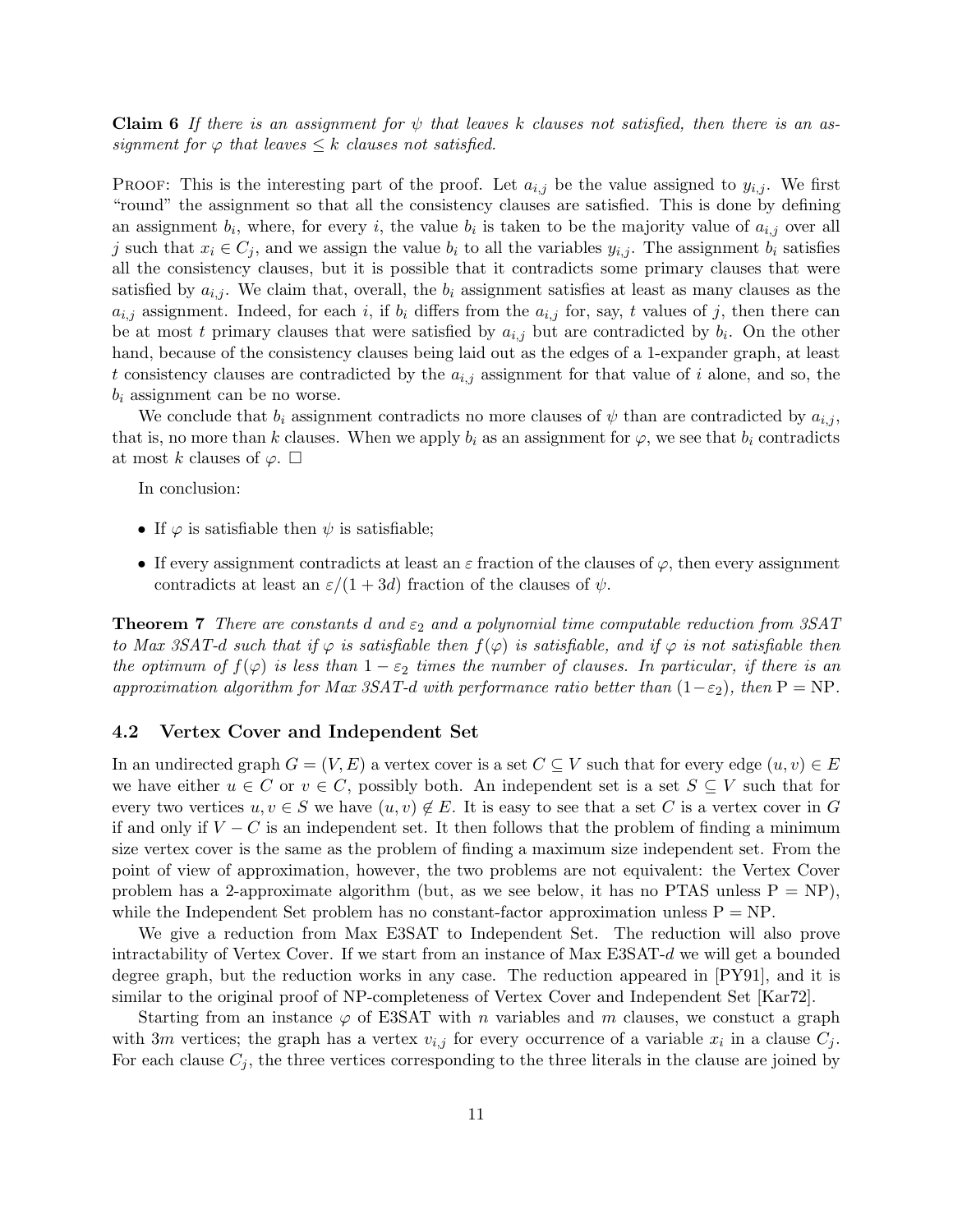**Claim 6** If there is an assignment for  $\psi$  that leaves k clauses not satisfied, then there is an assignment for  $\varphi$  that leaves  $\leq k$  clauses not satisfied.

**PROOF:** This is the interesting part of the proof. Let  $a_{i,j}$  be the value assigned to  $y_{i,j}$ . We first "round" the assignment so that all the consistency clauses are satisfied. This is done by defining an assignment  $b_i$ , where, for every i, the value  $b_i$  is taken to be the majority value of  $a_{i,j}$  over all j such that  $x_i \in C_j$ , and we assign the value  $b_i$  to all the variables  $y_{i,j}$ . The assignment  $b_i$  satisfies all the consistency clauses, but it is possible that it contradicts some primary clauses that were satisfied by  $a_{i,j}$ . We claim that, overall, the  $b_i$  assignment satisfies at least as many clauses as the  $a_{i,j}$  assignment. Indeed, for each i, if  $b_i$  differs from the  $a_{i,j}$  for, say, t values of j, then there can be at most t primary clauses that were satisfied by  $a_{i,j}$  but are contradicted by  $b_i$ . On the other hand, because of the consistency clauses being laid out as the edges of a 1-expander graph, at least t consistency clauses are contradicted by the  $a_{i,j}$  assignment for that value of i alone, and so, the  $b_i$  assignment can be no worse.

We conclude that  $b_i$  assignment contradicts no more clauses of  $\psi$  than are contradicted by  $a_{i,j}$ , that is, no more than k clauses. When we apply  $b_i$  as an assignment for  $\varphi$ , we see that  $b_i$  contradicts at most k clauses of  $\varphi$ .  $\square$ 

In conclusion:

- If  $\varphi$  is satisfiable then  $\psi$  is satisfiable;
- If every assignment contradicts at least an  $\varepsilon$  fraction of the clauses of  $\varphi$ , then every assignment contradicts at least an  $\varepsilon/(1+3d)$  fraction of the clauses of  $\psi$ .

**Theorem 7** There are constants d and  $\varepsilon_2$  and a polynomial time computable reduction from 3SAT to Max 3SAT-d such that if  $\varphi$  is satisfiable then  $f(\varphi)$  is satisfiable, and if  $\varphi$  is not satisfiable then the optimum of  $f(\varphi)$  is less than  $1-\varepsilon_2$  times the number of clauses. In particular, if there is an approximation algorithm for Max 3SAT-d with performance ratio better than  $(1-\varepsilon_2)$ , then P = NP.

#### 4.2 Vertex Cover and Independent Set

In an undirected graph  $G = (V, E)$  a vertex cover is a set  $C \subseteq V$  such that for every edge  $(u, v) \in E$ we have either  $u \in C$  or  $v \in C$ , possibly both. An independent set is a set  $S \subseteq V$  such that for every two vertices  $u, v \in S$  we have  $(u, v) \notin E$ . It is easy to see that a set C is a vertex cover in G if and only if  $V - C$  is an independent set. It then follows that the problem of finding a minimum size vertex cover is the same as the problem of finding a maximum size independent set. From the point of view of approximation, however, the two problems are not equivalent: the Vertex Cover problem has a 2-approximate algorithm (but, as we see below, it has no PTAS unless  $P = NP$ ), while the Independent Set problem has no constant-factor approximation unless  $P = NP$ .

We give a reduction from Max E3SAT to Independent Set. The reduction will also prove intractability of Vertex Cover. If we start from an instance of Max E3SAT-d we will get a bounded degree graph, but the reduction works in any case. The reduction appeared in [PY91], and it is similar to the original proof of NP-completeness of Vertex Cover and Independent Set [Kar72].

Starting from an instance  $\varphi$  of E3SAT with n variables and m clauses, we constuct a graph with 3m vertices; the graph has a vertex  $v_{i,j}$  for every occurrence of a variable  $x_i$  in a clause  $C_j$ . For each clause  $C_i$ , the three vertices corresponding to the three literals in the clause are joined by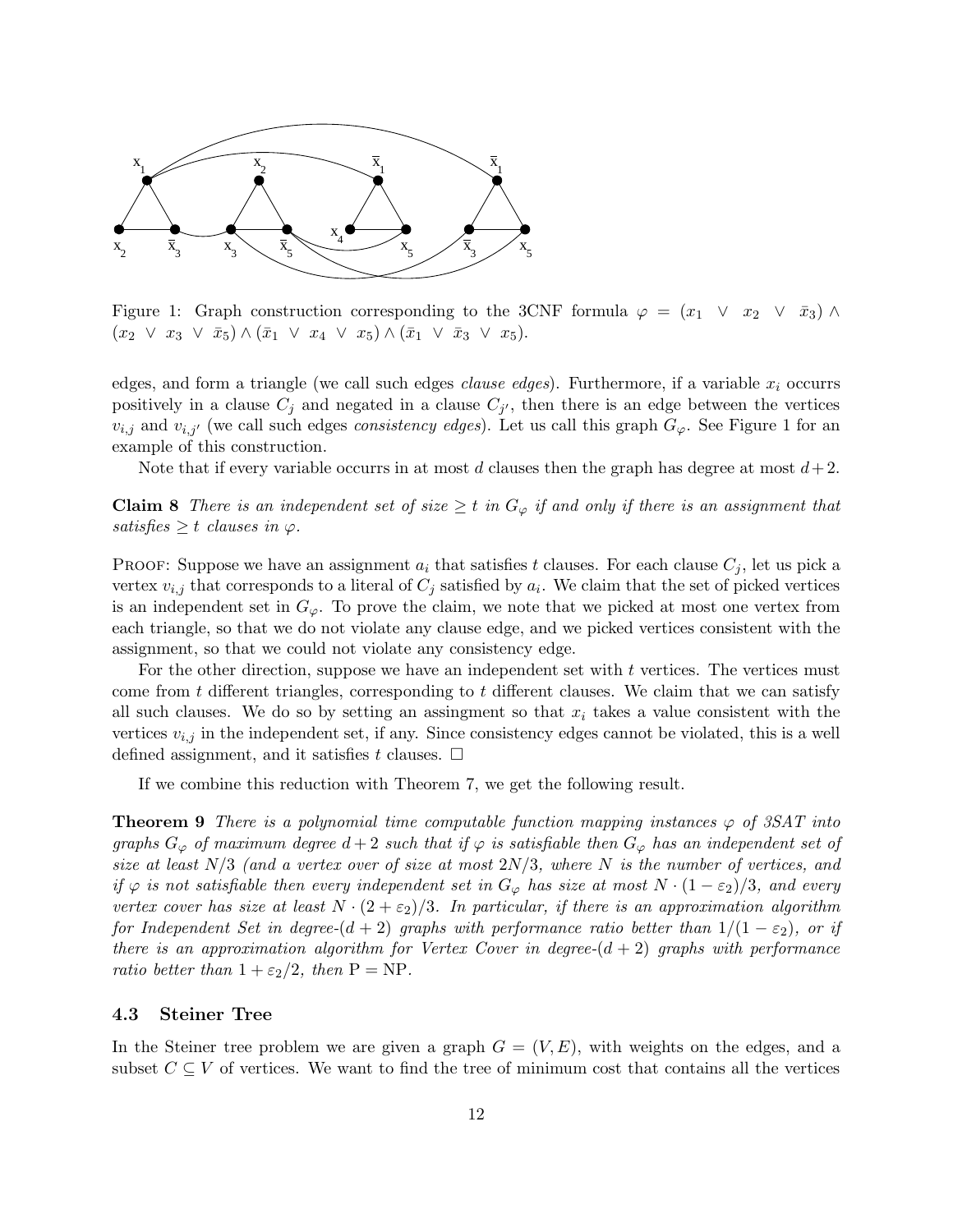

Figure 1: Graph construction corresponding to the 3CNF formula  $\varphi = (x_1 \lor x_2 \lor \bar{x}_3) \land$  $(x_2 \vee x_3 \vee \bar{x}_5) \wedge (\bar{x}_1 \vee x_4 \vee x_5) \wedge (\bar{x}_1 \vee \bar{x}_3 \vee x_5).$ 

edges, and form a triangle (we call such edges *clause edges*). Furthermore, if a variable  $x_i$  occurrs positively in a clause  $C_j$  and negated in a clause  $C_{j'}$ , then there is an edge between the vertices  $v_{i,j}$  and  $v_{i,j'}$  (we call such edges *consistency edges*). Let us call this graph  $G_{\varphi}$ . See Figure 1 for an example of this construction.

Note that if every variable occurrs in at most d clauses then the graph has degree at most  $d+2$ .

**Claim 8** There is an independent set of size  $\geq t$  in  $G_{\varphi}$  if and only if there is an assignment that satisfies  $\geq t$  clauses in  $\varphi$ .

PROOF: Suppose we have an assignment  $a_i$  that satisfies t clauses. For each clause  $C_j$ , let us pick a vertex  $v_{i,j}$  that corresponds to a literal of  $C_j$  satisfied by  $a_i$ . We claim that the set of picked vertices is an independent set in  $G_{\varphi}$ . To prove the claim, we note that we picked at most one vertex from each triangle, so that we do not violate any clause edge, and we picked vertices consistent with the assignment, so that we could not violate any consistency edge.

For the other direction, suppose we have an independent set with t vertices. The vertices must come from  $t$  different triangles, corresponding to  $t$  different clauses. We claim that we can satisfy all such clauses. We do so by setting an assingment so that  $x_i$  takes a value consistent with the vertices  $v_{i,j}$  in the independent set, if any. Since consistency edges cannot be violated, this is a well defined assignment, and it satisfies t clauses.  $\Box$ 

If we combine this reduction with Theorem 7, we get the following result.

**Theorem 9** There is a polynomial time computable function mapping instances  $\varphi$  of 3SAT into graphs  $G_{\varphi}$  of maximum degree  $d+2$  such that if  $\varphi$  is satisfiable then  $G_{\varphi}$  has an independent set of size at least  $N/3$  (and a vertex over of size at most  $2N/3$ , where N is the number of vertices, and if  $\varphi$  is not satisfiable then every independent set in  $G_{\varphi}$  has size at most  $N \cdot (1 - \varepsilon_2)/3$ , and every vertex cover has size at least  $N \cdot (2 + \varepsilon_2)/3$ . In particular, if there is an approximation algorithm for Independent Set in degree- $(d + 2)$  graphs with performance ratio better than  $1/(1 - \varepsilon_2)$ , or if there is an approximation algorithm for Vertex Cover in degree- $(d + 2)$  graphs with performance ratio better than  $1 + \varepsilon_2/2$ , then  $P = NP$ .

#### 4.3 Steiner Tree

In the Steiner tree problem we are given a graph  $G = (V, E)$ , with weights on the edges, and a subset  $C \subseteq V$  of vertices. We want to find the tree of minimum cost that contains all the vertices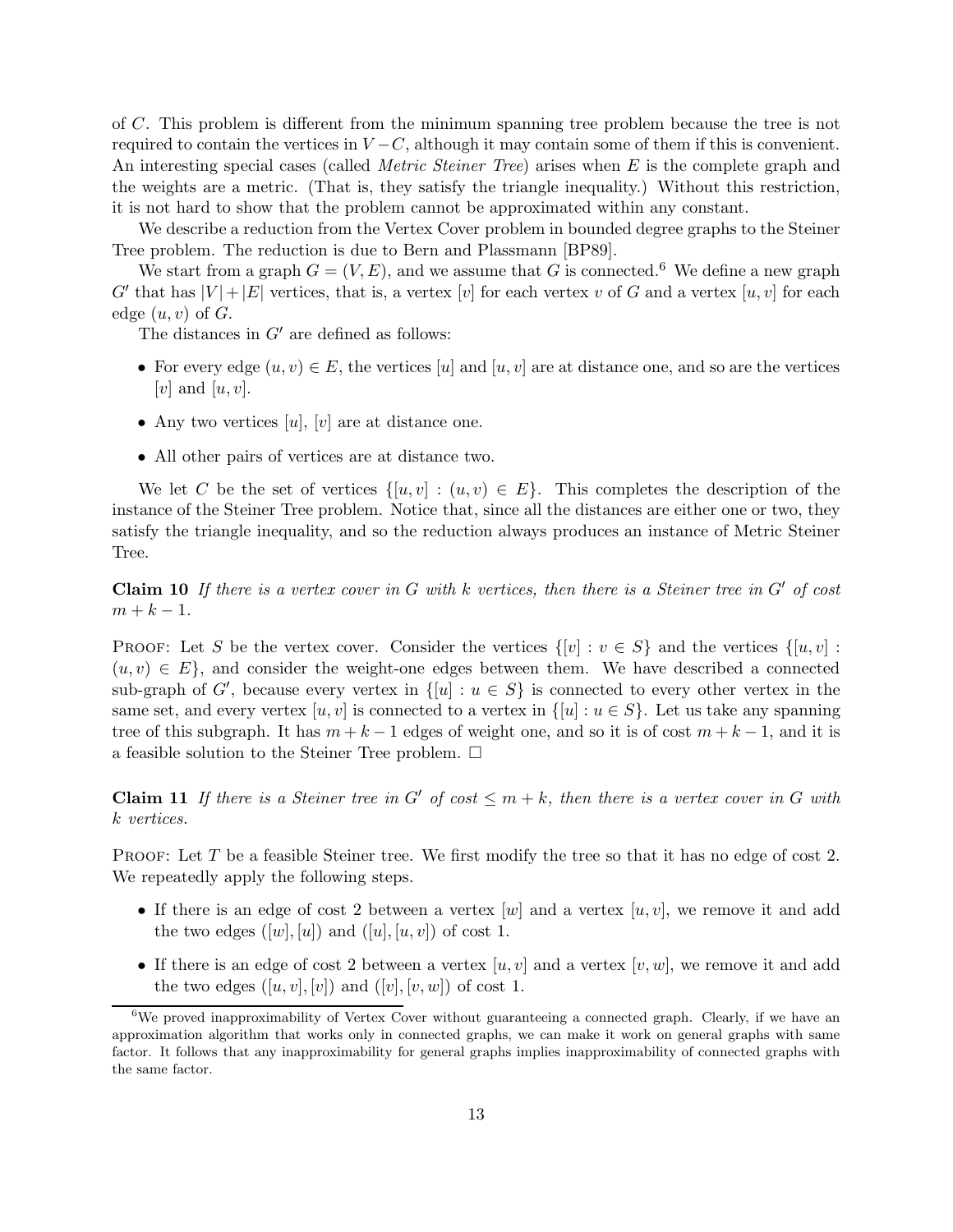of C. This problem is different from the minimum spanning tree problem because the tree is not required to contain the vertices in  $V - C$ , although it may contain some of them if this is convenient. An interesting special cases (called *Metric Steiner Tree*) arises when E is the complete graph and the weights are a metric. (That is, they satisfy the triangle inequality.) Without this restriction, it is not hard to show that the problem cannot be approximated within any constant.

We describe a reduction from the Vertex Cover problem in bounded degree graphs to the Steiner Tree problem. The reduction is due to Bern and Plassmann [BP89].

We start from a graph  $G = (V, E)$ , and we assume that G is connected.<sup>6</sup> We define a new graph  $G'$  that has  $|V| + |E|$  vertices, that is, a vertex  $[v]$  for each vertex  $v$  of  $G$  and a vertex  $[u, v]$  for each edge  $(u, v)$  of  $G$ .

The distances in  $G'$  are defined as follows:

- For every edge  $(u, v) \in E$ , the vertices  $[u]$  and  $[u, v]$  are at distance one, and so are the vertices [v] and  $[u, v]$ .
- Any two vertices  $[u], [v]$  are at distance one.
- All other pairs of vertices are at distance two.

We let C be the set of vertices  $\{[u,v] : (u,v) \in E\}$ . This completes the description of the instance of the Steiner Tree problem. Notice that, since all the distances are either one or two, they satisfy the triangle inequality, and so the reduction always produces an instance of Metric Steiner Tree.

**Claim 10** If there is a vertex cover in G with k vertices, then there is a Steiner tree in  $G'$  of cost  $m + k - 1$ .

PROOF: Let S be the vertex cover. Consider the vertices  $\{[v] : v \in S\}$  and the vertices  $\{[u, v] : v \in S\}$  $(u, v) \in E$ , and consider the weight-one edges between them. We have described a connected sub-graph of G', because every vertex in  $\{[u] : u \in S\}$  is connected to every other vertex in the same set, and every vertex  $[u, v]$  is connected to a vertex in  $\{[u] : u \in S\}$ . Let us take any spanning tree of this subgraph. It has  $m + k - 1$  edges of weight one, and so it is of cost  $m + k - 1$ , and it is a feasible solution to the Steiner Tree problem.  $\Box$ 

**Claim 11** If there is a Steiner tree in G' of cost  $\leq m+k$ , then there is a vertex cover in G with k vertices.

PROOF: Let T be a feasible Steiner tree. We first modify the tree so that it has no edge of cost 2. We repeatedly apply the following steps.

- If there is an edge of cost 2 between a vertex  $[w]$  and a vertex  $[u,v]$ , we remove it and add the two edges  $([w], [u])$  and  $([u], [u, v])$  of cost 1.
- If there is an edge of cost 2 between a vertex  $[u, v]$  and a vertex  $[v, w]$ , we remove it and add the two edges  $([u, v], [v])$  and  $([v], [v, w])$  of cost 1.

 $6$ We proved inapproximability of Vertex Cover without guaranteeing a connected graph. Clearly, if we have an approximation algorithm that works only in connected graphs, we can make it work on general graphs with same factor. It follows that any inapproximability for general graphs implies inapproximability of connected graphs with the same factor.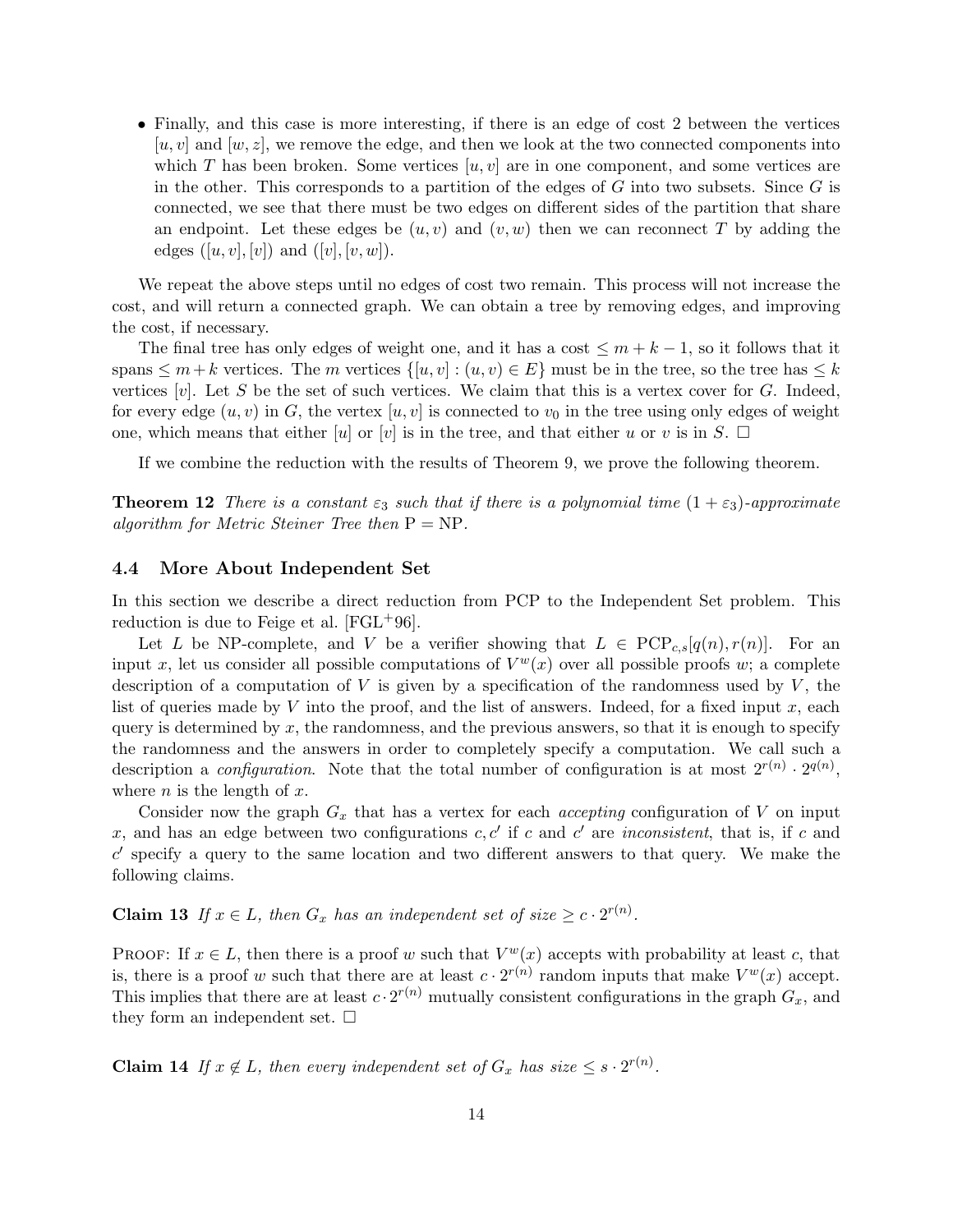• Finally, and this case is more interesting, if there is an edge of cost 2 between the vertices  $[u, v]$  and  $[w, z]$ , we remove the edge, and then we look at the two connected components into which T has been broken. Some vertices  $[u,v]$  are in one component, and some vertices are in the other. This corresponds to a partition of the edges of  $G$  into two subsets. Since  $G$  is connected, we see that there must be two edges on different sides of the partition that share an endpoint. Let these edges be  $(u, v)$  and  $(v, w)$  then we can reconnect T by adding the edges  $([u, v], [v])$  and  $([v], [v, w])$ .

We repeat the above steps until no edges of cost two remain. This process will not increase the cost, and will return a connected graph. We can obtain a tree by removing edges, and improving the cost, if necessary.

The final tree has only edges of weight one, and it has a cost  $\leq m + k - 1$ , so it follows that it spans  $\leq m+k$  vertices. The m vertices  $\{[u,v] : (u,v) \in E\}$  must be in the tree, so the tree has  $\leq k$ vertices  $[v]$ . Let S be the set of such vertices. We claim that this is a vertex cover for G. Indeed, for every edge  $(u, v)$  in G, the vertex  $[u, v]$  is connected to  $v_0$  in the tree using only edges of weight one, which means that either |u| or |v| is in the tree, and that either u or v is in S.  $\Box$ 

If we combine the reduction with the results of Theorem 9, we prove the following theorem.

**Theorem 12** There is a constant  $\varepsilon_3$  such that if there is a polynomial time  $(1 + \varepsilon_3)$ -approximate algorithm for Metric Steiner Tree then  $P = NP$ .

## 4.4 More About Independent Set

In this section we describe a direct reduction from PCP to the Independent Set problem. This reduction is due to Feige et al. [FGL+96].

Let L be NP-complete, and V be a verifier showing that  $L \in \text{PCP}_{c,s}[q(n),r(n)]$ . For an input x, let us consider all possible computations of  $V^w(x)$  over all possible proofs w; a complete description of a computation of  $V$  is given by a specification of the randomness used by  $V$ , the list of queries made by V into the proof, and the list of answers. Indeed, for a fixed input  $x$ , each query is determined by  $x$ , the randomness, and the previous answers, so that it is enough to specify the randomness and the answers in order to completely specify a computation. We call such a description a *configuration*. Note that the total number of configuration is at most  $2^{r(n)} \cdot 2^{q(n)}$ , where *n* is the length of  $x$ .

Consider now the graph  $G_x$  that has a vertex for each *accepting* configuration of V on input x, and has an edge between two configurations  $c, c'$  if c and c' are *inconsistent*, that is, if c and  $c'$  specify a query to the same location and two different answers to that query. We make the following claims.

**Claim 13** If  $x \in L$ , then  $G_x$  has an independent set of size  $\geq c \cdot 2^{r(n)}$ .

PROOF: If  $x \in L$ , then there is a proof w such that  $V^w(x)$  accepts with probability at least c, that is, there is a proof w such that there are at least  $c \cdot 2^{r(n)}$  random inputs that make  $V^w(x)$  accept. This implies that there are at least  $c \cdot 2^{r(n)}$  mutually consistent configurations in the graph  $G_x$ , and they form an independent set.  $\square$ 

**Claim 14** If  $x \notin L$ , then every independent set of  $G_x$  has size  $\leq s \cdot 2^{r(n)}$ .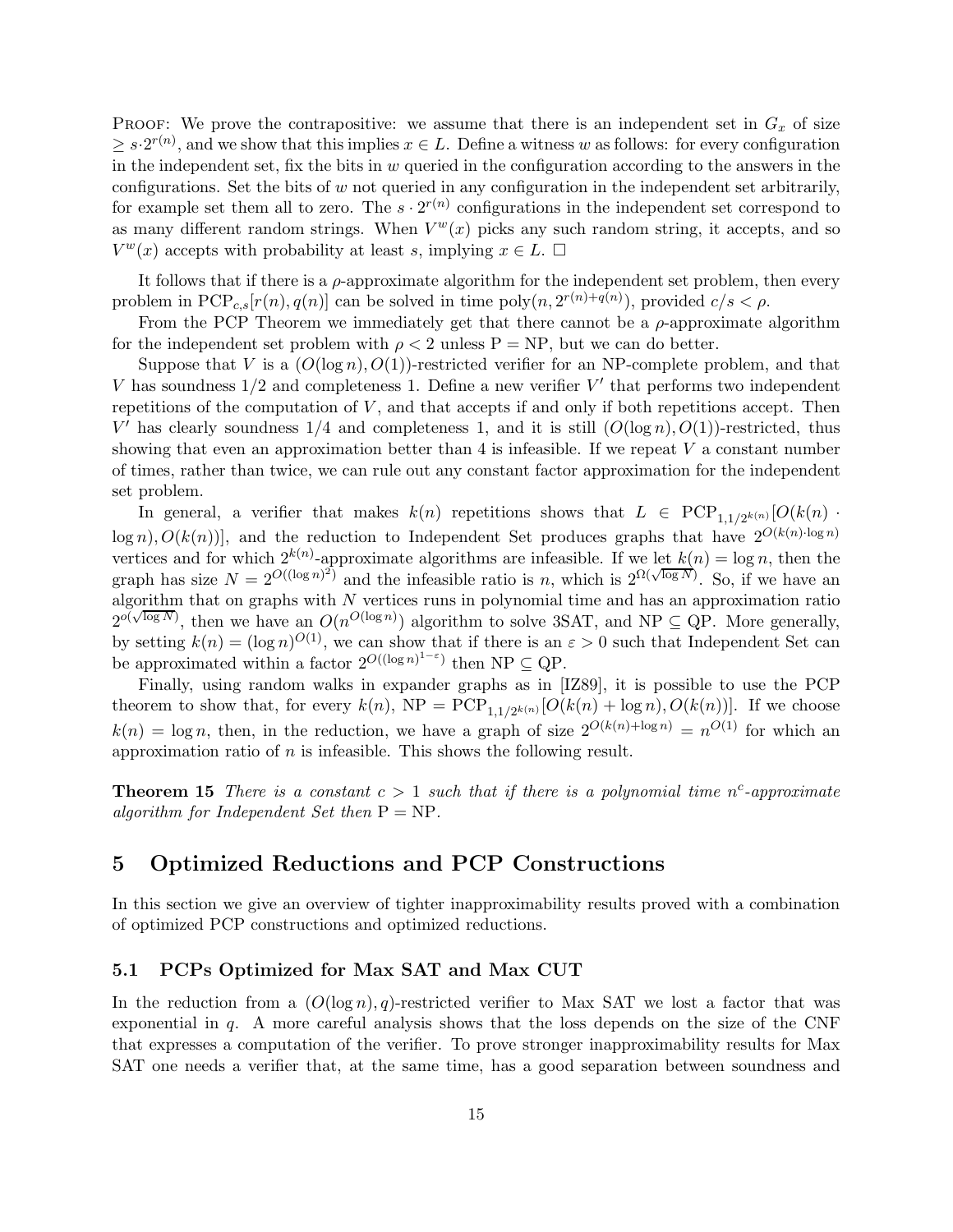PROOF: We prove the contrapositive: we assume that there is an independent set in  $G_x$  of size  $\geq s \cdot 2^{r(n)}$ , and we show that this implies  $x \in L$ . Define a witness w as follows: for every configuration in the independent set, fix the bits in  $w$  queried in the configuration according to the answers in the configurations. Set the bits of  $w$  not queried in any configuration in the independent set arbitrarily, for example set them all to zero. The  $s \cdot 2^{r(n)}$  configurations in the independent set correspond to as many different random strings. When  $V^w(x)$  picks any such random string, it accepts, and so  $V^w(x)$  accepts with probability at least s, implying  $x \in L$ .  $\Box$ 

It follows that if there is a  $\rho$ -approximate algorithm for the independent set problem, then every problem in  $PCP_{c,s}[r(n), q(n)]$  can be solved in time  $poly(n, 2^{r(n)+q(n)})$ , provided  $c/s < \rho$ .

From the PCP Theorem we immediately get that there cannot be a  $\rho$ -approximate algorithm for the independent set problem with  $\rho < 2$  unless P = NP, but we can do better.

Suppose that V is a  $(O(\log n), O(1))$ -restricted verifier for an NP-complete problem, and that V has soundness  $1/2$  and completeness 1. Define a new verifier V' that performs two independent repetitions of the computation of  $V$ , and that accepts if and only if both repetitions accept. Then V' has clearly soundness  $1/4$  and completeness 1, and it is still  $(O(\log n), O(1))$ -restricted, thus showing that even an approximation better than  $4$  is infeasible. If we repeat V a constant number of times, rather than twice, we can rule out any constant factor approximation for the independent set problem.

In general, a verifier that makes  $k(n)$  repetitions shows that  $L \in {\rm PCP}_{1,1/2^{k(n)}}[O(k(n)$ .  $\log n$ ,  $O(k(n))$ , and the reduction to Independent Set produces graphs that have  $2^{O(k(n)\cdot \log n)}$ vertices and for which  $2^{k(n)}$ -approximate algorithms are infeasible. If we let  $k(n) = \log n$ , then the graph has size  $N = 2^{O((\log n)^2)}$  and the infeasible ratio is n, which is  $2^{\Omega(\sqrt{\log N})}$ . So, if we have an algorithm that on graphs with  $N$  vertices runs in polynomial time and has an approximation ratio  $2^{o(\sqrt{\log N})}$ , then we have an  $O(n^{O(\log n)})$  algorithm to solve 3SAT, and NP  $\subseteq$  QP. More generally, by setting  $k(n) = (\log n)^{O(1)}$ , we can show that if there is an  $\varepsilon > 0$  such that Independent Set can be approximated within a factor  $2^{O((\log n)^{1-\varepsilon})}$  then NP  $\subseteq$  QP.

Finally, using random walks in expander graphs as in [IZ89], it is possible to use the PCP theorem to show that, for every  $k(n)$ ,  $NP = PCP_{1,1/2^{k(n)}}[O(k(n) + \log n), O(k(n))]$ . If we choose  $k(n) = \log n$ , then, in the reduction, we have a graph of size  $2^{O(k(n)+\log n)} = n^{O(1)}$  for which an approximation ratio of  $n$  is infeasible. This shows the following result.

**Theorem 15** There is a constant  $c > 1$  such that if there is a polynomial time n<sup>c</sup>-approximate algorithm for Independent Set then  $P = NP$ .

## 5 Optimized Reductions and PCP Constructions

In this section we give an overview of tighter inapproximability results proved with a combination of optimized PCP constructions and optimized reductions.

### 5.1 PCPs Optimized for Max SAT and Max CUT

In the reduction from a  $(O(\log n), q)$ -restricted verifier to Max SAT we lost a factor that was exponential in  $q$ . A more careful analysis shows that the loss depends on the size of the CNF that expresses a computation of the verifier. To prove stronger inapproximability results for Max SAT one needs a verifier that, at the same time, has a good separation between soundness and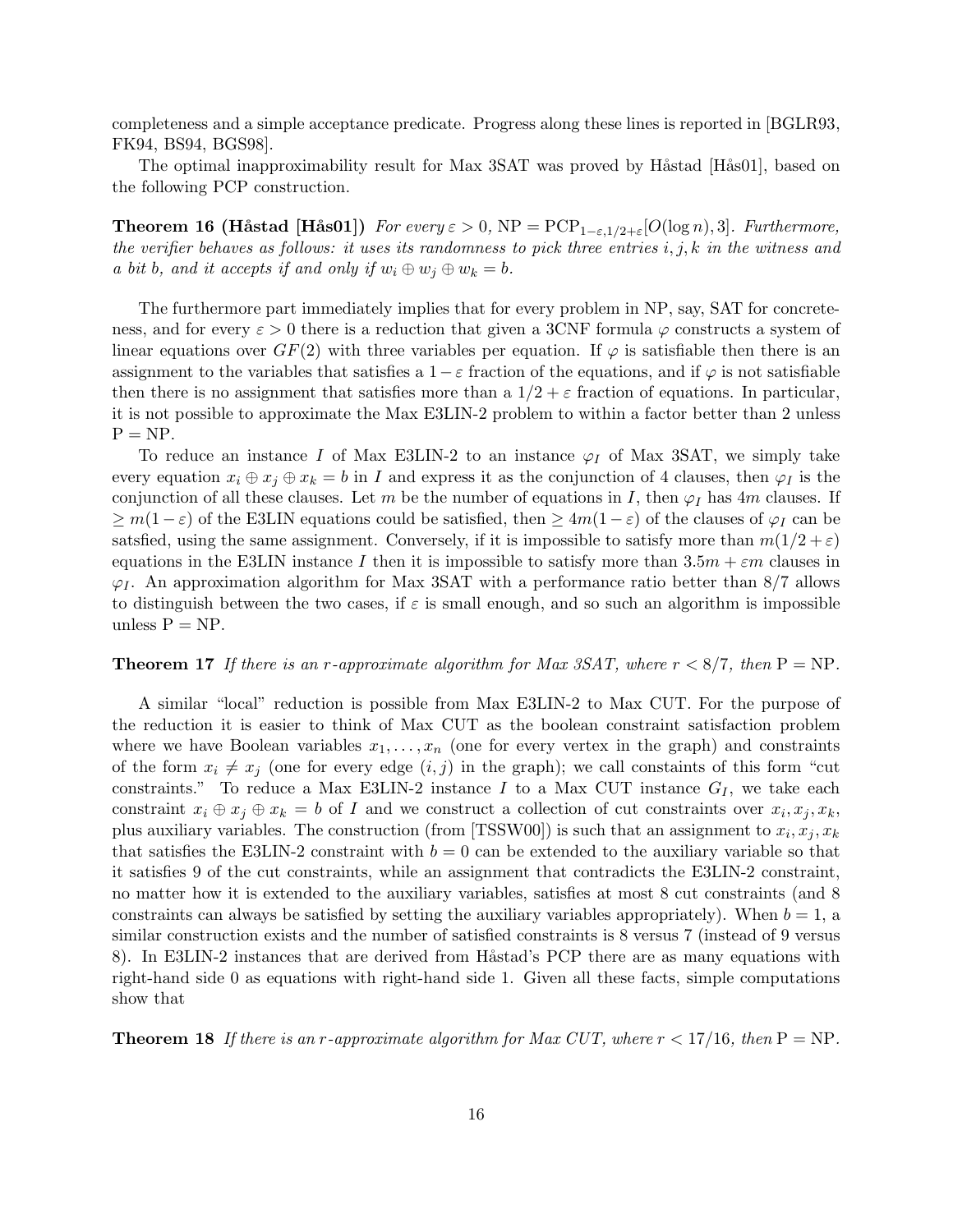completeness and a simple acceptance predicate. Progress along these lines is reported in [BGLR93, FK94, BS94, BGS98].

The optimal inapproximability result for Max 3SAT was proved by Håstad [Hås01], based on the following PCP construction.

**Theorem 16 (Håstad [Hås01])** For every  $\varepsilon > 0$ , NP = PCP<sub>1- $\varepsilon$ ,1/2+ $\varepsilon$ [ $O(\log n)$ , 3]. Furthermore,</sub> the verifier behaves as follows: it uses its randomness to pick three entries  $i, j, k$  in the witness and a bit b, and it accepts if and only if  $w_i \oplus w_j \oplus w_k = b$ .

The furthermore part immediately implies that for every problem in NP, say, SAT for concreteness, and for every  $\varepsilon > 0$  there is a reduction that given a 3CNF formula  $\varphi$  constructs a system of linear equations over  $GF(2)$  with three variables per equation. If  $\varphi$  is satisfiable then there is an assignment to the variables that satisfies a  $1-\varepsilon$  fraction of the equations, and if  $\varphi$  is not satisfiable then there is no assignment that satisfies more than a  $1/2 + \varepsilon$  fraction of equations. In particular, it is not possible to approximate the Max E3LIN-2 problem to within a factor better than 2 unless  $P = NP$ .

To reduce an instance I of Max E3LIN-2 to an instance  $\varphi_I$  of Max 3SAT, we simply take every equation  $x_i \oplus x_j \oplus x_k = b$  in I and express it as the conjunction of 4 clauses, then  $\varphi_I$  is the conjunction of all these clauses. Let m be the number of equations in I, then  $\varphi_I$  has 4m clauses. If  $\geq m(1-\varepsilon)$  of the E3LIN equations could be satisfied, then  $\geq 4m(1-\varepsilon)$  of the clauses of  $\varphi_I$  can be satsfied, using the same assignment. Conversely, if it is impossible to satisfy more than  $m(1/2 + \varepsilon)$ equations in the E3LIN instance I then it is impossible to satisfy more than  $3.5m + \varepsilon m$  clauses in  $\varphi$ . An approximation algorithm for Max 3SAT with a performance ratio better than 8/7 allows to distinguish between the two cases, if  $\varepsilon$  is small enough, and so such an algorithm is impossible unless  $P = NP$ .

#### **Theorem 17** If there is an r-approximate algorithm for Max 3SAT, where  $r < 8/7$ , then  $P = NP$ .

A similar "local" reduction is possible from Max E3LIN-2 to Max CUT. For the purpose of the reduction it is easier to think of Max CUT as the boolean constraint satisfaction problem where we have Boolean variables  $x_1, \ldots, x_n$  (one for every vertex in the graph) and constraints of the form  $x_i \neq x_j$  (one for every edge  $(i,j)$  in the graph); we call constaints of this form "cut constraints." To reduce a Max E3LIN-2 instance I to a Max CUT instance  $G_I$ , we take each constraint  $x_i \oplus x_j \oplus x_k = b$  of I and we construct a collection of cut constraints over  $x_i, x_j, x_k$ , plus auxiliary variables. The construction (from [TSSW00]) is such that an assignment to  $x_i, x_j, x_k$ that satisfies the E3LIN-2 constraint with  $b = 0$  can be extended to the auxiliary variable so that it satisfies 9 of the cut constraints, while an assignment that contradicts the E3LIN-2 constraint, no matter how it is extended to the auxiliary variables, satisfies at most 8 cut constraints (and 8 constraints can always be satisfied by setting the auxiliary variables appropriately). When  $b = 1$ , a similar construction exists and the number of satisfied constraints is 8 versus 7 (instead of 9 versus 8). In E3LIN-2 instances that are derived from Håstad's PCP there are as many equations with right-hand side 0 as equations with right-hand side 1. Given all these facts, simple computations show that

**Theorem 18** If there is an r-approximate algorithm for Max CUT, where  $r < 17/16$ , then  $P = NP$ .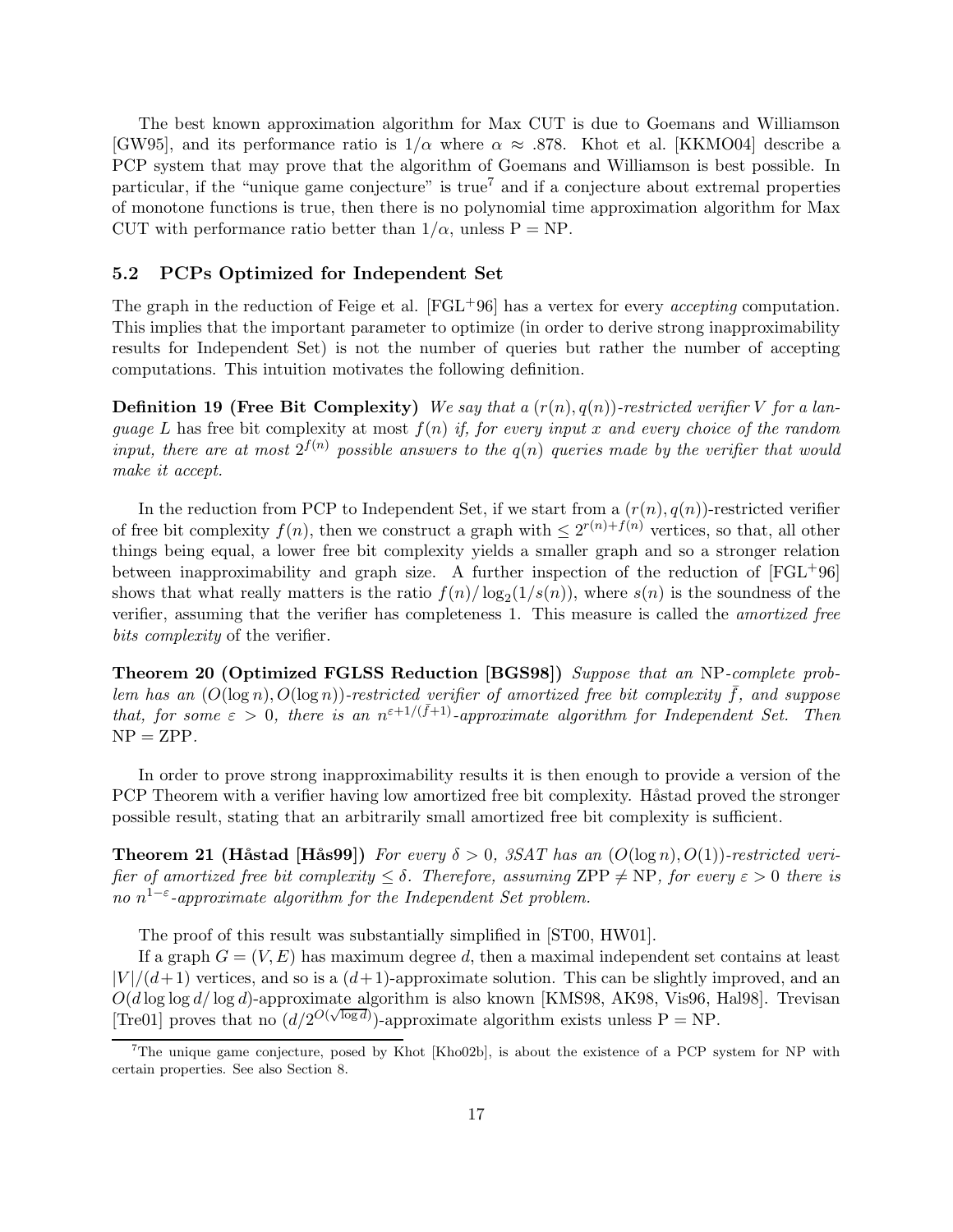The best known approximation algorithm for Max CUT is due to Goemans and Williamson [GW95], and its performance ratio is  $1/\alpha$  where  $\alpha \approx .878$ . Khot et al. [KKMO04] describe a PCP system that may prove that the algorithm of Goemans and Williamson is best possible. In particular, if the "unique game conjecture" is true<sup>7</sup> and if a conjecture about extremal properties of monotone functions is true, then there is no polynomial time approximation algorithm for Max CUT with performance ratio better than  $1/\alpha$ , unless P = NP.

### 5.2 PCPs Optimized for Independent Set

The graph in the reduction of Feige et al.  $[FGL^{+}96]$  has a vertex for every *accepting* computation. This implies that the important parameter to optimize (in order to derive strong inapproximability results for Independent Set) is not the number of queries but rather the number of accepting computations. This intuition motivates the following definition.

**Definition 19 (Free Bit Complexity)** We say that a  $(r(n), q(n))$ -restricted verifier V for a language L has free bit complexity at most  $f(n)$  if, for every input x and every choice of the random input, there are at most  $2^{f(n)}$  possible answers to the  $q(n)$  queries made by the verifier that would make it accept.

In the reduction from PCP to Independent Set, if we start from a  $(r(n),q(n))$ -restricted verifier of free bit complexity  $f(n)$ , then we construct a graph with  $\leq 2^{r(n)+f(n)}$  vertices, so that, all other things being equal, a lower free bit complexity yields a smaller graph and so a stronger relation between inapproximability and graph size. A further inspection of the reduction of  $[FGL^{+}96]$ shows that what really matters is the ratio  $f(n)/\log_2(1/s(n))$ , where  $s(n)$  is the soundness of the verifier, assuming that the verifier has completeness 1. This measure is called the amortized free bits *complexity* of the verifier.

Theorem 20 (Optimized FGLSS Reduction [BGS98]) Suppose that an NP-complete problem has an  $(O(\log n), O(\log n))$ -restricted verifier of amortized free bit complexity  $\bar{f}$ , and suppose that, for some  $\varepsilon > 0$ , there is an  $n^{\varepsilon+1/(\bar{f}+1)}$ -approximate algorithm for Independent Set. Then  $NP = ZPP$ .

In order to prove strong inapproximability results it is then enough to provide a version of the PCP Theorem with a verifier having low amortized free bit complexity. Håstad proved the stronger possible result, stating that an arbitrarily small amortized free bit complexity is sufficient.

**Theorem 21 (Håstad [Hås99])** For every  $\delta > 0$ , 3SAT has an  $(O(\log n), O(1))$ -restricted verifier of amortized free bit complexity  $\leq \delta$ . Therefore, assuming ZPP  $\neq$  NP, for every  $\varepsilon > 0$  there is no  $n^{1-\varepsilon}$ -approximate algorithm for the Independent Set problem.

The proof of this result was substantially simplified in [ST00, HW01].

If a graph  $G = (V, E)$  has maximum degree d, then a maximal independent set contains at least  $|V|/(d+1)$  vertices, and so is a  $(d+1)$ -approximate solution. This can be slightly improved, and an  $O(d \log \log d / \log d)$ -approximate algorithm is also known [KMS98, AK98, Vis96, Hal98]. Trevisan [Tre01] proves that no  $(d/2^{O(\sqrt{\log d})})$ -approximate algorithm exists unless P = NP.

<sup>&</sup>lt;sup>7</sup>The unique game conjecture, posed by Khot [Kho02b], is about the existence of a PCP system for NP with certain properties. See also Section 8.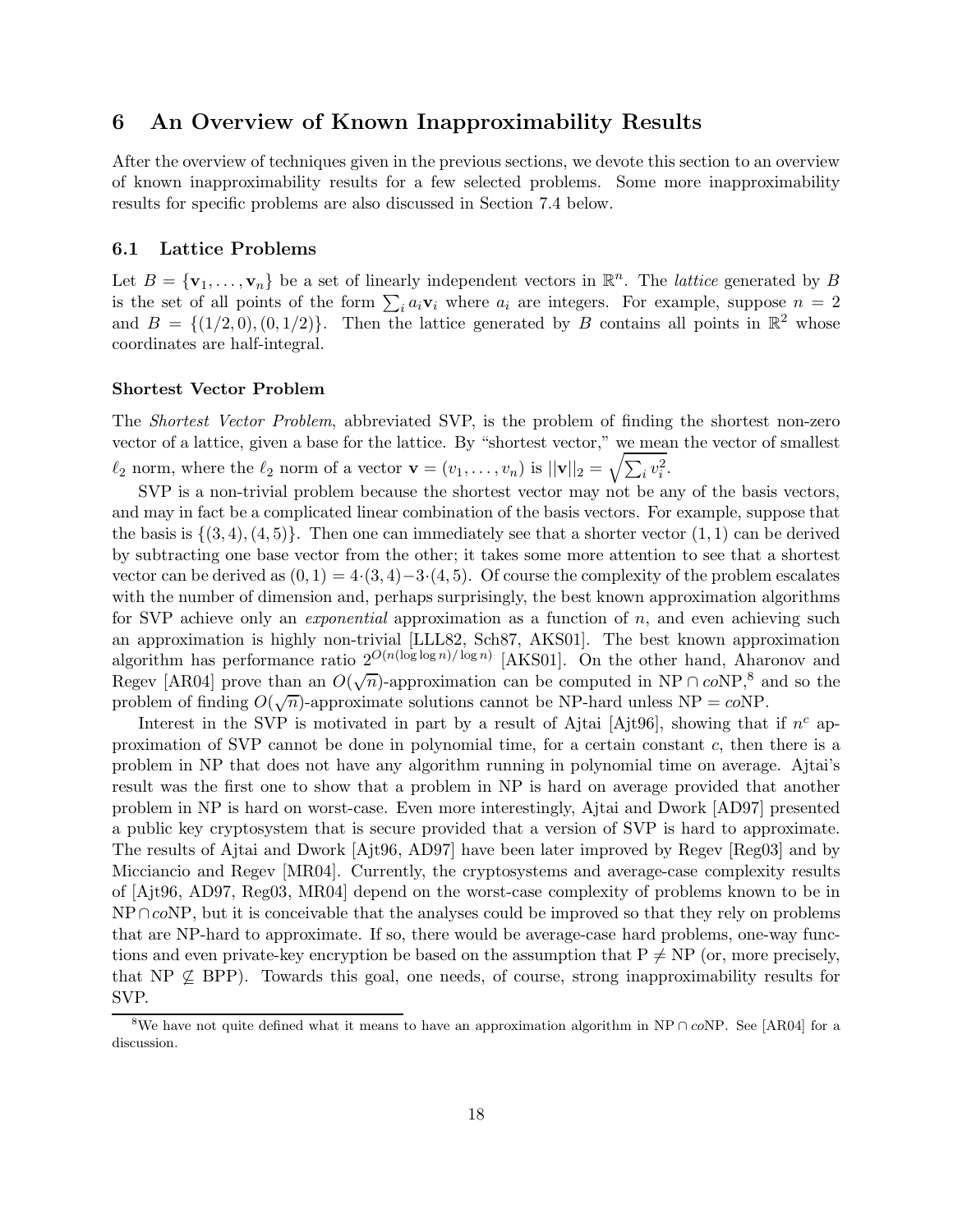## 6 An Overview of Known Inapproximability Results

After the overview of techniques given in the previous sections, we devote this section to an overview of known inapproximability results for a few selected problems. Some more inapproximability results for specific problems are also discussed in Section 7.4 below.

## 6.1 Lattice Problems

Let  $B = {\mathbf{v}_1, \dots, \mathbf{v}_n}$  be a set of linearly independent vectors in  $\mathbb{R}^n$ . The *lattice* generated by B is the set of all points of the form  $\sum_i a_i \mathbf{v}_i$  where  $a_i$  are integers. For example, suppose  $n = 2$ and  $B = \{(1/2, 0), (0, 1/2)\}\.$  Then the lattice generated by B contains all points in  $\mathbb{R}^2$  whose coordinates are half-integral.

## Shortest Vector Problem

The Shortest Vector Problem, abbreviated SVP, is the problem of finding the shortest non-zero vector of a lattice, given a base for the lattice. By "shortest vector," we mean the vector of smallest  $\ell_2$  norm, where the  $\ell_2$  norm of a vector  $\mathbf{v} = (v_1, \ldots, v_n)$  is  $||\mathbf{v}||_2 = \sqrt{\sum_i v_i^2}$ .

SVP is a non-trivial problem because the shortest vector may not be any of the basis vectors, and may in fact be a complicated linear combination of the basis vectors. For example, suppose that the basis is  $\{(3, 4), (4, 5)\}.$  Then one can immediately see that a shorter vector  $(1, 1)$  can be derived by subtracting one base vector from the other; it takes some more attention to see that a shortest vector can be derived as  $(0, 1) = 4\cdot(3, 4) - 3\cdot(4, 5)$ . Of course the complexity of the problem escalates with the number of dimension and, perhaps surprisingly, the best known approximation algorithms for SVP achieve only an *exponential* approximation as a function of  $n$ , and even achieving such an approximation is highly non-trivial [LLL82, Sch87, AKS01]. The best known approximation algorithm has performance ratio  $2^{O(n(\log \log n)/\log n)}$  [AKS01]. On the other hand, Aharonov and Regev [AR04] prove than an  $O(\sqrt{n})$ -approximation can be computed in NP ∩  $coNP,^8$  and so the problem of finding  $O(\sqrt{n})$ -approximate solutions cannot be NP-hard unless NP =  $coNP$ .

Interest in the SVP is motivated in part by a result of Ajtai [Ajt96], showing that if  $n^c$  approximation of SVP cannot be done in polynomial time, for a certain constant  $c$ , then there is a problem in NP that does not have any algorithm running in polynomial time on average. Ajtai's result was the first one to show that a problem in NP is hard on average provided that another problem in NP is hard on worst-case. Even more interestingly, Ajtai and Dwork [AD97] presented a public key cryptosystem that is secure provided that a version of SVP is hard to approximate. The results of Ajtai and Dwork [Ajt96, AD97] have been later improved by Regev [Reg03] and by Micciancio and Regev [MR04]. Currently, the cryptosystems and average-case complexity results of [Ajt96, AD97, Reg03, MR04] depend on the worst-case complexity of problems known to be in NP∩coNP, but it is conceivable that the analyses could be improved so that they rely on problems that are NP-hard to approximate. If so, there would be average-case hard problems, one-way functions and even private-key encryption be based on the assumption that  $P \neq NP$  (or, more precisely, that NP  $\not\subseteq$  BPP). Towards this goal, one needs, of course, strong inapproximability results for SVP.

<sup>&</sup>lt;sup>8</sup>We have not quite defined what it means to have an approximation algorithm in NP ∩ coNP. See [AR04] for a discussion.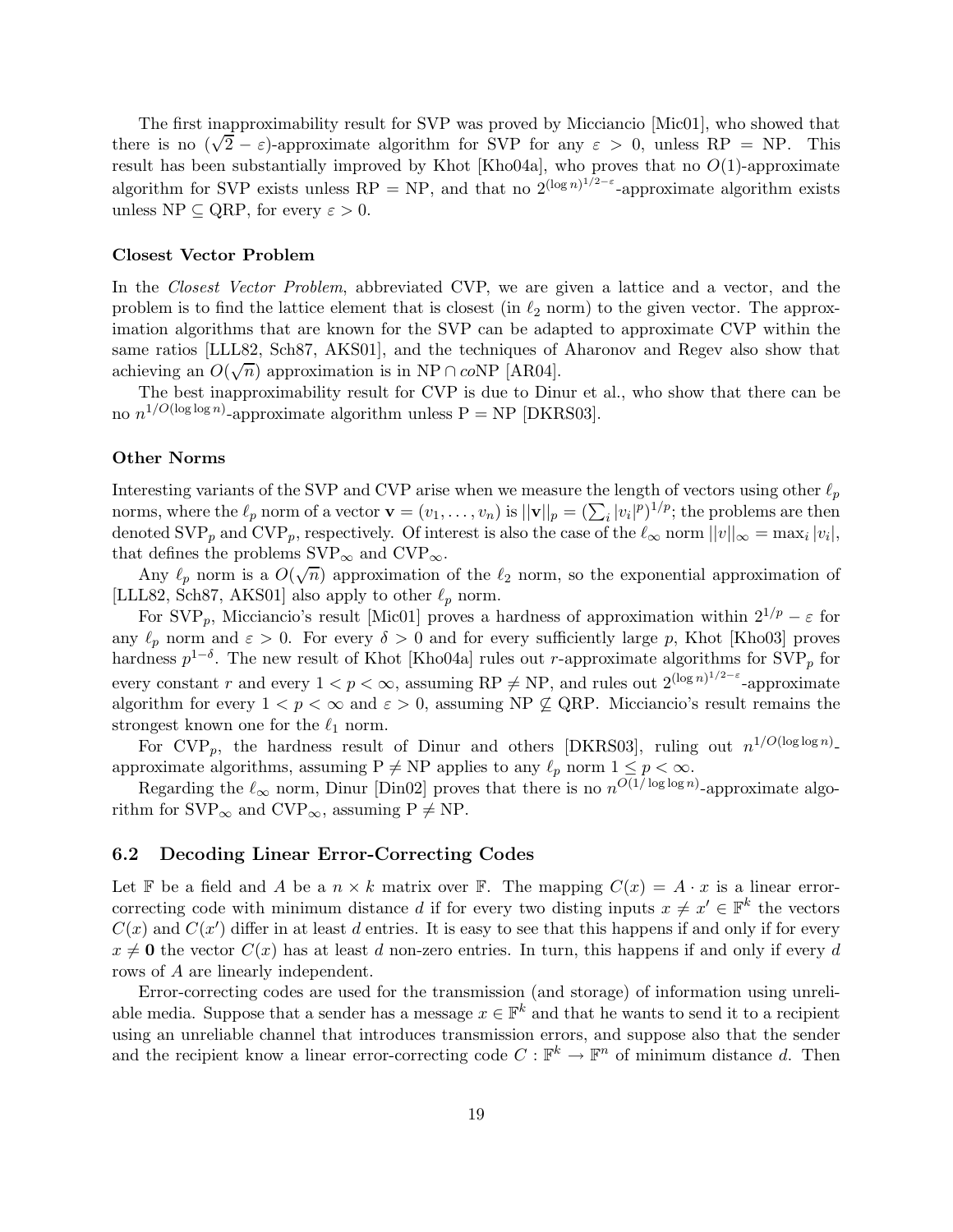The first inapproximability result for SVP was proved by Micciancio [Mic01], who showed that there is no  $(\sqrt{2} - \varepsilon)$ -approximate algorithm for SVP for any  $\varepsilon > 0$ , unless RP = NP. This result has been substantially improved by Khot [Kho04a], who proves that no  $O(1)$ -approximate algorithm for SVP exists unless RP = NP, and that no  $2^{(\log n)^{1/2-\epsilon}}$ -approximate algorithm exists unless NP  $\subseteq$  QRP, for every  $\varepsilon > 0$ .

### Closest Vector Problem

In the *Closest Vector Problem*, abbreviated CVP, we are given a lattice and a vector, and the problem is to find the lattice element that is closest (in  $\ell_2$  norm) to the given vector. The approximation algorithms that are known for the SVP can be adapted to approximate CVP within the same ratios [LLL82, Sch87, AKS01], and the techniques of Aharonov and Regev also show that achieving an  $O(\sqrt{n})$  approximation is in NP ∩ coNP [AR04].

The best inapproximability result for CVP is due to Dinur et al., who show that there can be no  $n^{1/O(\log \log n)}$ -approximate algorithm unless  $P = NP$  [DKRS03].

#### Other Norms

Interesting variants of the SVP and CVP arise when we measure the length of vectors using other  $\ell_p$ norms, where the  $\ell_p$  norm of a vector  $\mathbf{v} = (v_1, \dots, v_n)$  is  $||\mathbf{v}||_p = (\sum_i |v_i|^p)^{1/p}$ ; the problems are then denoted  $SVP_p$  and  $CVP_p$ , respectively. Of interest is also the case of the  $\ell_{\infty}$  norm  $||v||_{\infty} = \max_i |v_i|$ , that defines the problems  $SVP_{\infty}$  and  $CVP_{\infty}$ .

Any  $\ell_p$  norm is a  $O(\sqrt{n})$  approximation of the  $\ell_2$  norm, so the exponential approximation of [LLL82, Sch87, AKS01] also apply to other  $\ell_p$  norm.

For SVP<sub>p</sub>, Micciancio's result [Mic01] proves a hardness of approximation within  $2^{1/p} - \varepsilon$  for any  $\ell_p$  norm and  $\varepsilon > 0$ . For every  $\delta > 0$  and for every sufficiently large p, Khot [Kho03] proves hardness  $p^{1-\delta}$ . The new result of Khot [Kho04a] rules out r-approximate algorithms for SVP<sub>p</sub> for every constant r and every  $1 < p < \infty$ , assuming RP  $\neq$  NP, and rules out  $2^{(\log n)^{1/2-\epsilon}}$ -approximate algorithm for every  $1 < p < \infty$  and  $\varepsilon > 0$ , assuming NP  $\not\subseteq$  QRP. Micciancio's result remains the strongest known one for the  $\ell_1$  norm.

For CVP<sub>p</sub>, the hardness result of Dinur and others [DKRS03], ruling out  $n^{1/O(\log \log n)}$ approximate algorithms, assuming  $P \neq NP$  applies to any  $\ell_p$  norm  $1 \leq p < \infty$ .

Regarding the  $\ell_{\infty}$  norm, Dinur [Din02] proves that there is no  $n^{O(1/\log \log n)}$ -approximate algorithm for  $SVP_{\infty}$  and  $CVP_{\infty}$ , assuming  $P \neq NP$ .

#### 6.2 Decoding Linear Error-Correcting Codes

Let F be a field and A be a  $n \times k$  matrix over F. The mapping  $C(x) = A \cdot x$  is a linear errorcorrecting code with minimum distance d if for every two disting inputs  $x \neq x' \in \mathbb{F}^k$  the vectors  $C(x)$  and  $C(x')$  differ in at least d entries. It is easy to see that this happens if and only if for every  $x \neq 0$  the vector  $C(x)$  has at least d non-zero entries. In turn, this happens if and only if every d rows of A are linearly independent.

Error-correcting codes are used for the transmission (and storage) of information using unreliable media. Suppose that a sender has a message  $x \in \mathbb{F}^k$  and that he wants to send it to a recipient using an unreliable channel that introduces transmission errors, and suppose also that the sender and the recipient know a linear error-correcting code  $C : \mathbb{F}^k \to \mathbb{F}^n$  of minimum distance d. Then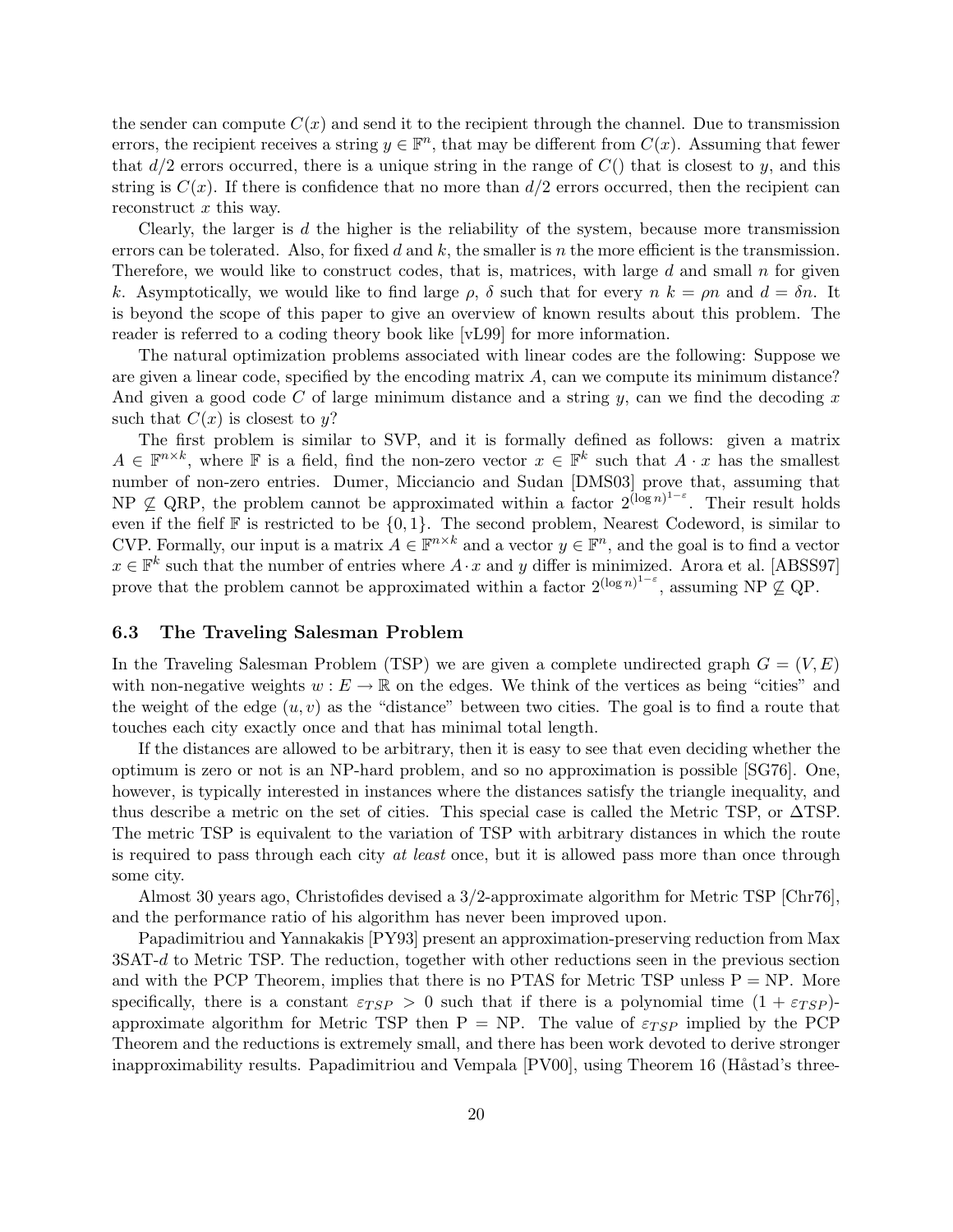the sender can compute  $C(x)$  and send it to the recipient through the channel. Due to transmission errors, the recipient receives a string  $y \in \mathbb{F}^n$ , that may be different from  $C(x)$ . Assuming that fewer that  $d/2$  errors occurred, there is a unique string in the range of  $C()$  that is closest to y, and this string is  $C(x)$ . If there is confidence that no more than  $d/2$  errors occurred, then the recipient can reconstruct x this way.

Clearly, the larger is  $d$  the higher is the reliability of the system, because more transmission errors can be tolerated. Also, for fixed d and k, the smaller is n the more efficient is the transmission. Therefore, we would like to construct codes, that is, matrices, with large  $d$  and small  $n$  for given k. Asymptotically, we would like to find large  $\rho$ ,  $\delta$  such that for every  $n k = \rho n$  and  $d = \delta n$ . It is beyond the scope of this paper to give an overview of known results about this problem. The reader is referred to a coding theory book like [vL99] for more information.

The natural optimization problems associated with linear codes are the following: Suppose we are given a linear code, specified by the encoding matrix  $A$ , can we compute its minimum distance? And given a good code C of large minimum distance and a string  $y$ , can we find the decoding x such that  $C(x)$  is closest to y?

The first problem is similar to SVP, and it is formally defined as follows: given a matrix  $A \in \mathbb{F}^{n \times k}$ , where  $\mathbb F$  is a field, find the non-zero vector  $x \in \mathbb{F}^k$  such that  $A \cdot x$  has the smallest number of non-zero entries. Dumer, Micciancio and Sudan [DMS03] prove that, assuming that NP  $\subseteq$  QRP, the problem cannot be approximated within a factor  $2^{(\log n)^{1-\varepsilon}}$ . Their result holds even if the fielf  $\mathbb F$  is restricted to be  $\{0,1\}$ . The second problem, Nearest Codeword, is similar to CVP. Formally, our input is a matrix  $A \in \mathbb{F}^{n \times k}$  and a vector  $y \in \mathbb{F}^n$ , and the goal is to find a vector  $x \in \mathbb{F}^k$  such that the number of entries where  $A \cdot x$  and y differ is minimized. Arora et al. [ABSS97] prove that the problem cannot be approximated within a factor  $2^{(\log n)^{1-\varepsilon}}$ , assuming NP  $\not\subseteq$  QP.

### 6.3 The Traveling Salesman Problem

In the Traveling Salesman Problem (TSP) we are given a complete undirected graph  $G = (V, E)$ with non-negative weights  $w : E \to \mathbb{R}$  on the edges. We think of the vertices as being "cities" and the weight of the edge  $(u, v)$  as the "distance" between two cities. The goal is to find a route that touches each city exactly once and that has minimal total length.

If the distances are allowed to be arbitrary, then it is easy to see that even deciding whether the optimum is zero or not is an NP-hard problem, and so no approximation is possible [SG76]. One, however, is typically interested in instances where the distances satisfy the triangle inequality, and thus describe a metric on the set of cities. This special case is called the Metric TSP, or ∆TSP. The metric TSP is equivalent to the variation of TSP with arbitrary distances in which the route is required to pass through each city at least once, but it is allowed pass more than once through some city.

Almost 30 years ago, Christofides devised a 3/2-approximate algorithm for Metric TSP [Chr76], and the performance ratio of his algorithm has never been improved upon.

Papadimitriou and Yannakakis [PY93] present an approximation-preserving reduction from Max 3SAT-d to Metric TSP. The reduction, together with other reductions seen in the previous section and with the PCP Theorem, implies that there is no PTAS for Metric TSP unless  $P = NP$ . More specifically, there is a constant  $\varepsilon_{TSP} > 0$  such that if there is a polynomial time  $(1 + \varepsilon_{TSP})$ approximate algorithm for Metric TSP then  $P = NP$ . The value of  $\varepsilon_{TSP}$  implied by the PCP Theorem and the reductions is extremely small, and there has been work devoted to derive stronger inapproximability results. Papadimitriou and Vempala [PV00], using Theorem 16 (Håstad's three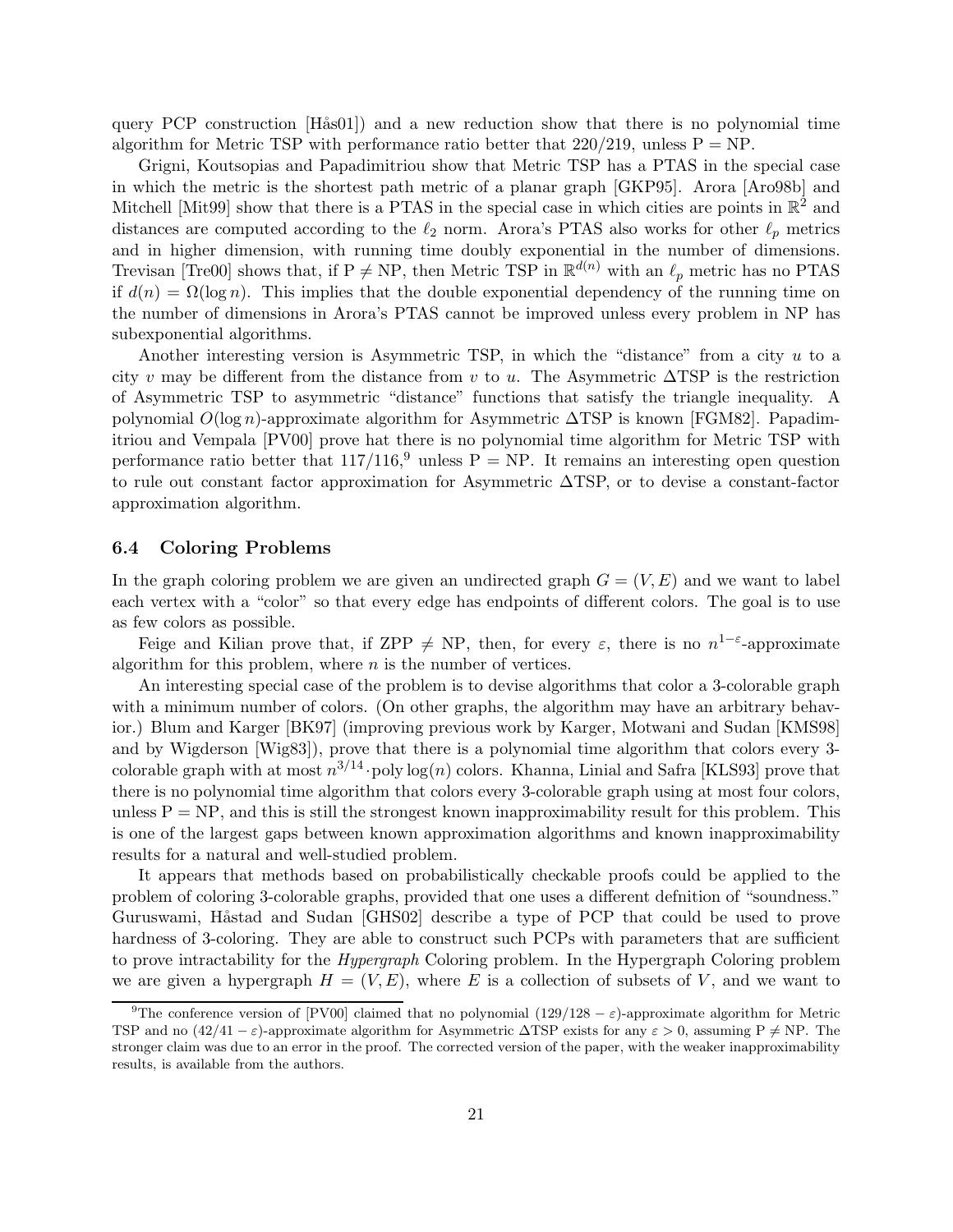query PCP construction  $[\text{Hås01}]$  and a new reduction show that there is no polynomial time algorithm for Metric TSP with performance ratio better that  $220/219$ , unless  $P = NP$ .

Grigni, Koutsopias and Papadimitriou show that Metric TSP has a PTAS in the special case in which the metric is the shortest path metric of a planar graph [GKP95]. Arora [Aro98b] and Mitchell [Mit99] show that there is a PTAS in the special case in which cities are points in  $\mathbb{R}^2$  and distances are computed according to the  $\ell_2$  norm. Arora's PTAS also works for other  $\ell_p$  metrics and in higher dimension, with running time doubly exponential in the number of dimensions. Trevisan [Tre00] shows that, if  $P \neq NP$ , then Metric TSP in  $\mathbb{R}^{d(n)}$  with an  $\ell_p$  metric has no PTAS if  $d(n) = \Omega(\log n)$ . This implies that the double exponential dependency of the running time on the number of dimensions in Arora's PTAS cannot be improved unless every problem in NP has subexponential algorithms.

Another interesting version is Asymmetric TSP, in which the "distance" from a city  $u$  to a city v may be different from the distance from v to u. The Asymmetric  $\Delta TSP$  is the restriction of Asymmetric TSP to asymmetric "distance" functions that satisfy the triangle inequality. A polynomial  $O(\log n)$ -approximate algorithm for Asymmetric  $\Delta TSP$  is known [FGM82]. Papadimitriou and Vempala [PV00] prove hat there is no polynomial time algorithm for Metric TSP with performance ratio better that  $117/116$ ,<sup>9</sup> unless P = NP. It remains an interesting open question to rule out constant factor approximation for Asymmetric ∆TSP, or to devise a constant-factor approximation algorithm.

### 6.4 Coloring Problems

In the graph coloring problem we are given an undirected graph  $G = (V, E)$  and we want to label each vertex with a "color" so that every edge has endpoints of different colors. The goal is to use as few colors as possible.

Feige and Kilian prove that, if  $\text{ZPP} \neq \text{NP}$ , then, for every  $\varepsilon$ , there is no  $n^{1-\varepsilon}$ -approximate algorithm for this problem, where  $n$  is the number of vertices.

An interesting special case of the problem is to devise algorithms that color a 3-colorable graph with a minimum number of colors. (On other graphs, the algorithm may have an arbitrary behavior.) Blum and Karger [BK97] (improving previous work by Karger, Motwani and Sudan [KMS98] and by Wigderson [Wig83]), prove that there is a polynomial time algorithm that colors every 3 colorable graph with at most  $n^{3/14}$  poly log(n) colors. Khanna, Linial and Safra [KLS93] prove that there is no polynomial time algorithm that colors every 3-colorable graph using at most four colors, unless  $P = NP$ , and this is still the strongest known inapproximability result for this problem. This is one of the largest gaps between known approximation algorithms and known inapproximability results for a natural and well-studied problem.

It appears that methods based on probabilistically checkable proofs could be applied to the problem of coloring 3-colorable graphs, provided that one uses a different defnition of "soundness." Guruswami, Håstad and Sudan [GHS02] describe a type of PCP that could be used to prove hardness of 3-coloring. They are able to construct such PCPs with parameters that are sufficient to prove intractability for the Hypergraph Coloring problem. In the Hypergraph Coloring problem we are given a hypergraph  $H = (V, E)$ , where E is a collection of subsets of V, and we want to

<sup>&</sup>lt;sup>9</sup>The conference version of [PV00] claimed that no polynomial (129/128 –  $\varepsilon$ )-approximate algorithm for Metric TSP and no  $(42/41 - \varepsilon)$ -approximate algorithm for Asymmetric  $\Delta$ TSP exists for any  $\varepsilon > 0$ , assuming P  $\neq$  NP. The stronger claim was due to an error in the proof. The corrected version of the paper, with the weaker inapproximability results, is available from the authors.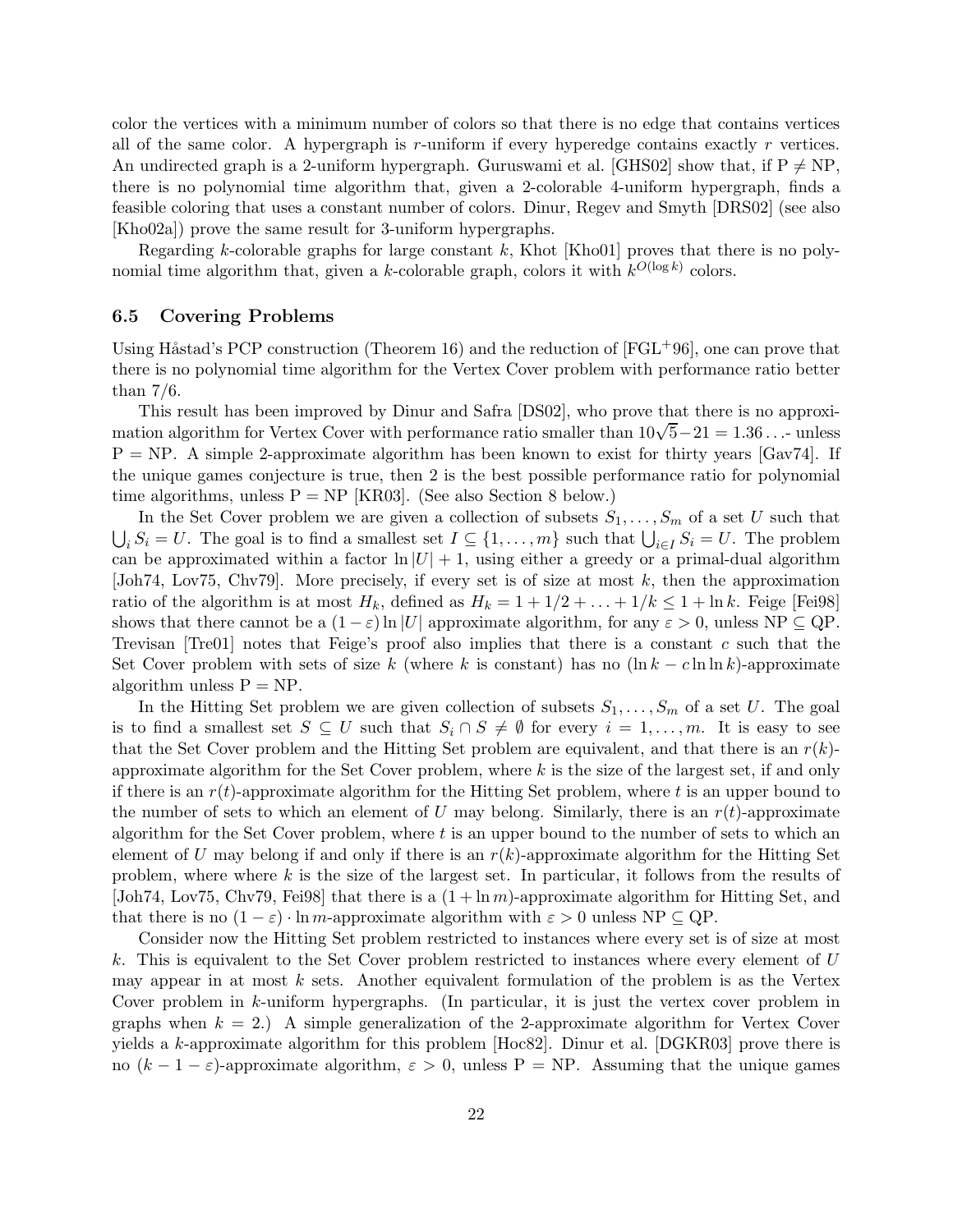color the vertices with a minimum number of colors so that there is no edge that contains vertices all of the same color. A hypergraph is  $r$ -uniform if every hyperedge contains exactly  $r$  vertices. An undirected graph is a 2-uniform hypergraph. Guruswami et al. [GHS02] show that, if  $P \neq NP$ , there is no polynomial time algorithm that, given a 2-colorable 4-uniform hypergraph, finds a feasible coloring that uses a constant number of colors. Dinur, Regev and Smyth [DRS02] (see also [Kho02a]) prove the same result for 3-uniform hypergraphs.

Regarding k-colorable graphs for large constant  $k$ , Khot [Kho01] proves that there is no polynomial time algorithm that, given a k-colorable graph, colors it with  $k^{O(\log k)}$  colors.

### 6.5 Covering Problems

Using Håstad's PCP construction (Theorem 16) and the reduction of  $[FGL^{+}96]$ , one can prove that there is no polynomial time algorithm for the Vertex Cover problem with performance ratio better than 7/6.

This result has been improved by Dinur and Safra [DS02], who prove that there is no approximation algorithm for Vertex Cover with performance ratio smaller than  $10\sqrt{5}-21=1.36...$  unless  $P = NP$ . A simple 2-approximate algorithm has been known to exist for thirty years [Gav74]. If the unique games conjecture is true, then 2 is the best possible performance ratio for polynomial time algorithms, unless  $P = NP$  [KR03]. (See also Section 8 below.)

In the Set Cover problem we are given a collection of subsets  $S_1, \ldots, S_m$  of a set U such that  $\bigcup_i S_i = U$ . The goal is to find a smallest set  $I \subseteq \{1, \ldots, m\}$  such that  $\bigcup_{i \in I} S_i = U$ . The problem can be approximated within a factor  $\ln |U| + 1$ , using either a greedy or a primal-dual algorithm [Joh74, Lov75, Chv79]. More precisely, if every set is of size at most k, then the approximation ratio of the algorithm is at most  $H_k$ , defined as  $H_k = 1 + 1/2 + ... + 1/k \leq 1 + \ln k$ . Feige [Fei98] shows that there cannot be a  $(1 - \varepsilon) \ln |U|$  approximate algorithm, for any  $\varepsilon > 0$ , unless NP  $\subseteq$  QP. Trevisan [Tre01] notes that Feige's proof also implies that there is a constant c such that the Set Cover problem with sets of size k (where k is constant) has no  $(\ln k - c \ln \ln k)$ -approximate algorithm unless  $P = NP$ .

In the Hitting Set problem we are given collection of subsets  $S_1, \ldots, S_m$  of a set U. The goal is to find a smallest set  $S \subseteq U$  such that  $S_i \cap S \neq \emptyset$  for every  $i = 1, \ldots, m$ . It is easy to see that the Set Cover problem and the Hitting Set problem are equivalent, and that there is an  $r(k)$ approximate algorithm for the Set Cover problem, where  $k$  is the size of the largest set, if and only if there is an  $r(t)$ -approximate algorithm for the Hitting Set problem, where t is an upper bound to the number of sets to which an element of U may belong. Similarly, there is an  $r(t)$ -approximate algorithm for the Set Cover problem, where  $t$  is an upper bound to the number of sets to which an element of U may belong if and only if there is an  $r(k)$ -approximate algorithm for the Hitting Set problem, where where k is the size of the largest set. In particular, it follows from the results of [Joh74, Lov75, Chv79, Fei98] that there is a  $(1 + \ln m)$ -approximate algorithm for Hitting Set, and that there is no  $(1 - \varepsilon) \cdot \ln m$ -approximate algorithm with  $\varepsilon > 0$  unless NP  $\subseteq$  QP.

Consider now the Hitting Set problem restricted to instances where every set is of size at most k. This is equivalent to the Set Cover problem restricted to instances where every element of  $U$ may appear in at most  $k$  sets. Another equivalent formulation of the problem is as the Vertex Cover problem in k-uniform hypergraphs. (In particular, it is just the vertex cover problem in graphs when  $k = 2$ .) A simple generalization of the 2-approximate algorithm for Vertex Cover yields a k-approximate algorithm for this problem [Hoc82]. Dinur et al. [DGKR03] prove there is no  $(k-1-\varepsilon)$ -approximate algorithm,  $\varepsilon > 0$ , unless P = NP. Assuming that the unique games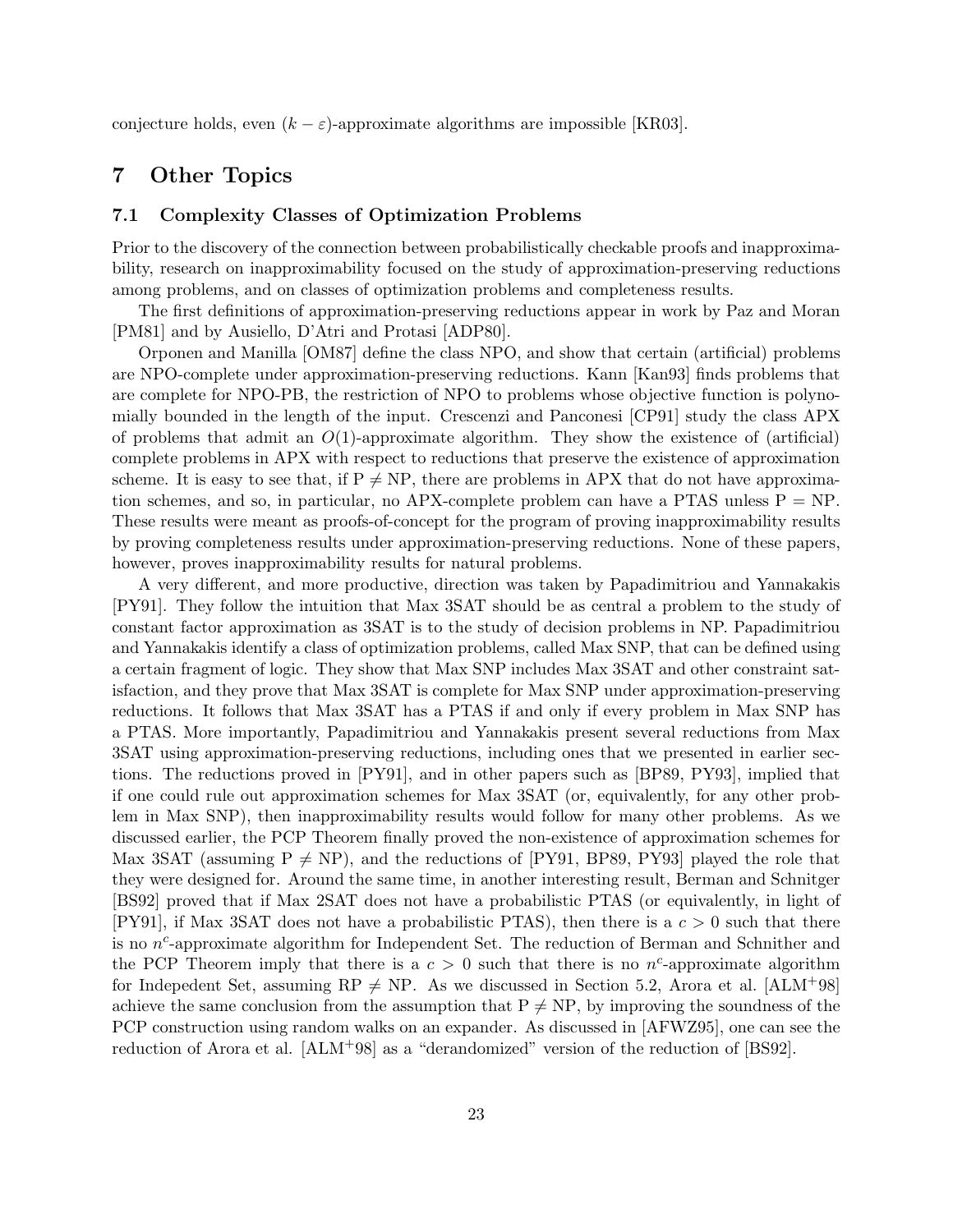conjecture holds, even  $(k - \varepsilon)$ -approximate algorithms are impossible [KR03].

## 7 Other Topics

## 7.1 Complexity Classes of Optimization Problems

Prior to the discovery of the connection between probabilistically checkable proofs and inapproximability, research on inapproximability focused on the study of approximation-preserving reductions among problems, and on classes of optimization problems and completeness results.

The first definitions of approximation-preserving reductions appear in work by Paz and Moran [PM81] and by Ausiello, D'Atri and Protasi [ADP80].

Orponen and Manilla [OM87] define the class NPO, and show that certain (artificial) problems are NPO-complete under approximation-preserving reductions. Kann [Kan93] finds problems that are complete for NPO-PB, the restriction of NPO to problems whose objective function is polynomially bounded in the length of the input. Crescenzi and Panconesi [CP91] study the class APX of problems that admit an  $O(1)$ -approximate algorithm. They show the existence of (artificial) complete problems in APX with respect to reductions that preserve the existence of approximation scheme. It is easy to see that, if  $P \neq NP$ , there are problems in APX that do not have approximation schemes, and so, in particular, no APX-complete problem can have a PTAS unless  $P = NP$ . These results were meant as proofs-of-concept for the program of proving inapproximability results by proving completeness results under approximation-preserving reductions. None of these papers, however, proves inapproximability results for natural problems.

A very different, and more productive, direction was taken by Papadimitriou and Yannakakis [PY91]. They follow the intuition that Max 3SAT should be as central a problem to the study of constant factor approximation as 3SAT is to the study of decision problems in NP. Papadimitriou and Yannakakis identify a class of optimization problems, called Max SNP, that can be defined using a certain fragment of logic. They show that Max SNP includes Max 3SAT and other constraint satisfaction, and they prove that Max 3SAT is complete for Max SNP under approximation-preserving reductions. It follows that Max 3SAT has a PTAS if and only if every problem in Max SNP has a PTAS. More importantly, Papadimitriou and Yannakakis present several reductions from Max 3SAT using approximation-preserving reductions, including ones that we presented in earlier sections. The reductions proved in [PY91], and in other papers such as [BP89, PY93], implied that if one could rule out approximation schemes for Max 3SAT (or, equivalently, for any other problem in Max SNP), then inapproximability results would follow for many other problems. As we discussed earlier, the PCP Theorem finally proved the non-existence of approximation schemes for Max 3SAT (assuming  $P \neq NP$ ), and the reductions of [PY91, BP89, PY93] played the role that they were designed for. Around the same time, in another interesting result, Berman and Schnitger [BS92] proved that if Max 2SAT does not have a probabilistic PTAS (or equivalently, in light of [PY91], if Max 3SAT does not have a probabilistic PTAS), then there is a  $c > 0$  such that there is no  $n^c$ -approximate algorithm for Independent Set. The reduction of Berman and Schnither and the PCP Theorem imply that there is a  $c > 0$  such that there is no n<sup>c</sup>-approximate algorithm for Indepedent Set, assuming  $RP \neq NP$ . As we discussed in Section 5.2, Arora et al. [ALM+98] achieve the same conclusion from the assumption that  $P \neq NP$ , by improving the soundness of the PCP construction using random walks on an expander. As discussed in [AFWZ95], one can see the reduction of Arora et al. [ALM+98] as a "derandomized" version of the reduction of [BS92].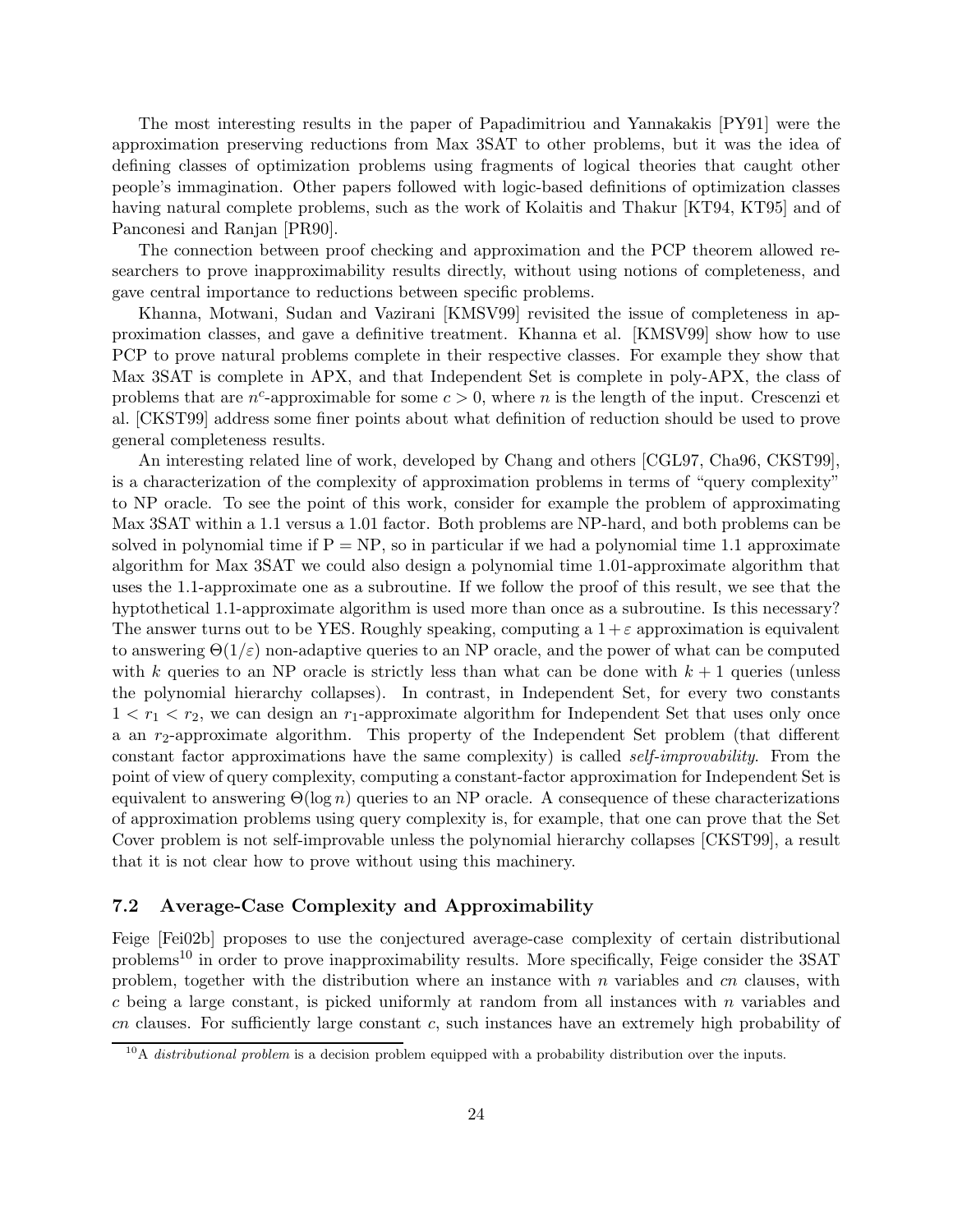The most interesting results in the paper of Papadimitriou and Yannakakis [PY91] were the approximation preserving reductions from Max 3SAT to other problems, but it was the idea of defining classes of optimization problems using fragments of logical theories that caught other people's immagination. Other papers followed with logic-based definitions of optimization classes having natural complete problems, such as the work of Kolaitis and Thakur [KT94, KT95] and of Panconesi and Ranjan [PR90].

The connection between proof checking and approximation and the PCP theorem allowed researchers to prove inapproximability results directly, without using notions of completeness, and gave central importance to reductions between specific problems.

Khanna, Motwani, Sudan and Vazirani [KMSV99] revisited the issue of completeness in approximation classes, and gave a definitive treatment. Khanna et al. [KMSV99] show how to use PCP to prove natural problems complete in their respective classes. For example they show that Max 3SAT is complete in APX, and that Independent Set is complete in poly-APX, the class of problems that are  $n^c$ -approximable for some  $c > 0$ , where n is the length of the input. Crescenzi et al. [CKST99] address some finer points about what definition of reduction should be used to prove general completeness results.

An interesting related line of work, developed by Chang and others [CGL97, Cha96, CKST99], is a characterization of the complexity of approximation problems in terms of "query complexity" to NP oracle. To see the point of this work, consider for example the problem of approximating Max 3SAT within a 1.1 versus a 1.01 factor. Both problems are NP-hard, and both problems can be solved in polynomial time if  $P = NP$ , so in particular if we had a polynomial time 1.1 approximate algorithm for Max 3SAT we could also design a polynomial time 1.01-approximate algorithm that uses the 1.1-approximate one as a subroutine. If we follow the proof of this result, we see that the hyptothetical 1.1-approximate algorithm is used more than once as a subroutine. Is this necessary? The answer turns out to be YES. Roughly speaking, computing a  $1+\varepsilon$  approximation is equivalent to answering  $\Theta(1/\varepsilon)$  non-adaptive queries to an NP oracle, and the power of what can be computed with k queries to an NP oracle is strictly less than what can be done with  $k + 1$  queries (unless the polynomial hierarchy collapses). In contrast, in Independent Set, for every two constants  $1 < r_1 < r_2$ , we can design an  $r_1$ -approximate algorithm for Independent Set that uses only once a an  $r_2$ -approximate algorithm. This property of the Independent Set problem (that different constant factor approximations have the same complexity) is called self-improvability. From the point of view of query complexity, computing a constant-factor approximation for Independent Set is equivalent to answering  $\Theta(\log n)$  queries to an NP oracle. A consequence of these characterizations of approximation problems using query complexity is, for example, that one can prove that the Set Cover problem is not self-improvable unless the polynomial hierarchy collapses [CKST99], a result that it is not clear how to prove without using this machinery.

## 7.2 Average-Case Complexity and Approximability

Feige [Fei02b] proposes to use the conjectured average-case complexity of certain distributional problems<sup>10</sup> in order to prove inapproximability results. More specifically, Feige consider the 3SAT problem, together with the distribution where an instance with  $n$  variables and  $cn$  clauses, with c being a large constant, is picked uniformly at random from all instances with  $n$  variables and cn clauses. For sufficiently large constant c, such instances have an extremely high probability of

 $\frac{10}{10}$  distributional problem is a decision problem equipped with a probability distribution over the inputs.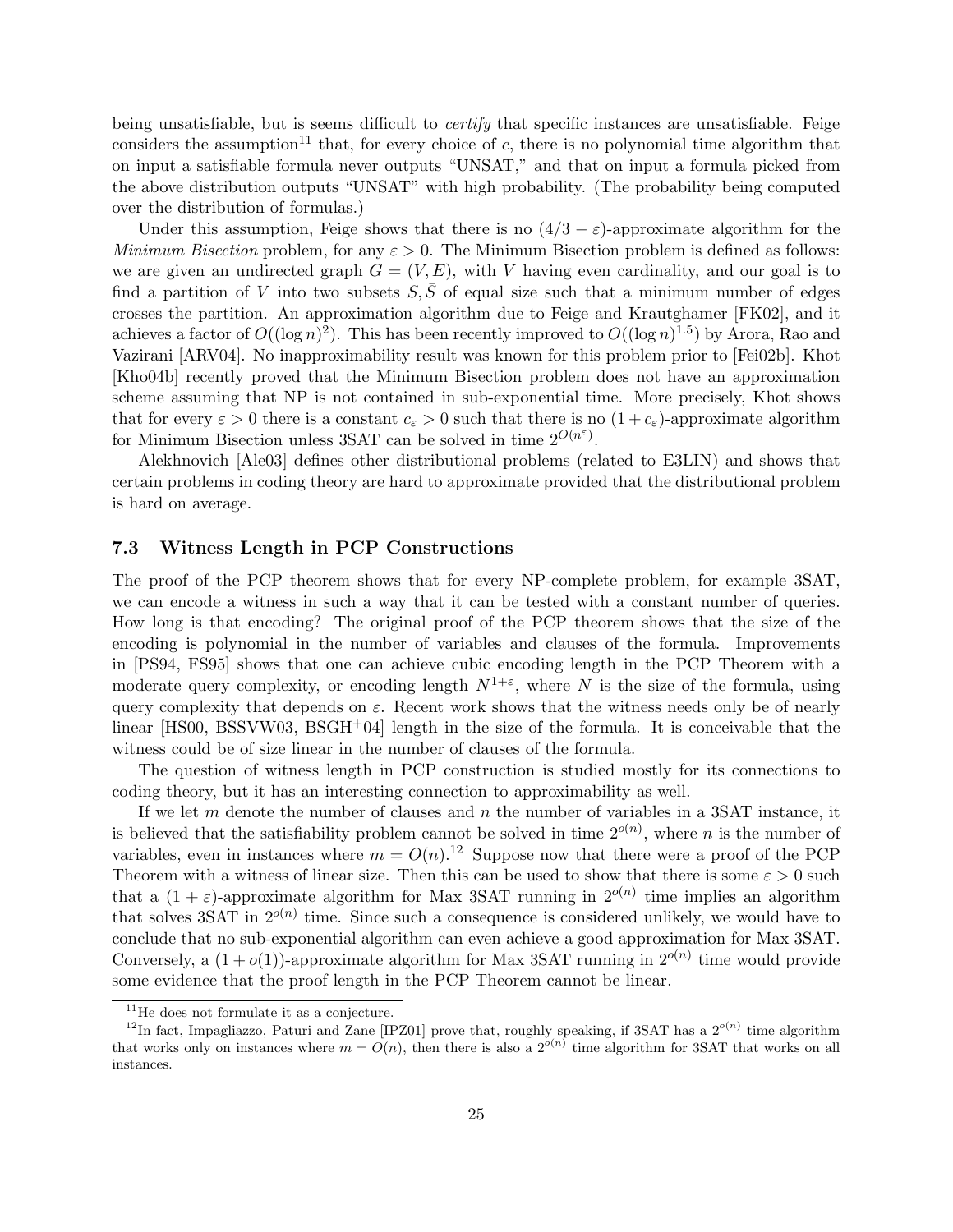being unsatisfiable, but is seems difficult to *certify* that specific instances are unsatisfiable. Feige considers the assumption<sup>11</sup> that, for every choice of  $c$ , there is no polynomial time algorithm that on input a satisfiable formula never outputs "UNSAT," and that on input a formula picked from the above distribution outputs "UNSAT" with high probability. (The probability being computed over the distribution of formulas.)

Under this assumption, Feige shows that there is no  $(4/3 - \varepsilon)$ -approximate algorithm for the Minimum Bisection problem, for any  $\varepsilon > 0$ . The Minimum Bisection problem is defined as follows: we are given an undirected graph  $G = (V, E)$ , with V having even cardinality, and our goal is to find a partition of V into two subsets  $S, \overline{S}$  of equal size such that a minimum number of edges crosses the partition. An approximation algorithm due to Feige and Krautghamer [FK02], and it achieves a factor of  $O((\log n)^2)$ . This has been recently improved to  $O((\log n)^{1.5})$  by Arora, Rao and Vazirani [ARV04]. No inapproximability result was known for this problem prior to [Fei02b]. Khot [Kho04b] recently proved that the Minimum Bisection problem does not have an approximation scheme assuming that NP is not contained in sub-exponential time. More precisely, Khot shows that for every  $\varepsilon > 0$  there is a constant  $c_{\varepsilon} > 0$  such that there is no  $(1 + c_{\varepsilon})$ -approximate algorithm for Minimum Bisection unless 3SAT can be solved in time  $2^{O(n^{\varepsilon})}$ .

Alekhnovich [Ale03] defines other distributional problems (related to E3LIN) and shows that certain problems in coding theory are hard to approximate provided that the distributional problem is hard on average.

## 7.3 Witness Length in PCP Constructions

The proof of the PCP theorem shows that for every NP-complete problem, for example 3SAT, we can encode a witness in such a way that it can be tested with a constant number of queries. How long is that encoding? The original proof of the PCP theorem shows that the size of the encoding is polynomial in the number of variables and clauses of the formula. Improvements in [PS94, FS95] shows that one can achieve cubic encoding length in the PCP Theorem with a moderate query complexity, or encoding length  $N^{1+\epsilon}$ , where N is the size of the formula, using query complexity that depends on  $\varepsilon$ . Recent work shows that the witness needs only be of nearly linear  $[HSO0, BSSWW03, BSGH<sup>+</sup>04]$  length in the size of the formula. It is conceivable that the witness could be of size linear in the number of clauses of the formula.

The question of witness length in PCP construction is studied mostly for its connections to coding theory, but it has an interesting connection to approximability as well.

If we let  $m$  denote the number of clauses and  $n$  the number of variables in a 3SAT instance, it is believed that the satisfiability problem cannot be solved in time  $2^{o(n)}$ , where n is the number of variables, even in instances where  $m = O(n)$ .<sup>12</sup> Suppose now that there were a proof of the PCP Theorem with a witness of linear size. Then this can be used to show that there is some  $\varepsilon > 0$  such that a  $(1 + \varepsilon)$ -approximate algorithm for Max 3SAT running in  $2^{o(n)}$  time implies an algorithm that solves 3SAT in  $2^{o(n)}$  time. Since such a consequence is considered unlikely, we would have to conclude that no sub-exponential algorithm can even achieve a good approximation for Max 3SAT. Conversely, a  $(1+o(1))$ -approximate algorithm for Max 3SAT running in  $2^{o(n)}$  time would provide some evidence that the proof length in the PCP Theorem cannot be linear.

 $^{11}\mathrm{He}$  does not formulate it as a conjecture.

<sup>&</sup>lt;sup>12</sup>In fact, Impagliazzo, Paturi and Zane [IPZ01] prove that, roughly speaking, if 3SAT has a  $2^{o(n)}$  time algorithm that works only on instances where  $m = O(n)$ , then there is also a  $2^{o(n)}$  time algorithm for 3SAT that works on all instances.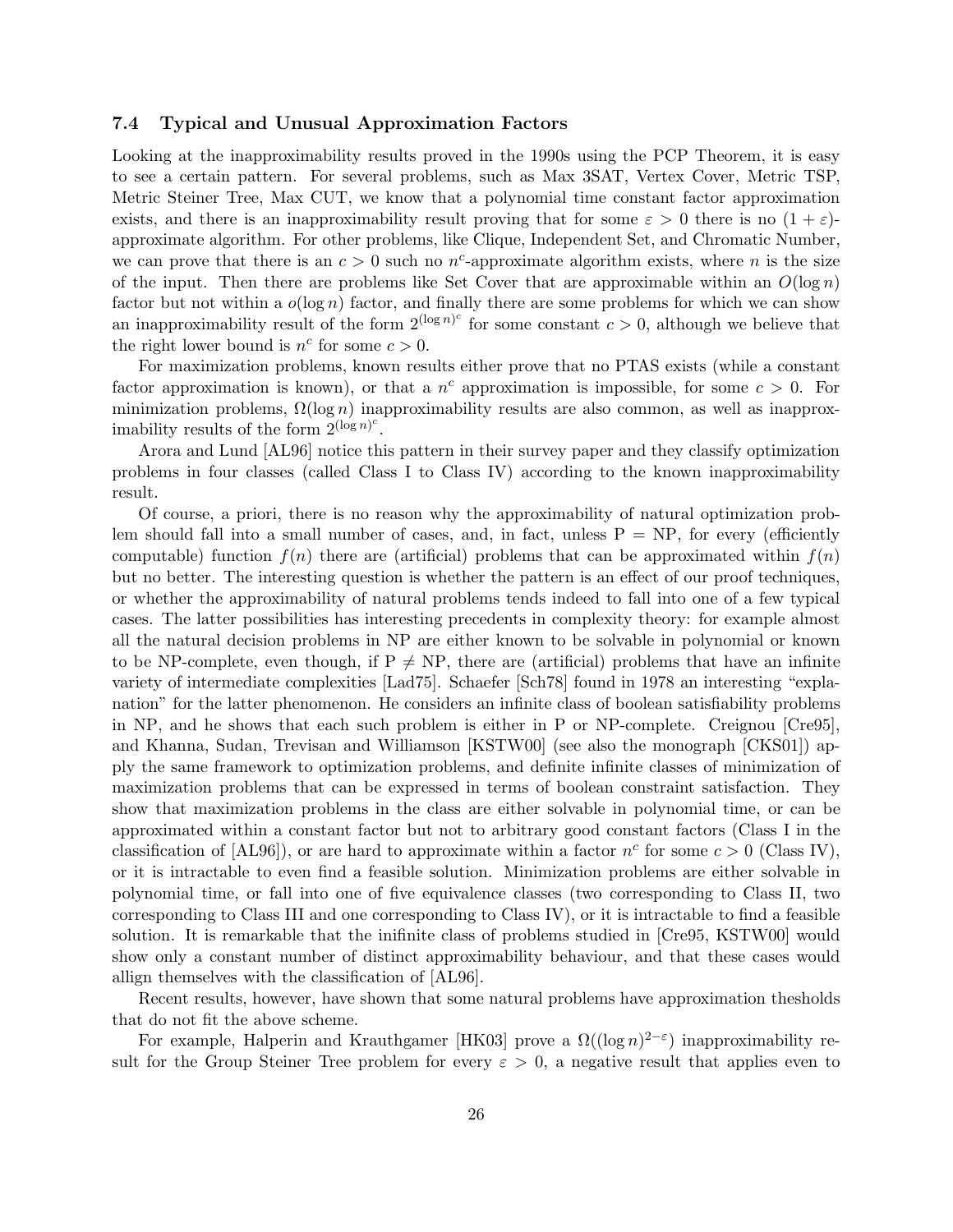## 7.4 Typical and Unusual Approximation Factors

Looking at the inapproximability results proved in the 1990s using the PCP Theorem, it is easy to see a certain pattern. For several problems, such as Max 3SAT, Vertex Cover, Metric TSP, Metric Steiner Tree, Max CUT, we know that a polynomial time constant factor approximation exists, and there is an inapproximability result proving that for some  $\varepsilon > 0$  there is no  $(1 + \varepsilon)$ approximate algorithm. For other problems, like Clique, Independent Set, and Chromatic Number, we can prove that there is an  $c > 0$  such no  $n^c$ -approximate algorithm exists, where n is the size of the input. Then there are problems like Set Cover that are approximable within an  $O(\log n)$ factor but not within a  $o(\log n)$  factor, and finally there are some problems for which we can show an inapproximability result of the form  $2^{(\log n)^c}$  for some constant  $c > 0$ , although we believe that the right lower bound is  $n^c$  for some  $c > 0$ .

For maximization problems, known results either prove that no PTAS exists (while a constant factor approximation is known), or that a  $n^c$  approximation is impossible, for some  $c > 0$ . For minimization problems,  $\Omega(\log n)$  inapproximability results are also common, as well as inapproximability results of the form  $2^{(\log n)^c}$ .

Arora and Lund [AL96] notice this pattern in their survey paper and they classify optimization problems in four classes (called Class I to Class IV) according to the known inapproximability result.

Of course, a priori, there is no reason why the approximability of natural optimization problem should fall into a small number of cases, and, in fact, unless  $P = NP$ , for every (efficiently computable) function  $f(n)$  there are (artificial) problems that can be approximated within  $f(n)$ but no better. The interesting question is whether the pattern is an effect of our proof techniques, or whether the approximability of natural problems tends indeed to fall into one of a few typical cases. The latter possibilities has interesting precedents in complexity theory: for example almost all the natural decision problems in NP are either known to be solvable in polynomial or known to be NP-complete, even though, if  $P \neq NP$ , there are (artificial) problems that have an infinite variety of intermediate complexities [Lad75]. Schaefer [Sch78] found in 1978 an interesting "explanation" for the latter phenomenon. He considers an infinite class of boolean satisfiability problems in NP, and he shows that each such problem is either in P or NP-complete. Creignou [Cre95], and Khanna, Sudan, Trevisan and Williamson [KSTW00] (see also the monograph [CKS01]) apply the same framework to optimization problems, and definite infinite classes of minimization of maximization problems that can be expressed in terms of boolean constraint satisfaction. They show that maximization problems in the class are either solvable in polynomial time, or can be approximated within a constant factor but not to arbitrary good constant factors (Class I in the classification of  $[AL96]$ , or are hard to approximate within a factor  $n^c$  for some  $c > 0$  (Class IV), or it is intractable to even find a feasible solution. Minimization problems are either solvable in polynomial time, or fall into one of five equivalence classes (two corresponding to Class II, two corresponding to Class III and one corresponding to Class IV), or it is intractable to find a feasible solution. It is remarkable that the inifinite class of problems studied in [Cre95, KSTW00] would show only a constant number of distinct approximability behaviour, and that these cases would allign themselves with the classification of [AL96].

Recent results, however, have shown that some natural problems have approximation thesholds that do not fit the above scheme.

For example, Halperin and Krauthgamer [HK03] prove a  $\Omega((\log n)^{2-\epsilon})$  inapproximability result for the Group Steiner Tree problem for every  $\varepsilon > 0$ , a negative result that applies even to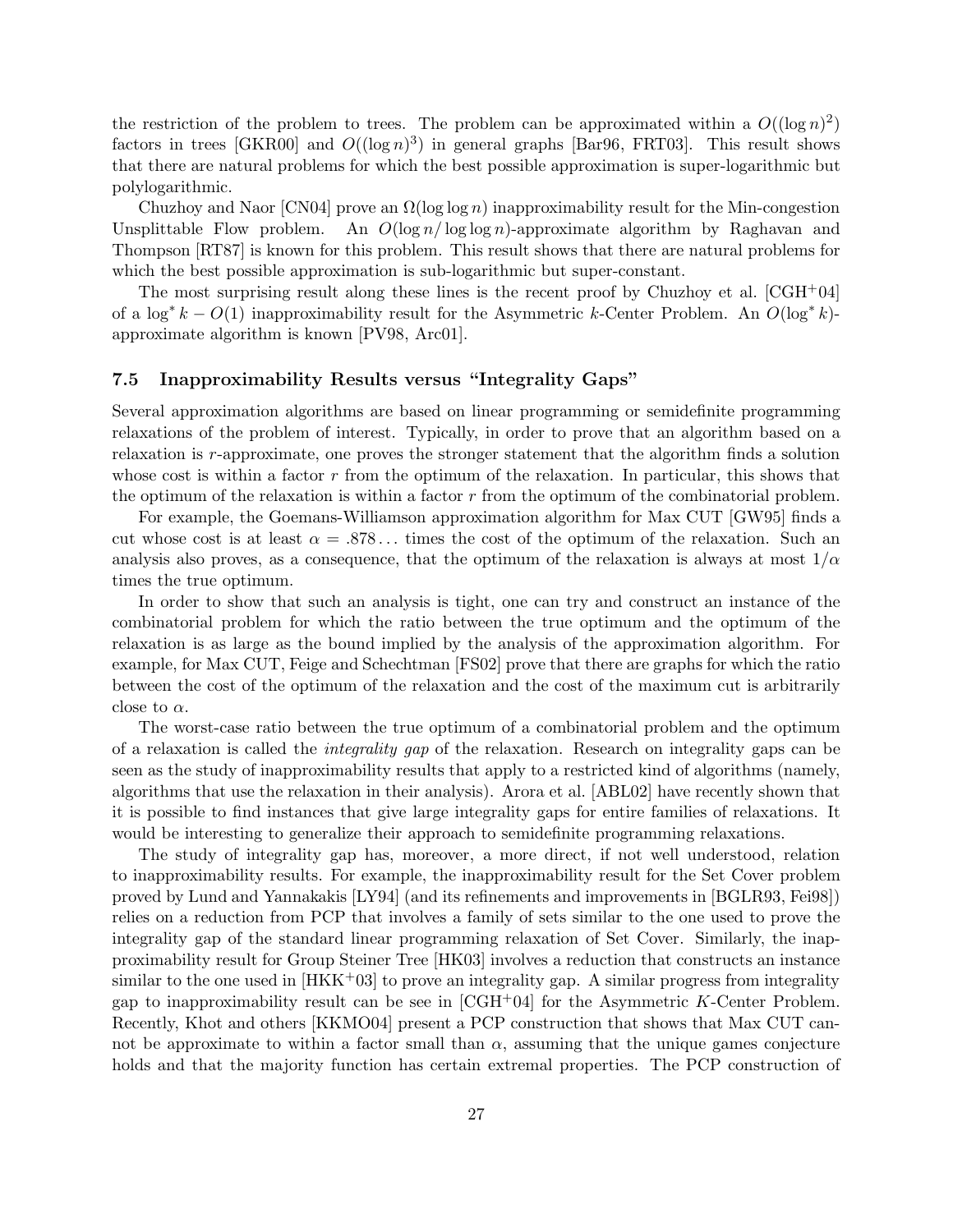the restriction of the problem to trees. The problem can be approximated within a  $O((\log n)^2)$ factors in trees [GKR00] and  $O((\log n)^3)$  in general graphs [Bar96, FRT03]. This result shows that there are natural problems for which the best possible approximation is super-logarithmic but polylogarithmic.

Chuzhoy and Naor [CN04] prove an  $\Omega(\log \log n)$  inapproximability result for the Min-congestion Unsplittable Flow problem. An  $O(\log n/\log \log n)$ -approximate algorithm by Raghavan and Thompson [RT87] is known for this problem. This result shows that there are natural problems for which the best possible approximation is sub-logarithmic but super-constant.

The most surprising result along these lines is the recent proof by Chuzhoy et al.  $[CGH<sup>+</sup>04]$ of a  $\log^* k - O(1)$  inapproximability result for the Asymmetric k-Center Problem. An  $O(\log^* k)$ approximate algorithm is known [PV98, Arc01].

## 7.5 Inapproximability Results versus "Integrality Gaps"

Several approximation algorithms are based on linear programming or semidefinite programming relaxations of the problem of interest. Typically, in order to prove that an algorithm based on a relaxation is r-approximate, one proves the stronger statement that the algorithm finds a solution whose cost is within a factor r from the optimum of the relaxation. In particular, this shows that the optimum of the relaxation is within a factor  $r$  from the optimum of the combinatorial problem.

For example, the Goemans-Williamson approximation algorithm for Max CUT [GW95] finds a cut whose cost is at least  $\alpha = .878...$  times the cost of the optimum of the relaxation. Such an analysis also proves, as a consequence, that the optimum of the relaxation is always at most  $1/\alpha$ times the true optimum.

In order to show that such an analysis is tight, one can try and construct an instance of the combinatorial problem for which the ratio between the true optimum and the optimum of the relaxation is as large as the bound implied by the analysis of the approximation algorithm. For example, for Max CUT, Feige and Schechtman [FS02] prove that there are graphs for which the ratio between the cost of the optimum of the relaxation and the cost of the maximum cut is arbitrarily close to  $\alpha$ .

The worst-case ratio between the true optimum of a combinatorial problem and the optimum of a relaxation is called the integrality gap of the relaxation. Research on integrality gaps can be seen as the study of inapproximability results that apply to a restricted kind of algorithms (namely, algorithms that use the relaxation in their analysis). Arora et al. [ABL02] have recently shown that it is possible to find instances that give large integrality gaps for entire families of relaxations. It would be interesting to generalize their approach to semidefinite programming relaxations.

The study of integrality gap has, moreover, a more direct, if not well understood, relation to inapproximability results. For example, the inapproximability result for the Set Cover problem proved by Lund and Yannakakis [LY94] (and its refinements and improvements in [BGLR93, Fei98]) relies on a reduction from PCP that involves a family of sets similar to the one used to prove the integrality gap of the standard linear programming relaxation of Set Cover. Similarly, the inapproximability result for Group Steiner Tree [HK03] involves a reduction that constructs an instance similar to the one used in  $[HKK^+03]$  to prove an integrality gap. A similar progress from integrality gap to inapproximability result can be see in  $[CGH<sup>+</sup>04]$  for the Asymmetric K-Center Problem. Recently, Khot and others [KKMO04] present a PCP construction that shows that Max CUT cannot be approximate to within a factor small than  $\alpha$ , assuming that the unique games conjecture holds and that the majority function has certain extremal properties. The PCP construction of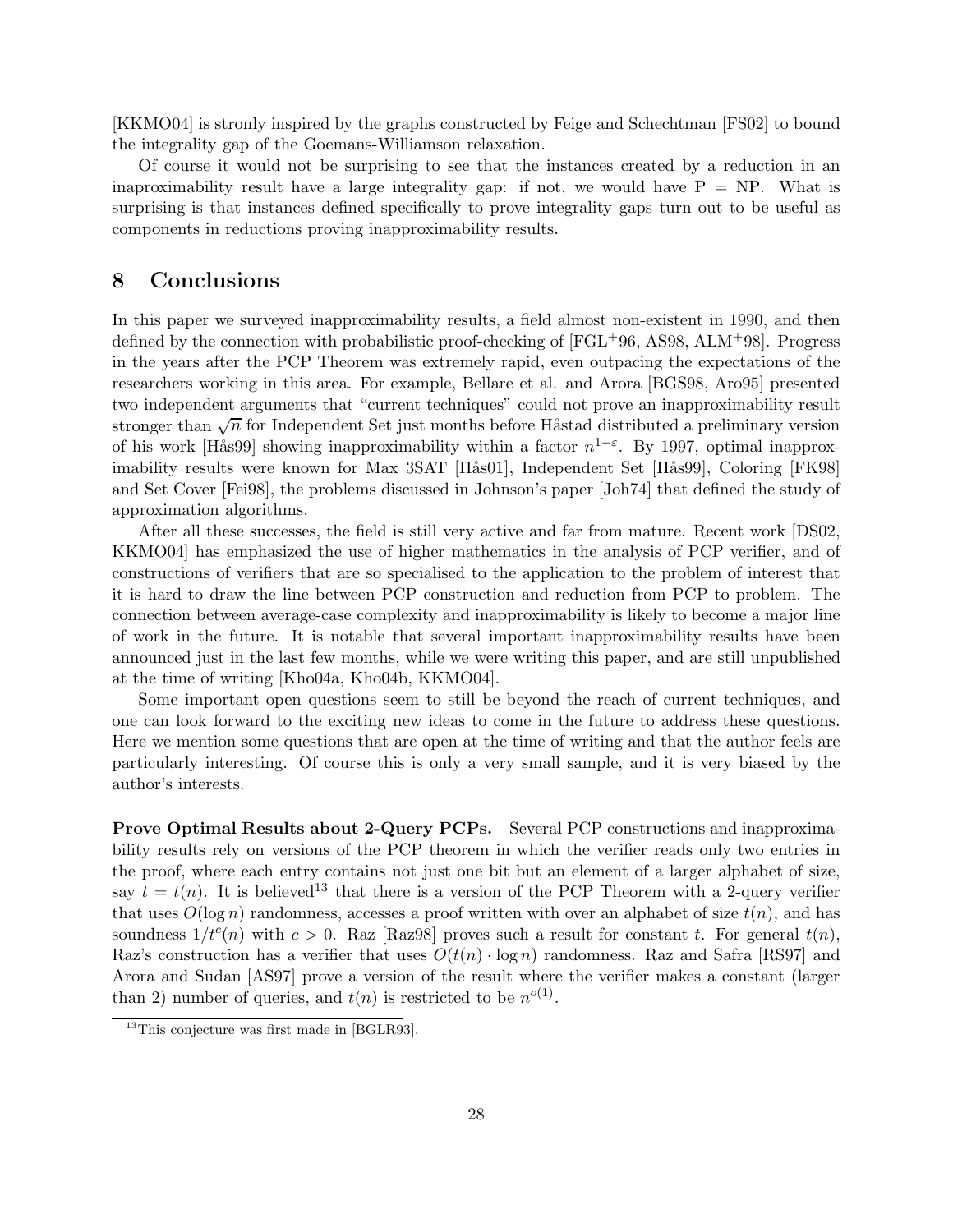[KKMO04] is stronly inspired by the graphs constructed by Feige and Schechtman [FS02] to bound the integrality gap of the Goemans-Williamson relaxation.

Of course it would not be surprising to see that the instances created by a reduction in an inaproximability result have a large integrality gap: if not, we would have  $P = NP$ . What is surprising is that instances defined specifically to prove integrality gaps turn out to be useful as components in reductions proving inapproximability results.

## 8 Conclusions

In this paper we surveyed inapproximability results, a field almost non-existent in 1990, and then defined by the connection with probabilistic proof-checking of  $[FGL^{+}96, AS98, ALM^{+}98]$ . Progress in the years after the PCP Theorem was extremely rapid, even outpacing the expectations of the researchers working in this area. For example, Bellare et al. and Arora [BGS98, Aro95] presented two independent arguments that "current techniques" could not prove an inapproximability result stronger than  $\sqrt{n}$  for Independent Set just months before Håstad distributed a preliminary version of his work [Hås99] showing inapproximability within a factor  $n^{1-\epsilon}$ . By 1997, optimal inapproximability results were known for Max 3SAT [Hås01], Independent Set [Hås99], Coloring [FK98] and Set Cover [Fei98], the problems discussed in Johnson's paper [Joh74] that defined the study of approximation algorithms.

After all these successes, the field is still very active and far from mature. Recent work [DS02, KKMO04] has emphasized the use of higher mathematics in the analysis of PCP verifier, and of constructions of verifiers that are so specialised to the application to the problem of interest that it is hard to draw the line between PCP construction and reduction from PCP to problem. The connection between average-case complexity and inapproximability is likely to become a major line of work in the future. It is notable that several important inapproximability results have been announced just in the last few months, while we were writing this paper, and are still unpublished at the time of writing [Kho04a, Kho04b, KKMO04].

Some important open questions seem to still be beyond the reach of current techniques, and one can look forward to the exciting new ideas to come in the future to address these questions. Here we mention some questions that are open at the time of writing and that the author feels are particularly interesting. Of course this is only a very small sample, and it is very biased by the author's interests.

Prove Optimal Results about 2-Query PCPs. Several PCP constructions and inapproximability results rely on versions of the PCP theorem in which the verifier reads only two entries in the proof, where each entry contains not just one bit but an element of a larger alphabet of size, say  $t = t(n)$ . It is believed<sup>13</sup> that there is a version of the PCP Theorem with a 2-query verifier that uses  $O(\log n)$  randomness, accesses a proof written with over an alphabet of size  $t(n)$ , and has soundness  $1/t^{c}(n)$  with  $c > 0$ . Raz [Raz98] proves such a result for constant t. For general  $t(n)$ , Raz's construction has a verifier that uses  $O(t(n) \cdot \log n)$  randomness. Raz and Safra [RS97] and Arora and Sudan [AS97] prove a version of the result where the verifier makes a constant (larger than 2) number of queries, and  $t(n)$  is restricted to be  $n^{o(1)}$ .

<sup>&</sup>lt;sup>13</sup>This conjecture was first made in [BGLR93].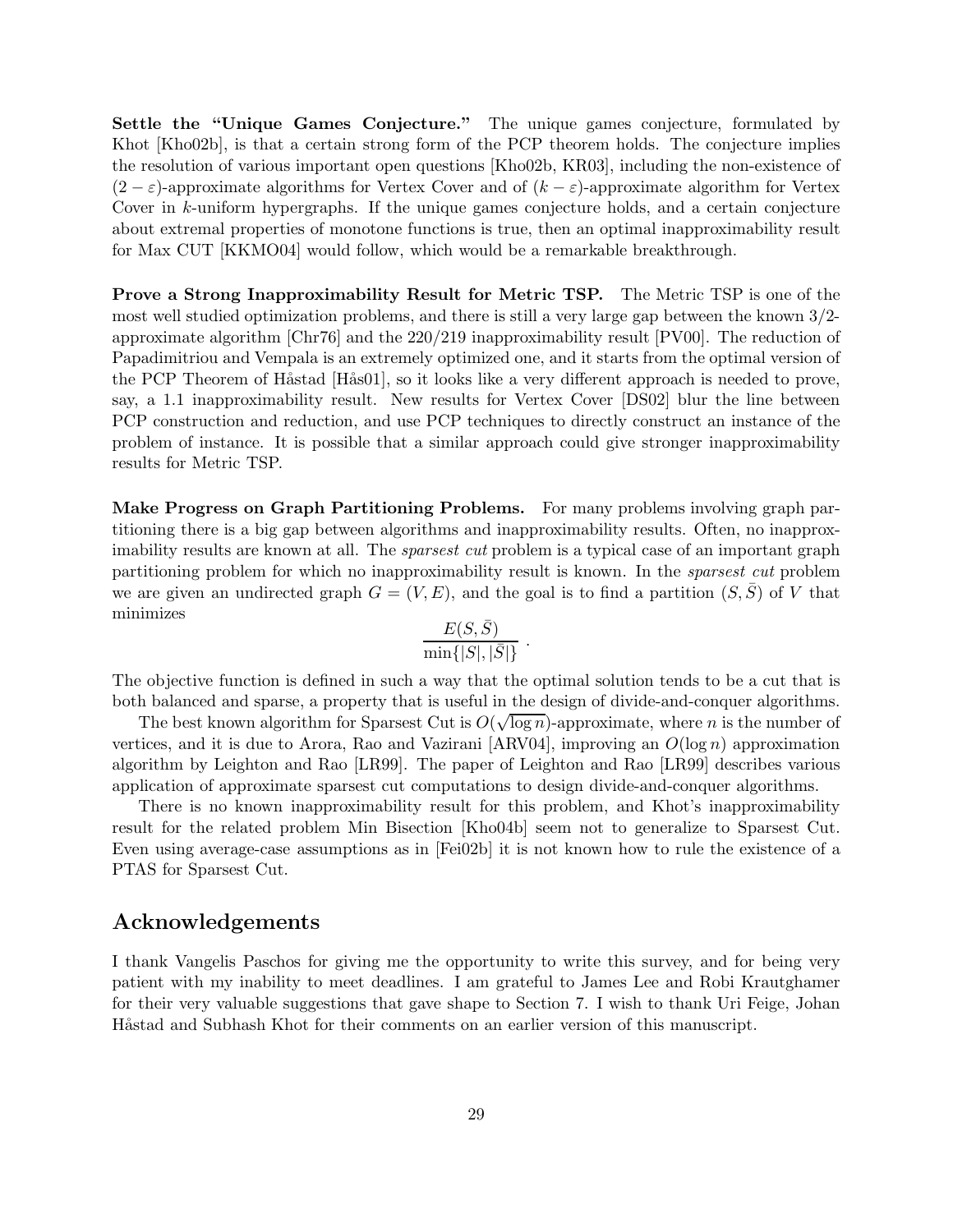Settle the "Unique Games Conjecture." The unique games conjecture, formulated by Khot [Kho02b], is that a certain strong form of the PCP theorem holds. The conjecture implies the resolution of various important open questions [Kho02b, KR03], including the non-existence of  $(2 - \varepsilon)$ -approximate algorithms for Vertex Cover and of  $(k - \varepsilon)$ -approximate algorithm for Vertex Cover in k-uniform hypergraphs. If the unique games conjecture holds, and a certain conjecture about extremal properties of monotone functions is true, then an optimal inapproximability result for Max CUT [KKMO04] would follow, which would be a remarkable breakthrough.

Prove a Strong Inapproximability Result for Metric TSP. The Metric TSP is one of the most well studied optimization problems, and there is still a very large gap between the known 3/2 approximate algorithm [Chr76] and the 220/219 inapproximability result [PV00]. The reduction of Papadimitriou and Vempala is an extremely optimized one, and it starts from the optimal version of the PCP Theorem of Håstad [Hås01], so it looks like a very different approach is needed to prove, say, a 1.1 inapproximability result. New results for Vertex Cover [DS02] blur the line between PCP construction and reduction, and use PCP techniques to directly construct an instance of the problem of instance. It is possible that a similar approach could give stronger inapproximability results for Metric TSP.

Make Progress on Graph Partitioning Problems. For many problems involving graph partitioning there is a big gap between algorithms and inapproximability results. Often, no inapproximability results are known at all. The *sparsest cut* problem is a typical case of an important graph partitioning problem for which no inapproximability result is known. In the sparsest cut problem we are given an undirected graph  $G = (V, E)$ , and the goal is to find a partition  $(S, S)$  of V that minimizes

$$
\frac{E(S,\bar{S})}{\min\{|S|,|\bar{S}|\}}\ .
$$

The objective function is defined in such a way that the optimal solution tends to be a cut that is both balanced and sparse, a property that is useful in the design of divide-and-conquer algorithms.

The best known algorithm for Sparsest Cut is  $O(\sqrt{\log n})$ -approximate, where n is the number of vertices, and it is due to Arora, Rao and Vazirani [ARV04], improving an  $O(\log n)$  approximation algorithm by Leighton and Rao [LR99]. The paper of Leighton and Rao [LR99] describes various application of approximate sparsest cut computations to design divide-and-conquer algorithms.

There is no known inapproximability result for this problem, and Khot's inapproximability result for the related problem Min Bisection [Kho04b] seem not to generalize to Sparsest Cut. Even using average-case assumptions as in [Fei02b] it is not known how to rule the existence of a PTAS for Sparsest Cut.

## Acknowledgements

I thank Vangelis Paschos for giving me the opportunity to write this survey, and for being very patient with my inability to meet deadlines. I am grateful to James Lee and Robi Krautghamer for their very valuable suggestions that gave shape to Section 7. I wish to thank Uri Feige, Johan Håstad and Subhash Khot for their comments on an earlier version of this manuscript.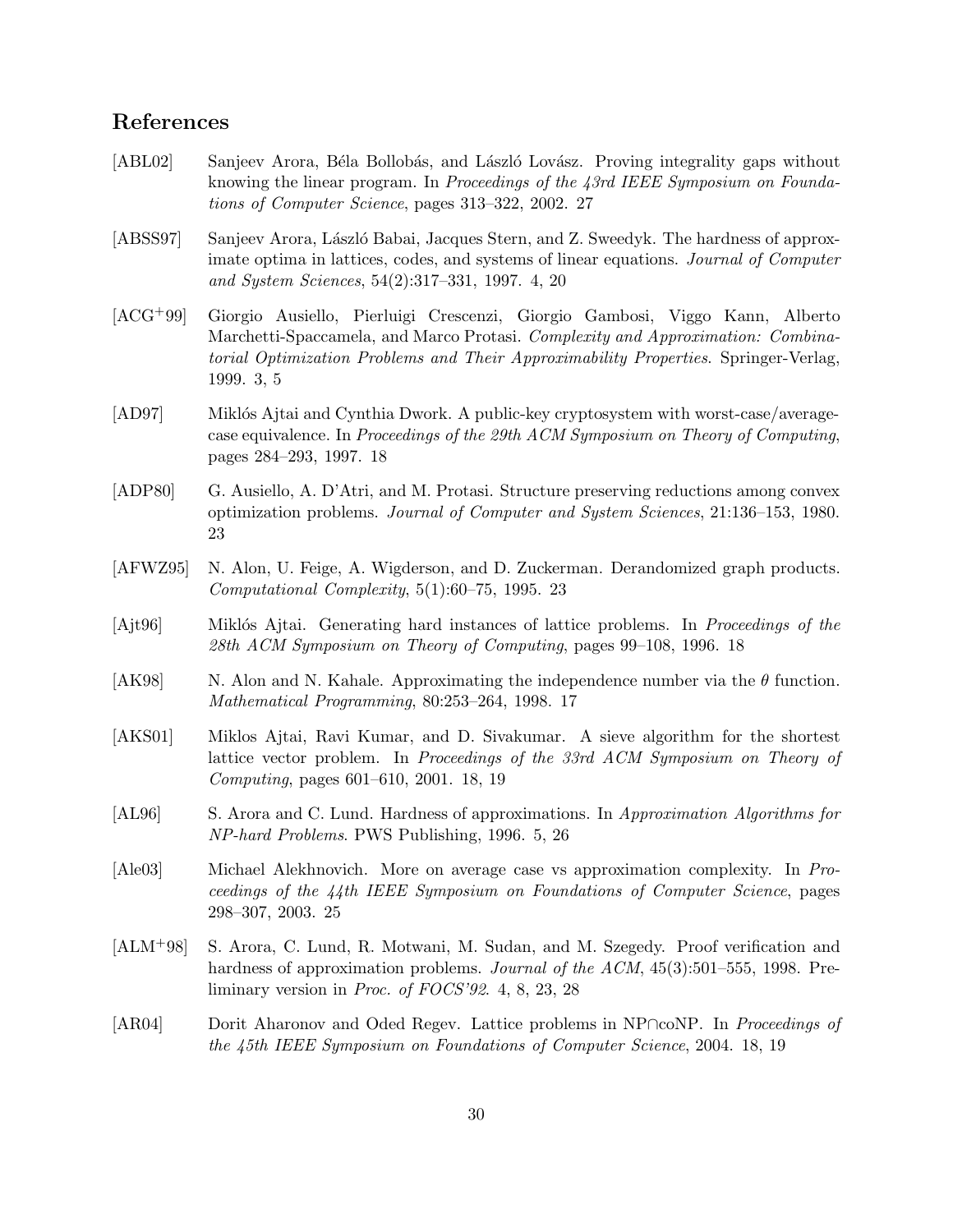## References

- [ABL02] Sanjeev Arora, Béla Bollobás, and László Lovász. Proving integrality gaps without knowing the linear program. In Proceedings of the 43rd IEEE Symposium on Foundations of Computer Science, pages 313–322, 2002. 27
- [ABSS97] Sanjeev Arora, László Babai, Jacques Stern, and Z. Sweedyk. The hardness of approximate optima in lattices, codes, and systems of linear equations. Journal of Computer and System Sciences, 54(2):317–331, 1997. 4, 20
- [ACG+99] Giorgio Ausiello, Pierluigi Crescenzi, Giorgio Gambosi, Viggo Kann, Alberto Marchetti-Spaccamela, and Marco Protasi. Complexity and Approximation: Combinatorial Optimization Problems and Their Approximability Properties. Springer-Verlag, 1999. 3, 5
- [AD97] Miklós Ajtai and Cynthia Dwork. A public-key cryptosystem with worst-case/averagecase equivalence. In Proceedings of the 29th ACM Symposium on Theory of Computing, pages 284–293, 1997. 18
- [ADP80] G. Ausiello, A. D'Atri, and M. Protasi. Structure preserving reductions among convex optimization problems. Journal of Computer and System Sciences, 21:136–153, 1980. 23
- [AFWZ95] N. Alon, U. Feige, A. Wigderson, and D. Zuckerman. Derandomized graph products. Computational Complexity, 5(1):60–75, 1995. 23
- [Ajt96] Miklós Ajtai. Generating hard instances of lattice problems. In *Proceedings of the* 28th ACM Symposium on Theory of Computing, pages 99–108, 1996. 18
- [AK98] N. Alon and N. Kahale. Approximating the independence number via the  $\theta$  function. Mathematical Programming, 80:253–264, 1998. 17
- [AKS01] Miklos Ajtai, Ravi Kumar, and D. Sivakumar. A sieve algorithm for the shortest lattice vector problem. In Proceedings of the 33rd ACM Symposium on Theory of Computing, pages 601–610, 2001. 18, 19
- [AL96] S. Arora and C. Lund. Hardness of approximations. In Approximation Algorithms for NP-hard Problems. PWS Publishing, 1996. 5, 26
- [Ale03] Michael Alekhnovich. More on average case vs approximation complexity. In Proceedings of the 44th IEEE Symposium on Foundations of Computer Science, pages 298–307, 2003. 25
- [ALM+98] S. Arora, C. Lund, R. Motwani, M. Sudan, and M. Szegedy. Proof verification and hardness of approximation problems. *Journal of the ACM*, 45(3):501–555, 1998. Preliminary version in Proc. of FOCS'92. 4, 8, 23, 28
- [AR04] Dorit Aharonov and Oded Regev. Lattice problems in NP∩coNP. In Proceedings of the 45th IEEE Symposium on Foundations of Computer Science, 2004. 18, 19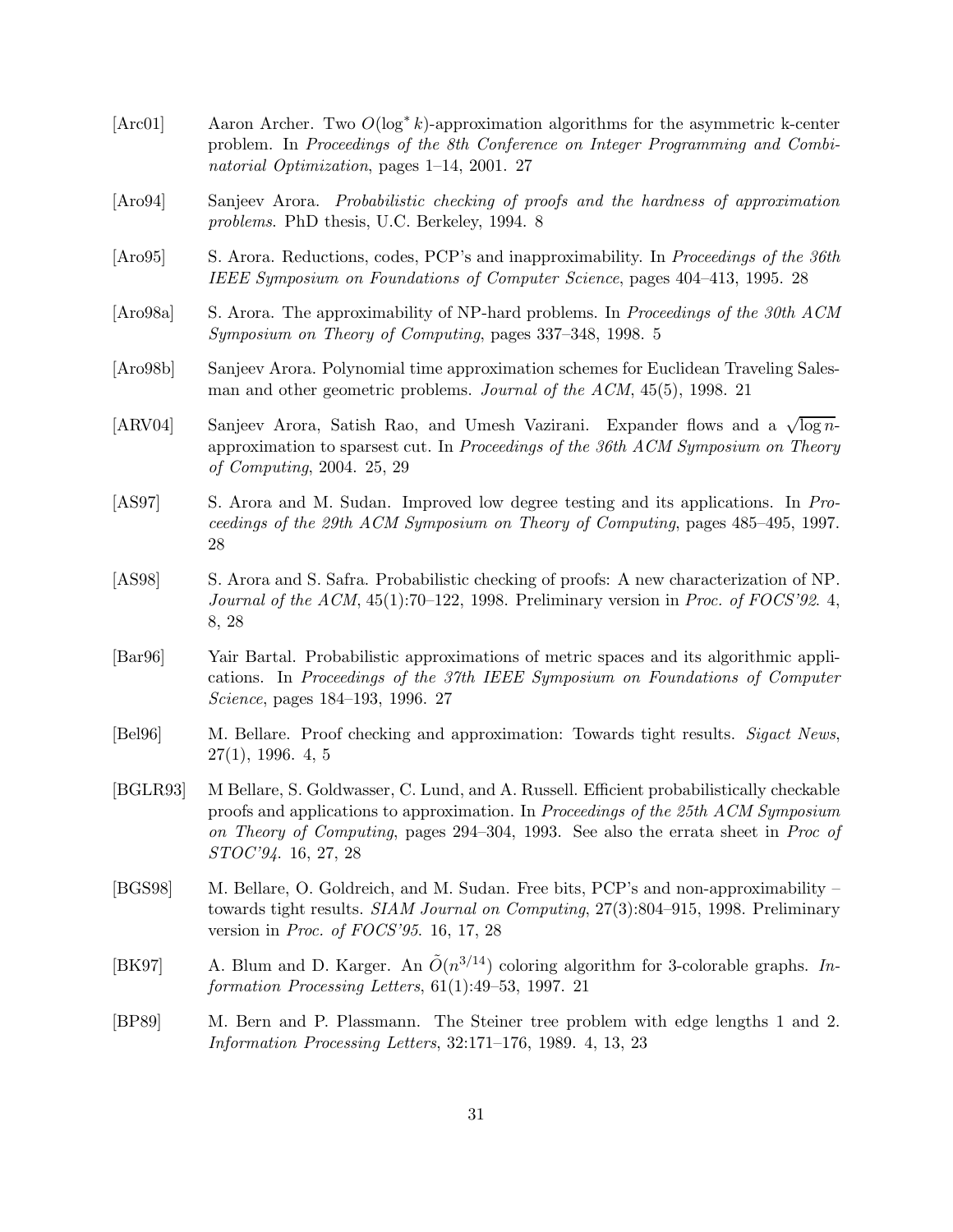[Arc01] Aaron Archer. Two O(log∗ k)-approximation algorithms for the asymmetric k-center problem. In Proceedings of the 8th Conference on Integer Programming and Combinatorial Optimization, pages 1–14, 2001. 27 [Aro94] Sanjeev Arora. Probabilistic checking of proofs and the hardness of approximation problems. PhD thesis, U.C. Berkeley, 1994. 8 [Aro95] S. Arora. Reductions, codes, PCP's and inapproximability. In Proceedings of the 36th IEEE Symposium on Foundations of Computer Science, pages 404–413, 1995. 28 [Aro98a] S. Arora. The approximability of NP-hard problems. In Proceedings of the 30th ACM Symposium on Theory of Computing, pages 337–348, 1998. 5 [Aro98b] Sanjeev Arora. Polynomial time approximation schemes for Euclidean Traveling Salesman and other geometric problems. Journal of the ACM, 45(5), 1998. 21 [ARV04] Sanjeev Arora, Satish Rao, and Umesh Vazirani. Expander flows and a  $\sqrt{\log n}$ approximation to sparsest cut. In Proceedings of the 36th ACM Symposium on Theory of Computing, 2004. 25, 29 [AS97] S. Arora and M. Sudan. Improved low degree testing and its applications. In Proceedings of the 29th ACM Symposium on Theory of Computing, pages 485–495, 1997. 28 [AS98] S. Arora and S. Safra. Probabilistic checking of proofs: A new characterization of NP. Journal of the ACM,  $45(1)$ :70–122, 1998. Preliminary version in *Proc.* of FOCS'92. 4, 8, 28 [Bar96] Yair Bartal. Probabilistic approximations of metric spaces and its algorithmic applications. In Proceedings of the 37th IEEE Symposium on Foundations of Computer Science, pages 184–193, 1996. 27 [Bel96] M. Bellare. Proof checking and approximation: Towards tight results. Sigact News, 27(1), 1996. 4, 5 [BGLR93] M Bellare, S. Goldwasser, C. Lund, and A. Russell. Efficient probabilistically checkable proofs and applications to approximation. In Proceedings of the 25th ACM Symposium on Theory of Computing, pages 294–304, 1993. See also the errata sheet in Proc of STOC'94. 16, 27, 28 [BGS98] M. Bellare, O. Goldreich, and M. Sudan. Free bits, PCP's and non-approximability – towards tight results. SIAM Journal on Computing, 27(3):804–915, 1998. Preliminary version in Proc. of FOCS'95. 16, 17, 28 [BK97] A. Blum and D. Karger. An  $\tilde{O}(n^{3/14})$  coloring algorithm for 3-colorable graphs. Information Processing Letters, 61(1):49–53, 1997. 21 [BP89] M. Bern and P. Plassmann. The Steiner tree problem with edge lengths 1 and 2. Information Processing Letters, 32:171–176, 1989. 4, 13, 23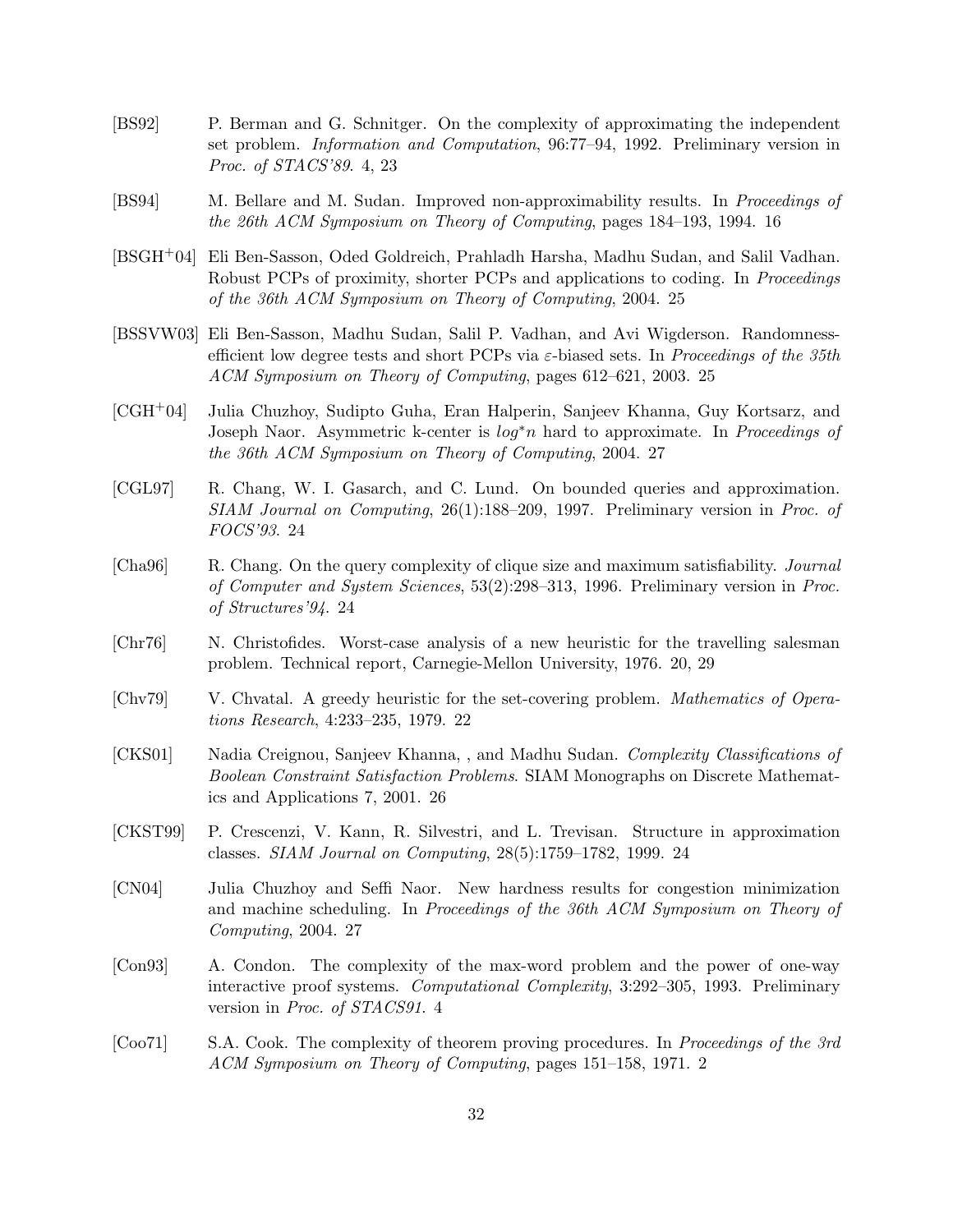- [BS92] P. Berman and G. Schnitger. On the complexity of approximating the independent set problem. Information and Computation, 96:77–94, 1992. Preliminary version in Proc. of STACS'89. 4, 23
- [BS94] M. Bellare and M. Sudan. Improved non-approximability results. In Proceedings of the 26th ACM Symposium on Theory of Computing, pages 184–193, 1994. 16
- [BSGH+04] Eli Ben-Sasson, Oded Goldreich, Prahladh Harsha, Madhu Sudan, and Salil Vadhan. Robust PCPs of proximity, shorter PCPs and applications to coding. In *Proceedings* of the 36th ACM Symposium on Theory of Computing, 2004. 25
- [BSSVW03] Eli Ben-Sasson, Madhu Sudan, Salil P. Vadhan, and Avi Wigderson. Randomnessefficient low degree tests and short PCPs via  $\varepsilon$ -biased sets. In *Proceedings of the 35th* ACM Symposium on Theory of Computing, pages 612–621, 2003. 25
- [CGH+04] Julia Chuzhoy, Sudipto Guha, Eran Halperin, Sanjeev Khanna, Guy Kortsarz, and Joseph Naor. Asymmetric k-center is log∗n hard to approximate. In Proceedings of the 36th ACM Symposium on Theory of Computing, 2004. 27
- [CGL97] R. Chang, W. I. Gasarch, and C. Lund. On bounded queries and approximation. SIAM Journal on Computing, 26(1):188–209, 1997. Preliminary version in Proc. of FOCS'93. 24
- [Cha96] R. Chang. On the query complexity of clique size and maximum satisfiability. Journal of Computer and System Sciences, 53(2):298–313, 1996. Preliminary version in Proc. of Structures'94. 24
- [Chr76] N. Christofides. Worst-case analysis of a new heuristic for the travelling salesman problem. Technical report, Carnegie-Mellon University, 1976. 20, 29
- [Chv79] V. Chvatal. A greedy heuristic for the set-covering problem. Mathematics of Operations Research, 4:233–235, 1979. 22
- [CKS01] Nadia Creignou, Sanjeev Khanna, , and Madhu Sudan. Complexity Classifications of Boolean Constraint Satisfaction Problems. SIAM Monographs on Discrete Mathematics and Applications 7, 2001. 26
- [CKST99] P. Crescenzi, V. Kann, R. Silvestri, and L. Trevisan. Structure in approximation classes. SIAM Journal on Computing, 28(5):1759–1782, 1999. 24
- [CN04] Julia Chuzhoy and Seffi Naor. New hardness results for congestion minimization and machine scheduling. In Proceedings of the 36th ACM Symposium on Theory of Computing, 2004. 27
- [Con93] A. Condon. The complexity of the max-word problem and the power of one-way interactive proof systems. Computational Complexity, 3:292–305, 1993. Preliminary version in Proc. of STACS91. 4
- [Coo71] S.A. Cook. The complexity of theorem proving procedures. In Proceedings of the 3rd ACM Symposium on Theory of Computing, pages 151–158, 1971. 2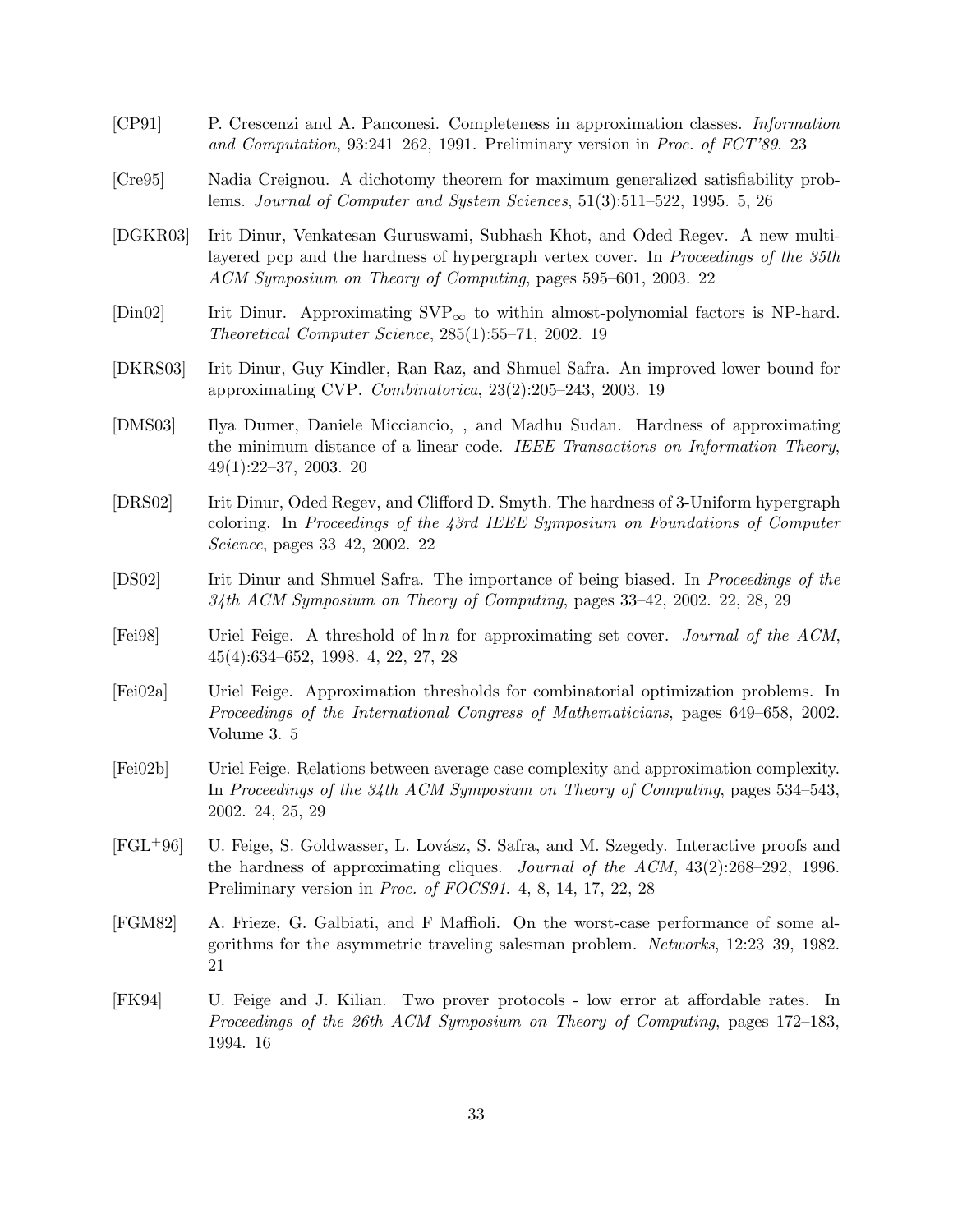- [CP91] P. Crescenzi and A. Panconesi. Completeness in approximation classes. Information and Computation, 93:241–262, 1991. Preliminary version in Proc. of FCT'89. 23
- [Cre95] Nadia Creignou. A dichotomy theorem for maximum generalized satisfiability problems. Journal of Computer and System Sciences, 51(3):511–522, 1995. 5, 26
- [DGKR03] Irit Dinur, Venkatesan Guruswami, Subhash Khot, and Oded Regev. A new multilayered pcp and the hardness of hypergraph vertex cover. In Proceedings of the 35th ACM Symposium on Theory of Computing, pages 595–601, 2003. 22
- $[\text{Din}02]$  Irit Dinur. Approximating SVP<sub>∞</sub> to within almost-polynomial factors is NP-hard. Theoretical Computer Science, 285(1):55–71, 2002. 19
- [DKRS03] Irit Dinur, Guy Kindler, Ran Raz, and Shmuel Safra. An improved lower bound for approximating CVP. Combinatorica, 23(2):205–243, 2003. 19
- [DMS03] Ilya Dumer, Daniele Micciancio, , and Madhu Sudan. Hardness of approximating the minimum distance of a linear code. IEEE Transactions on Information Theory, 49(1):22–37, 2003. 20
- [DRS02] Irit Dinur, Oded Regev, and Clifford D. Smyth. The hardness of 3-Uniform hypergraph coloring. In Proceedings of the 43rd IEEE Symposium on Foundations of Computer Science, pages 33–42, 2002. 22
- [DS02] Irit Dinur and Shmuel Safra. The importance of being biased. In Proceedings of the 34th ACM Symposium on Theory of Computing, pages 33–42, 2002. 22, 28, 29
- [Fei98] Uriel Feige. A threshold of ln n for approximating set cover. Journal of the ACM, 45(4):634–652, 1998. 4, 22, 27, 28
- [Fei02a] Uriel Feige. Approximation thresholds for combinatorial optimization problems. In Proceedings of the International Congress of Mathematicians, pages 649–658, 2002. Volume 3. 5
- [Fei02b] Uriel Feige. Relations between average case complexity and approximation complexity. In Proceedings of the 34th ACM Symposium on Theory of Computing, pages 534–543, 2002. 24, 25, 29
- [FGL<sup>+</sup>96] U. Feige, S. Goldwasser, L. Lovász, S. Safra, and M. Szegedy. Interactive proofs and the hardness of approximating cliques. Journal of the ACM, 43(2):268–292, 1996. Preliminary version in Proc. of FOCS91. 4, 8, 14, 17, 22, 28
- [FGM82] A. Frieze, G. Galbiati, and F Maffioli. On the worst-case performance of some algorithms for the asymmetric traveling salesman problem. Networks, 12:23–39, 1982. 21
- [FK94] U. Feige and J. Kilian. Two prover protocols low error at affordable rates. In Proceedings of the 26th ACM Symposium on Theory of Computing, pages 172–183, 1994. 16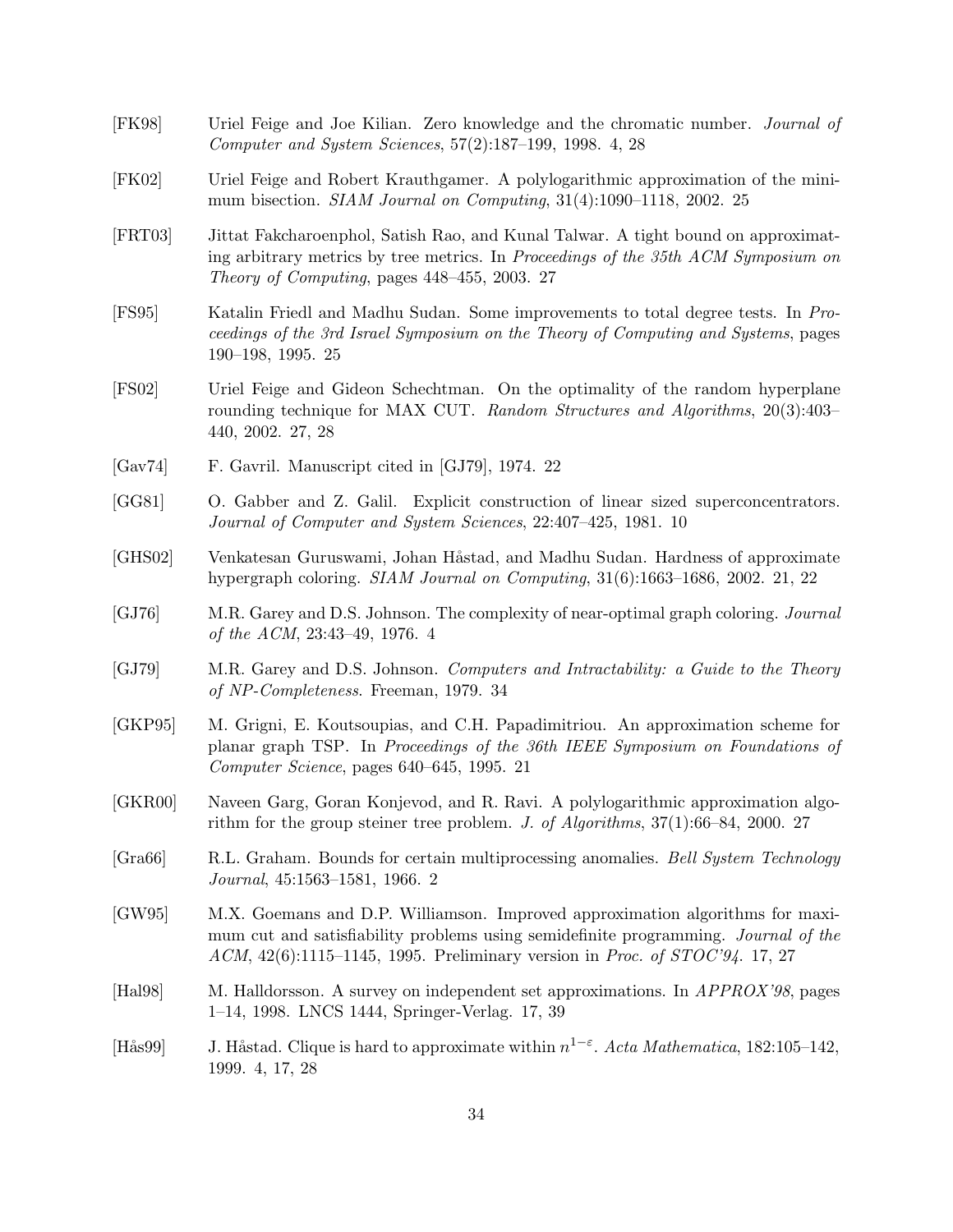- [FK98] Uriel Feige and Joe Kilian. Zero knowledge and the chromatic number. Journal of Computer and System Sciences, 57(2):187–199, 1998. 4, 28
- [FK02] Uriel Feige and Robert Krauthgamer. A polylogarithmic approximation of the minimum bisection. SIAM Journal on Computing, 31(4):1090–1118, 2002. 25
- [FRT03] Jittat Fakcharoenphol, Satish Rao, and Kunal Talwar. A tight bound on approximating arbitrary metrics by tree metrics. In Proceedings of the 35th ACM Symposium on Theory of Computing, pages 448–455, 2003. 27
- [FS95] Katalin Friedl and Madhu Sudan. Some improvements to total degree tests. In Proceedings of the 3rd Israel Symposium on the Theory of Computing and Systems, pages 190–198, 1995. 25
- [FS02] Uriel Feige and Gideon Schechtman. On the optimality of the random hyperplane rounding technique for MAX CUT. Random Structures and Algorithms, 20(3):403– 440, 2002. 27, 28
- [Gav74] F. Gavril. Manuscript cited in [GJ79], 1974. 22
- [GG81] O. Gabber and Z. Galil. Explicit construction of linear sized superconcentrators. Journal of Computer and System Sciences, 22:407–425, 1981. 10
- [GHS02] Venkatesan Guruswami, Johan Håstad, and Madhu Sudan. Hardness of approximate hypergraph coloring. SIAM Journal on Computing, 31(6):1663–1686, 2002. 21, 22
- [GJ76] M.R. Garey and D.S. Johnson. The complexity of near-optimal graph coloring. Journal of the ACM, 23:43–49, 1976. 4
- [GJ79] M.R. Garey and D.S. Johnson. Computers and Intractability: a Guide to the Theory of NP-Completeness. Freeman, 1979. 34
- [GKP95] M. Grigni, E. Koutsoupias, and C.H. Papadimitriou. An approximation scheme for planar graph TSP. In Proceedings of the 36th IEEE Symposium on Foundations of Computer Science, pages 640–645, 1995. 21
- [GKR00] Naveen Garg, Goran Konjevod, and R. Ravi. A polylogarithmic approximation algorithm for the group steiner tree problem. J. of Algorithms, 37(1):66–84, 2000. 27
- [Gra66] R.L. Graham. Bounds for certain multiprocessing anomalies. Bell System Technology Journal, 45:1563–1581, 1966. 2
- [GW95] M.X. Goemans and D.P. Williamson. Improved approximation algorithms for maximum cut and satisfiability problems using semidefinite programming. Journal of the ACM, 42(6):1115–1145, 1995. Preliminary version in Proc. of STOC'94. 17, 27
- [Hal98] M. Halldorsson. A survey on independent set approximations. In APPROX'98, pages 1–14, 1998. LNCS 1444, Springer-Verlag. 17, 39
- [Hås99] J. Håstad. Clique is hard to approximate within  $n^{1-\epsilon}$ . Acta Mathematica, 182:105–142, 1999. 4, 17, 28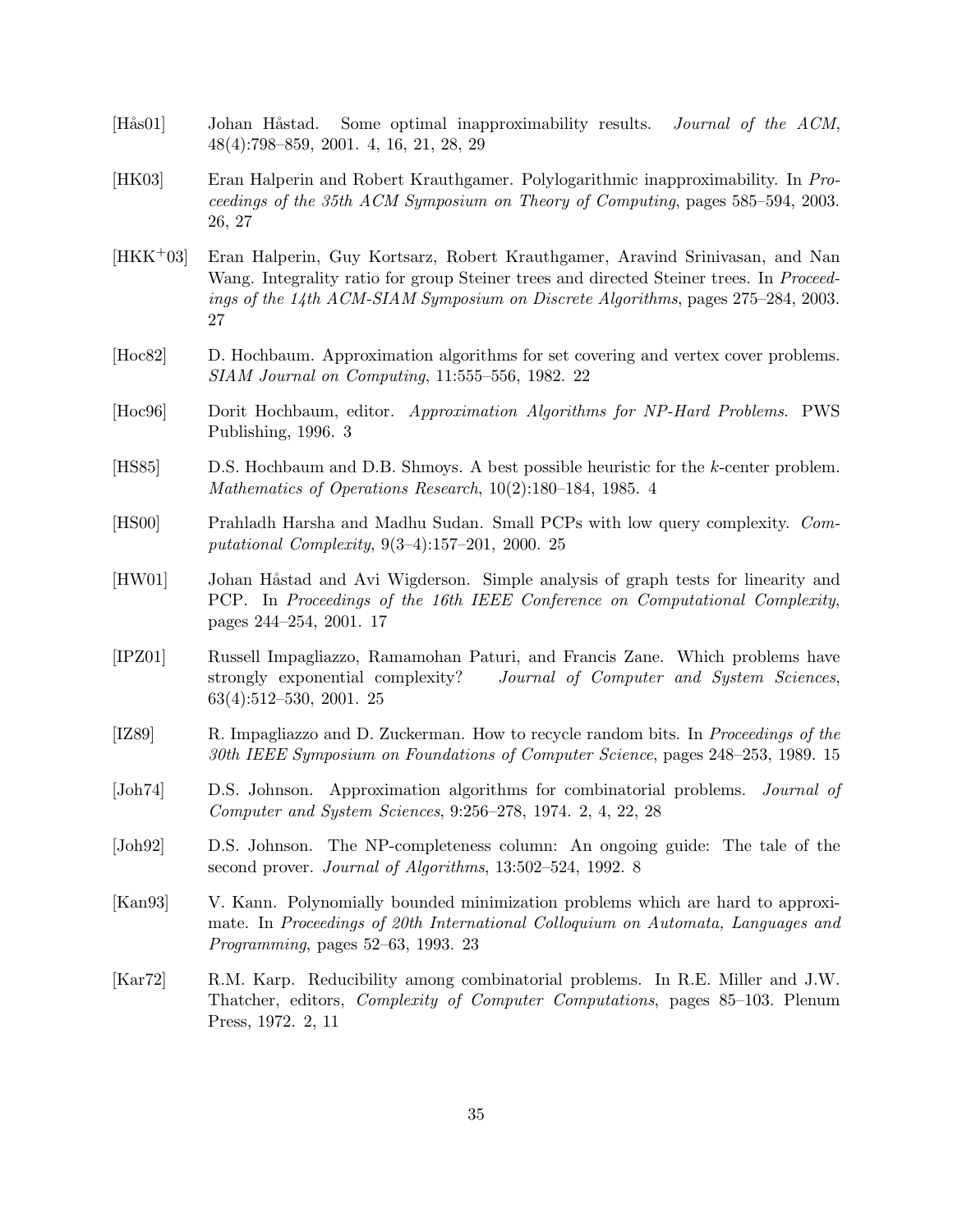- [Hås01] Johan Håstad. Some optimal inapproximability results. *Journal of the ACM*, 48(4):798–859, 2001. 4, 16, 21, 28, 29
- [HK03] Eran Halperin and Robert Krauthgamer. Polylogarithmic inapproximability. In Proceedings of the 35th ACM Symposium on Theory of Computing, pages 585–594, 2003. 26, 27
- [HKK+03] Eran Halperin, Guy Kortsarz, Robert Krauthgamer, Aravind Srinivasan, and Nan Wang. Integrality ratio for group Steiner trees and directed Steiner trees. In *Proceed*ings of the 14th ACM-SIAM Symposium on Discrete Algorithms, pages 275–284, 2003. 27
- [Hoc82] D. Hochbaum. Approximation algorithms for set covering and vertex cover problems. SIAM Journal on Computing, 11:555–556, 1982. 22
- [Hoc96] Dorit Hochbaum, editor. Approximation Algorithms for NP-Hard Problems. PWS Publishing, 1996. 3
- [HS85] D.S. Hochbaum and D.B. Shmoys. A best possible heuristic for the k-center problem. Mathematics of Operations Research, 10(2):180–184, 1985. 4
- [HS00] Prahladh Harsha and Madhu Sudan. Small PCPs with low query complexity. Computational Complexity, 9(3–4):157–201, 2000. 25
- [HW01] Johan Håstad and Avi Wigderson. Simple analysis of graph tests for linearity and PCP. In Proceedings of the 16th IEEE Conference on Computational Complexity, pages 244–254, 2001. 17
- [IPZ01] Russell Impagliazzo, Ramamohan Paturi, and Francis Zane. Which problems have strongly exponential complexity? Journal of Computer and System Sciences, 63(4):512–530, 2001. 25
- [IZ89] R. Impagliazzo and D. Zuckerman. How to recycle random bits. In Proceedings of the 30th IEEE Symposium on Foundations of Computer Science, pages 248–253, 1989. 15
- [Joh74] D.S. Johnson. Approximation algorithms for combinatorial problems. Journal of Computer and System Sciences, 9:256–278, 1974. 2, 4, 22, 28
- [Joh92] D.S. Johnson. The NP-completeness column: An ongoing guide: The tale of the second prover. Journal of Algorithms, 13:502–524, 1992. 8
- [Kan93] V. Kann. Polynomially bounded minimization problems which are hard to approximate. In Proceedings of 20th International Colloquium on Automata, Languages and Programming, pages 52–63, 1993. 23
- [Kar72] R.M. Karp. Reducibility among combinatorial problems. In R.E. Miller and J.W. Thatcher, editors, Complexity of Computer Computations, pages 85–103. Plenum Press, 1972. 2, 11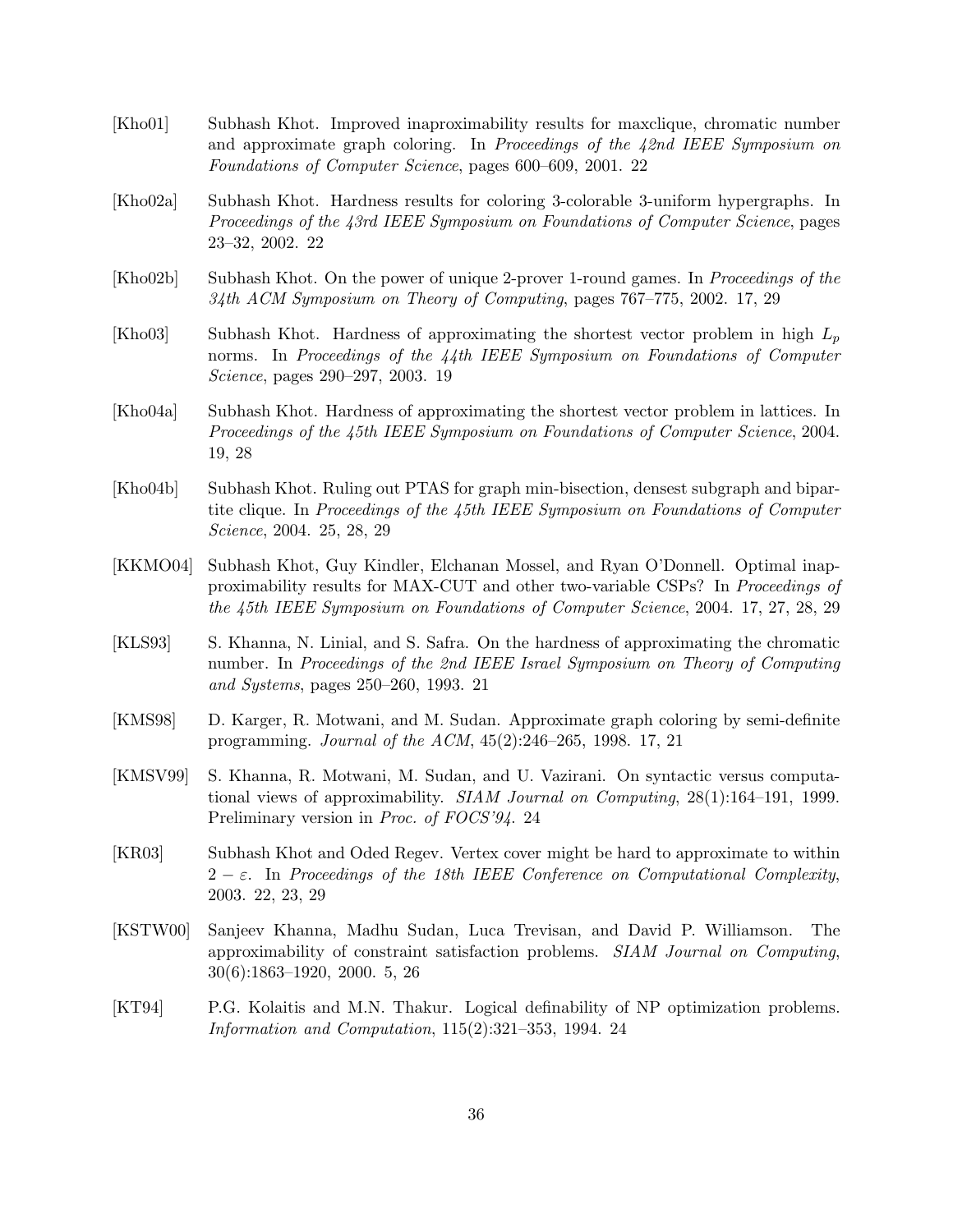- [Kho01] Subhash Khot. Improved inaproximability results for maxclique, chromatic number and approximate graph coloring. In Proceedings of the 42nd IEEE Symposium on Foundations of Computer Science, pages 600–609, 2001. 22
- [Kho02a] Subhash Khot. Hardness results for coloring 3-colorable 3-uniform hypergraphs. In Proceedings of the 43rd IEEE Symposium on Foundations of Computer Science, pages 23–32, 2002. 22
- [Kho02b] Subhash Khot. On the power of unique 2-prover 1-round games. In Proceedings of the 34th ACM Symposium on Theory of Computing, pages 767–775, 2002. 17, 29
- [Kho03] Subhash Khot. Hardness of approximating the shortest vector problem in high  $L_p$ norms. In Proceedings of the 44th IEEE Symposium on Foundations of Computer Science, pages 290–297, 2003. 19
- [Kho04a] Subhash Khot. Hardness of approximating the shortest vector problem in lattices. In Proceedings of the 45th IEEE Symposium on Foundations of Computer Science, 2004. 19, 28
- [Kho04b] Subhash Khot. Ruling out PTAS for graph min-bisection, densest subgraph and bipartite clique. In Proceedings of the 45th IEEE Symposium on Foundations of Computer Science, 2004. 25, 28, 29
- [KKMO04] Subhash Khot, Guy Kindler, Elchanan Mossel, and Ryan O'Donnell. Optimal inapproximability results for MAX-CUT and other two-variable CSPs? In Proceedings of the 45th IEEE Symposium on Foundations of Computer Science, 2004. 17, 27, 28, 29
- [KLS93] S. Khanna, N. Linial, and S. Safra. On the hardness of approximating the chromatic number. In Proceedings of the 2nd IEEE Israel Symposium on Theory of Computing and Systems, pages 250–260, 1993. 21
- [KMS98] D. Karger, R. Motwani, and M. Sudan. Approximate graph coloring by semi-definite programming. Journal of the ACM, 45(2):246–265, 1998. 17, 21
- [KMSV99] S. Khanna, R. Motwani, M. Sudan, and U. Vazirani. On syntactic versus computational views of approximability. SIAM Journal on Computing, 28(1):164–191, 1999. Preliminary version in *Proc. of FOCS'94*. 24
- [KR03] Subhash Khot and Oded Regev. Vertex cover might be hard to approximate to within  $2 - \varepsilon$ . In Proceedings of the 18th IEEE Conference on Computational Complexity, 2003. 22, 23, 29
- [KSTW00] Sanjeev Khanna, Madhu Sudan, Luca Trevisan, and David P. Williamson. The approximability of constraint satisfaction problems. SIAM Journal on Computing, 30(6):1863–1920, 2000. 5, 26
- [KT94] P.G. Kolaitis and M.N. Thakur. Logical definability of NP optimization problems. Information and Computation, 115(2):321–353, 1994. 24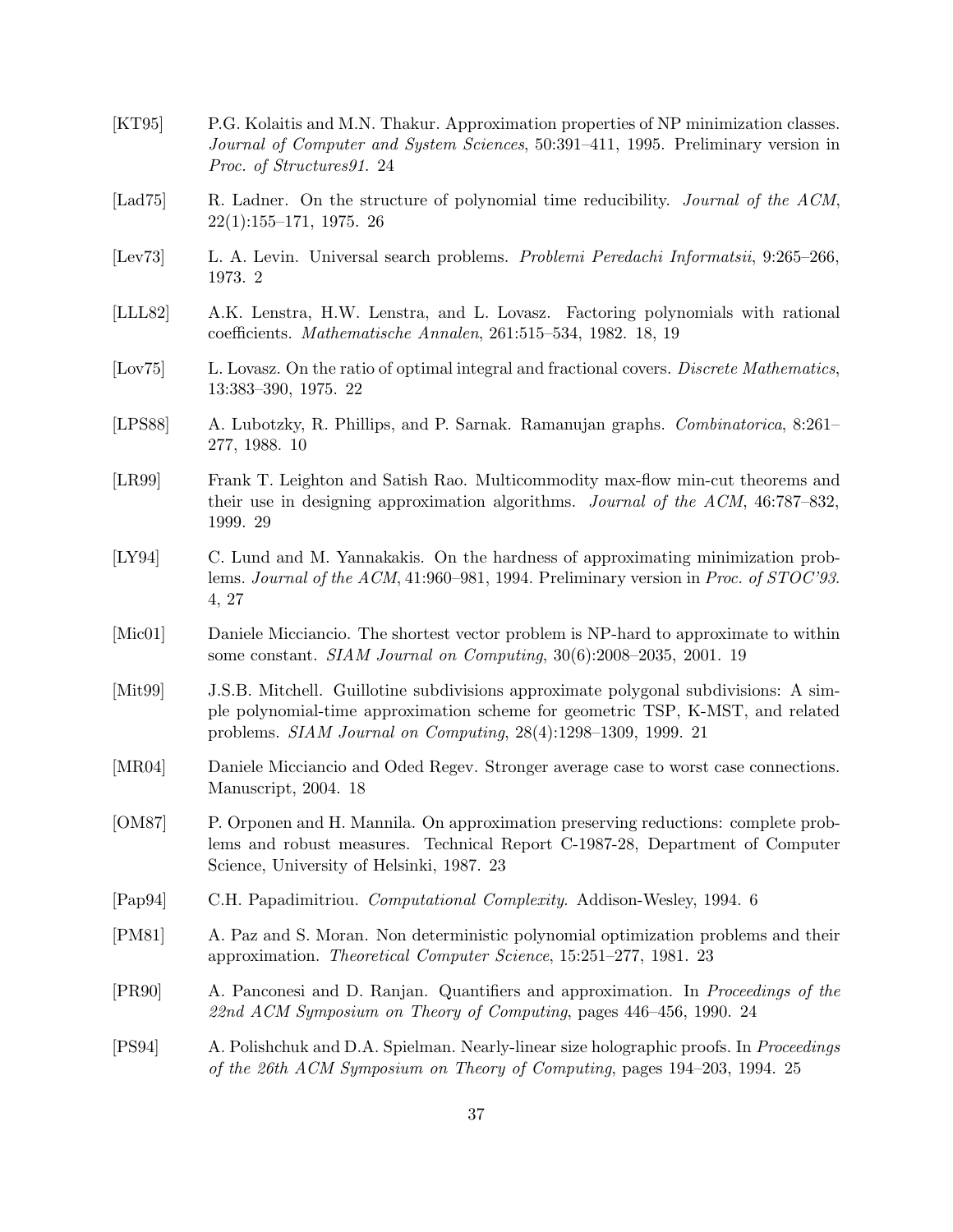| [KT95]          | P.G. Kolaitis and M.N. Thakur. Approximation properties of NP minimization classes.<br>Journal of Computer and System Sciences, 50:391-411, 1995. Preliminary version in<br>Proc. of Structures91. 24                                   |
|-----------------|-----------------------------------------------------------------------------------------------------------------------------------------------------------------------------------------------------------------------------------------|
| [Lad $75$ ]     | R. Ladner. On the structure of polynomial time reducibility. Journal of the ACM,<br>$22(1):155-171$ , 1975. 26                                                                                                                          |
| [Lev73]         | L. A. Levin. Universal search problems. Problemi Peredachi Informatsii, 9:265–266,<br>1973. 2                                                                                                                                           |
| [LLL82]         | A.K. Lenstra, H.W. Lenstra, and L. Lovasz. Factoring polynomials with rational<br>coefficients. Mathematische Annalen, 261:515–534, 1982. 18, 19                                                                                        |
| [Lov75]         | L. Lovasz. On the ratio of optimal integral and fractional covers. Discrete Mathematics,<br>13:383-390, 1975. 22                                                                                                                        |
| [LPSS8]         | A. Lubotzky, R. Phillips, and P. Sarnak. Ramanujan graphs. Combinatorica, 8:261–<br>277, 1988. 10                                                                                                                                       |
| [LR99]          | Frank T. Leighton and Satish Rao. Multicommodity max-flow min-cut theorems and<br>their use in designing approximation algorithms. Journal of the ACM, 46:787-832,<br>1999. 29                                                          |
| [LY94]          | C. Lund and M. Yannakakis. On the hardness of approximating minimization prob-<br>lems. Journal of the ACM, 41:960–981, 1994. Preliminary version in Proc. of $STOC'93$ .<br>4, 27                                                      |
| [Mic01]         | Daniele Micciancio. The shortest vector problem is NP-hard to approximate to within<br>some constant. SIAM Journal on Computing, 30(6):2008-2035, 2001. 19                                                                              |
| $[{\rm Mit99}]$ | J.S.B. Mitchell. Guillotine subdivisions approximate polygonal subdivisions: A sim-<br>ple polynomial-time approximation scheme for geometric TSP, K-MST, and related<br>problems. SIAM Journal on Computing, 28(4):1298-1309, 1999. 21 |
| [MR04]          | Daniele Micciancio and Oded Regev. Stronger average case to worst case connections.<br>Manuscript, 2004. 18                                                                                                                             |
| [OM87]          | P. Orponen and H. Mannila. On approximation preserving reductions: complete prob-<br>lems and robust measures. Technical Report C-1987-28, Department of Computer<br>Science, University of Helsinki, 1987. 23                          |
| [Pap94]         | C.H. Papadimitriou. Computational Complexity. Addison-Wesley, 1994. 6                                                                                                                                                                   |
| [PM81]          | A. Paz and S. Moran. Non deterministic polynomial optimization problems and their<br>approximation. Theoretical Computer Science, 15:251-277, 1981. 23                                                                                  |
| [PR90]          | A. Panconesi and D. Ranjan. Quantifiers and approximation. In <i>Proceedings of the</i><br>22nd ACM Symposium on Theory of Computing, pages 446-456, 1990. 24                                                                           |
| [PS94]          | A. Polishchuk and D.A. Spielman. Nearly-linear size holographic proofs. In <i>Proceedings</i><br>of the 26th ACM Symposium on Theory of Computing, pages 194-203, 1994. 25                                                              |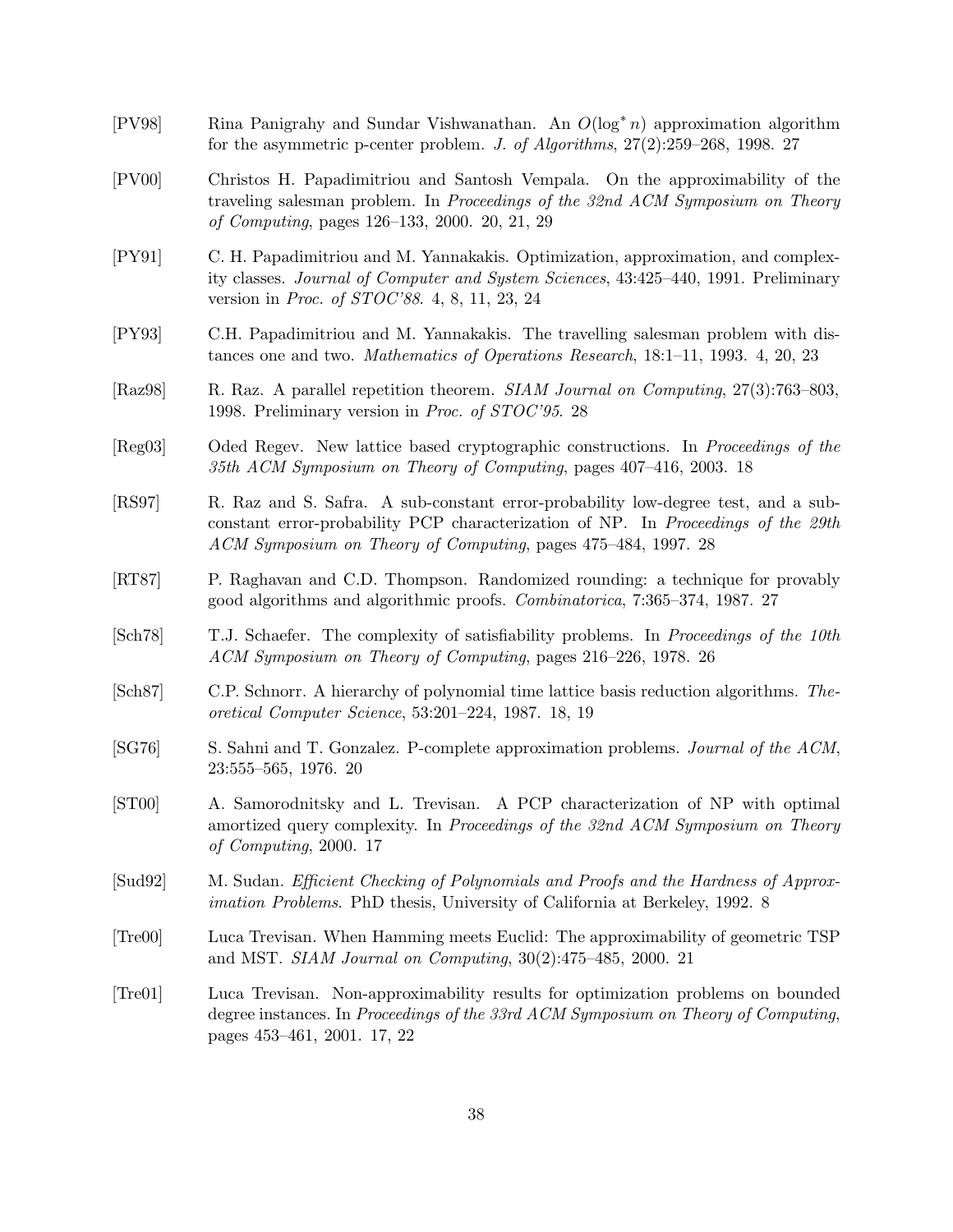- [PV98] Rina Panigrahy and Sundar Vishwanathan. An O(log∗ n) approximation algorithm for the asymmetric p-center problem. J. of Algorithms, 27(2):259–268, 1998. 27
- [PV00] Christos H. Papadimitriou and Santosh Vempala. On the approximability of the traveling salesman problem. In Proceedings of the 32nd ACM Symposium on Theory of Computing, pages 126–133, 2000. 20, 21, 29
- [PY91] C. H. Papadimitriou and M. Yannakakis. Optimization, approximation, and complexity classes. Journal of Computer and System Sciences, 43:425–440, 1991. Preliminary version in Proc. of STOC'88. 4, 8, 11, 23, 24
- [PY93] C.H. Papadimitriou and M. Yannakakis. The travelling salesman problem with distances one and two. Mathematics of Operations Research, 18:1–11, 1993. 4, 20, 23
- [Raz98] R. Raz. A parallel repetition theorem. SIAM Journal on Computing, 27(3):763–803, 1998. Preliminary version in Proc. of STOC'95. 28
- [Reg03] Oded Regev. New lattice based cryptographic constructions. In Proceedings of the 35th ACM Symposium on Theory of Computing, pages 407–416, 2003. 18
- [RS97] R. Raz and S. Safra. A sub-constant error-probability low-degree test, and a subconstant error-probability PCP characterization of NP. In Proceedings of the 29th ACM Symposium on Theory of Computing, pages 475–484, 1997. 28
- [RT87] P. Raghavan and C.D. Thompson. Randomized rounding: a technique for provably good algorithms and algorithmic proofs. Combinatorica, 7:365–374, 1987. 27
- [Sch78] T.J. Schaefer. The complexity of satisfiability problems. In Proceedings of the 10th ACM Symposium on Theory of Computing, pages 216–226, 1978. 26
- [Sch87] C.P. Schnorr. A hierarchy of polynomial time lattice basis reduction algorithms. Theoretical Computer Science, 53:201–224, 1987. 18, 19
- [SG76] S. Sahni and T. Gonzalez. P-complete approximation problems. Journal of the ACM, 23:555–565, 1976. 20
- [ST00] A. Samorodnitsky and L. Trevisan. A PCP characterization of NP with optimal amortized query complexity. In Proceedings of the 32nd ACM Symposium on Theory of Computing, 2000. 17
- [Sud92] M. Sudan. Efficient Checking of Polynomials and Proofs and the Hardness of Approximation Problems. PhD thesis, University of California at Berkeley, 1992. 8
- [Tre00] Luca Trevisan. When Hamming meets Euclid: The approximability of geometric TSP and MST. SIAM Journal on Computing, 30(2):475–485, 2000. 21
- [Tre01] Luca Trevisan. Non-approximability results for optimization problems on bounded degree instances. In *Proceedings of the 33rd ACM Symposium on Theory of Computing*, pages 453–461, 2001. 17, 22